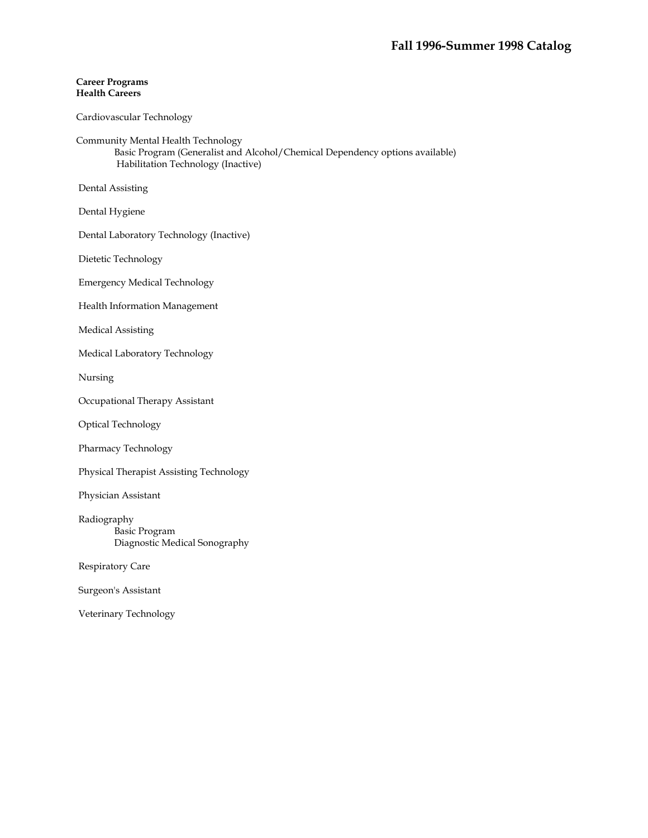### **Career Programs Health Careers**

## Cardiovascular Technology

Community Mental Health Technology

 Basic Program (Generalist and Alcohol/Chemical Dependency options available) Habilitation Technology (Inactive)

Dental Assisting

Dental Hygiene

Dental Laboratory Technology (Inactive)

Dietetic Technology

Emergency Medical Technology

Health Information Management

Medical Assisting

Medical Laboratory Technology

Nursing

Occupational Therapy Assistant

Optical Technology

Pharmacy Technology

Physical Therapist Assisting Technology

Physician Assistant

 Radiography Basic Program Diagnostic Medical Sonography

Respiratory Care

Surgeon's Assistant

Veterinary Technology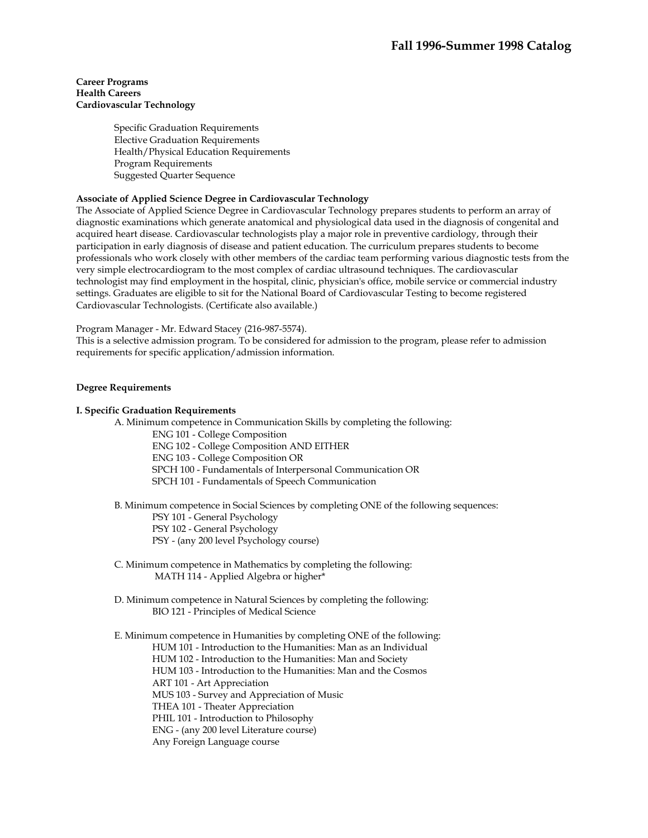### **Career Programs Health Careers Cardiovascular Technology**

Specific Graduation Requirements Elective Graduation Requirements Health/Physical Education Requirements Program Requirements Suggested Quarter Sequence

## **Associate of Applied Science Degree in Cardiovascular Technology**

The Associate of Applied Science Degree in Cardiovascular Technology prepares students to perform an array of diagnostic examinations which generate anatomical and physiological data used in the diagnosis of congenital and acquired heart disease. Cardiovascular technologists play a major role in preventive cardiology, through their participation in early diagnosis of disease and patient education. The curriculum prepares students to become professionals who work closely with other members of the cardiac team performing various diagnostic tests from the very simple electrocardiogram to the most complex of cardiac ultrasound techniques. The cardiovascular technologist may find employment in the hospital, clinic, physician's office, mobile service or commercial industry settings. Graduates are eligible to sit for the National Board of Cardiovascular Testing to become registered Cardiovascular Technologists. (Certificate also available.)

Program Manager - Mr. Edward Stacey (216-987-5574).

This is a selective admission program. To be considered for admission to the program, please refer to admission requirements for specific application/admission information.

### **Degree Requirements**

### **I. Specific Graduation Requirements**

A. Minimum competence in Communication Skills by completing the following:

ENG 101 - College Composition

ENG 102 - College Composition AND EITHER

ENG 103 - College Composition OR

SPCH 100 - Fundamentals of Interpersonal Communication OR

SPCH 101 - Fundamentals of Speech Communication

B. Minimum competence in Social Sciences by completing ONE of the following sequences:

PSY 101 - General Psychology

PSY 102 - General Psychology

PSY - (any 200 level Psychology course)

- C. Minimum competence in Mathematics by completing the following: MATH 114 - Applied Algebra or higher\*
- D. Minimum competence in Natural Sciences by completing the following: BIO 121 - Principles of Medical Science

 E. Minimum competence in Humanities by completing ONE of the following: HUM 101 - Introduction to the Humanities: Man as an Individual HUM 102 - Introduction to the Humanities: Man and Society HUM 103 - Introduction to the Humanities: Man and the Cosmos ART 101 - Art Appreciation MUS 103 - Survey and Appreciation of Music THEA 101 - Theater Appreciation PHIL 101 - Introduction to Philosophy ENG - (any 200 level Literature course) Any Foreign Language course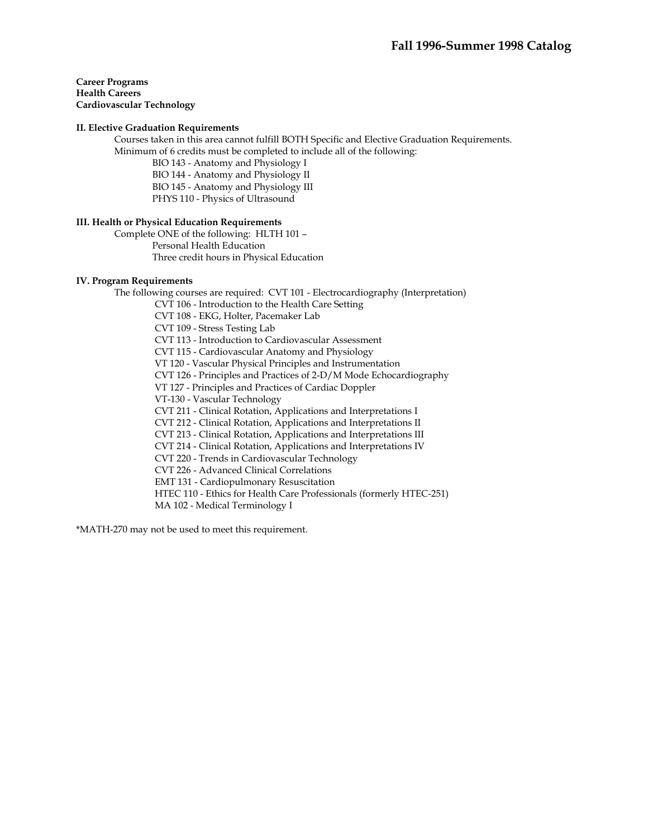**Career Programs Health Careers Cardiovascular Technology** 

### **II. Elective Graduation Requirements**

 Courses taken in this area cannot fulfill BOTH Specific and Elective Graduation Requirements. Minimum of 6 credits must be completed to include all of the following:

BIO 143 - Anatomy and Physiology I BIO 144 - Anatomy and Physiology II BIO 145 - Anatomy and Physiology III PHYS 110 - Physics of Ultrasound

### **III. Health or Physical Education Requirements**

 Complete ONE of the following: HLTH 101 – Personal Health Education Three credit hours in Physical Education

### **IV. Program Requirements**

 The following courses are required: CVT 101 - Electrocardiography (Interpretation) CVT 106 - Introduction to the Health Care Setting CVT 108 - EKG, Holter, Pacemaker Lab CVT 109 - Stress Testing Lab CVT 113 - Introduction to Cardiovascular Assessment CVT 115 - Cardiovascular Anatomy and Physiology VT 120 - Vascular Physical Principles and Instrumentation CVT 126 - Principles and Practices of 2-D/M Mode Echocardiography VT 127 - Principles and Practices of Cardiac Doppler VT-130 - Vascular Technology CVT 211 - Clinical Rotation, Applications and Interpretations I CVT 212 - Clinical Rotation, Applications and Interpretations II CVT 213 - Clinical Rotation, Applications and Interpretations III CVT 214 - Clinical Rotation, Applications and Interpretations IV CVT 220 - Trends in Cardiovascular Technology CVT 226 - Advanced Clinical Correlations EMT 131 - Cardiopulmonary Resuscitation HTEC 110 - Ethics for Health Care Professionals (formerly HTEC-251) MA 102 - Medical Terminology I

\*MATH-270 may not be used to meet this requirement.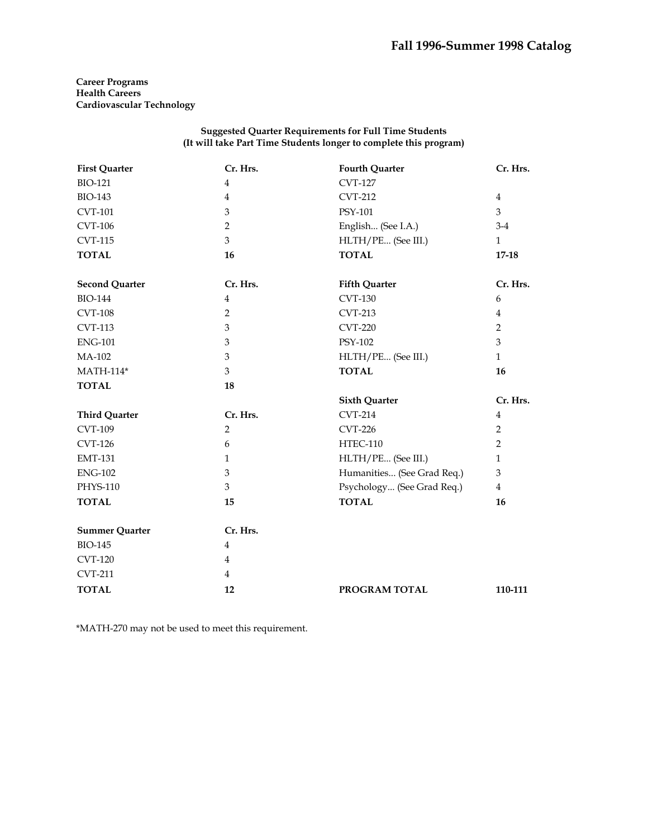**Career Programs Health Careers Cardiovascular Technology** 

## **Suggested Quarter Requirements for Full Time Students (It will take Part Time Students longer to complete this program)**

| <b>First Quarter</b>  | Cr. Hrs.       | <b>Fourth Quarter</b>      | Cr. Hrs.       |
|-----------------------|----------------|----------------------------|----------------|
| <b>BIO-121</b>        | $\overline{4}$ | <b>CVT-127</b>             |                |
| <b>BIO-143</b>        | $\overline{4}$ | <b>CVT-212</b>             | 4              |
| <b>CVT-101</b>        | $\mathfrak{Z}$ | PSY-101                    | 3              |
| <b>CVT-106</b>        | 2              | English (See I.A.)         | $3-4$          |
| <b>CVT-115</b>        | 3              | HLTH/PE (See III.)         | $\mathbf{1}$   |
| <b>TOTAL</b>          | 16             | <b>TOTAL</b>               | $17 - 18$      |
| <b>Second Quarter</b> | Cr. Hrs.       | <b>Fifth Quarter</b>       | Cr. Hrs.       |
| <b>BIO-144</b>        | $\overline{4}$ | <b>CVT-130</b>             | 6              |
| <b>CVT-108</b>        | $\overline{2}$ | <b>CVT-213</b>             | $\overline{4}$ |
| <b>CVT-113</b>        | 3              | <b>CVT-220</b>             | $\overline{2}$ |
| <b>ENG-101</b>        | 3              | PSY-102                    | 3              |
| MA-102                | 3              | HLTH/PE (See III.)         | $\mathbf{1}$   |
| <b>MATH-114*</b>      | 3              | <b>TOTAL</b>               | 16             |
| <b>TOTAL</b>          | 18             |                            |                |
|                       |                | <b>Sixth Quarter</b>       | Cr. Hrs.       |
| <b>Third Quarter</b>  | Cr. Hrs.       | <b>CVT-214</b>             | $\overline{4}$ |
| <b>CVT-109</b>        | $\overline{2}$ | <b>CVT-226</b>             | 2              |
| <b>CVT-126</b>        | 6              | <b>HTEC-110</b>            | 2              |
| <b>EMT-131</b>        | $\mathbf{1}$   | HLTH/PE (See III.)         | $\mathbf{1}$   |
| <b>ENG-102</b>        | 3              | Humanities (See Grad Req.) | 3              |
| PHYS-110              | 3              | Psychology (See Grad Req.) | $\overline{4}$ |
| <b>TOTAL</b>          | 15             | <b>TOTAL</b>               | 16             |
| <b>Summer Quarter</b> | Cr. Hrs.       |                            |                |
| <b>BIO-145</b>        | $\overline{4}$ |                            |                |
| <b>CVT-120</b>        | $\overline{4}$ |                            |                |
| <b>CVT-211</b>        | $\overline{4}$ |                            |                |
| <b>TOTAL</b>          | 12             | PROGRAM TOTAL              | 110-111        |

\*MATH-270 may not be used to meet this requirement.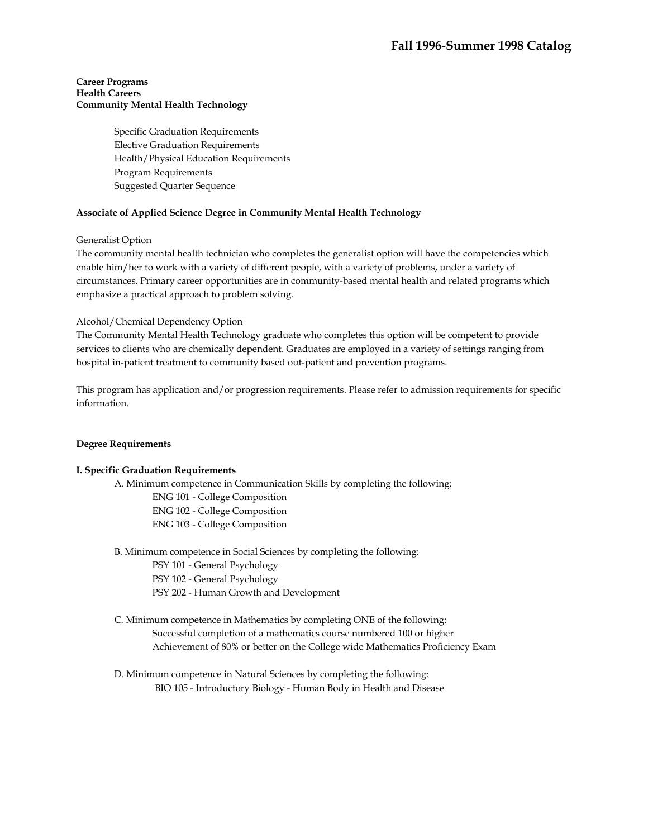Specific Graduation Requirements Elective Graduation Requirements Health/Physical Education Requirements Program Requirements Suggested Quarter Sequence

## **Associate of Applied Science Degree in Community Mental Health Technology**

### Generalist Option

The community mental health technician who completes the generalist option will have the competencies which enable him/her to work with a variety of different people, with a variety of problems, under a variety of circumstances. Primary career opportunities are in community-based mental health and related programs which emphasize a practical approach to problem solving.

## Alcohol/Chemical Dependency Option

The Community Mental Health Technology graduate who completes this option will be competent to provide services to clients who are chemically dependent. Graduates are employed in a variety of settings ranging from hospital in-patient treatment to community based out-patient and prevention programs.

This program has application and/or progression requirements. Please refer to admission requirements for specific information.

### **Degree Requirements**

### **I. Specific Graduation Requirements**

A. Minimum competence in Communication Skills by completing the following:

- ENG 101 College Composition
- ENG 102 College Composition
- ENG 103 College Composition

B. Minimum competence in Social Sciences by completing the following:

- PSY 101 General Psychology
- PSY 102 General Psychology
- PSY 202 Human Growth and Development
- C. Minimum competence in Mathematics by completing ONE of the following: Successful completion of a mathematics course numbered 100 or higher Achievement of 80% or better on the College wide Mathematics Proficiency Exam
- D. Minimum competence in Natural Sciences by completing the following: BIO 105 - Introductory Biology - Human Body in Health and Disease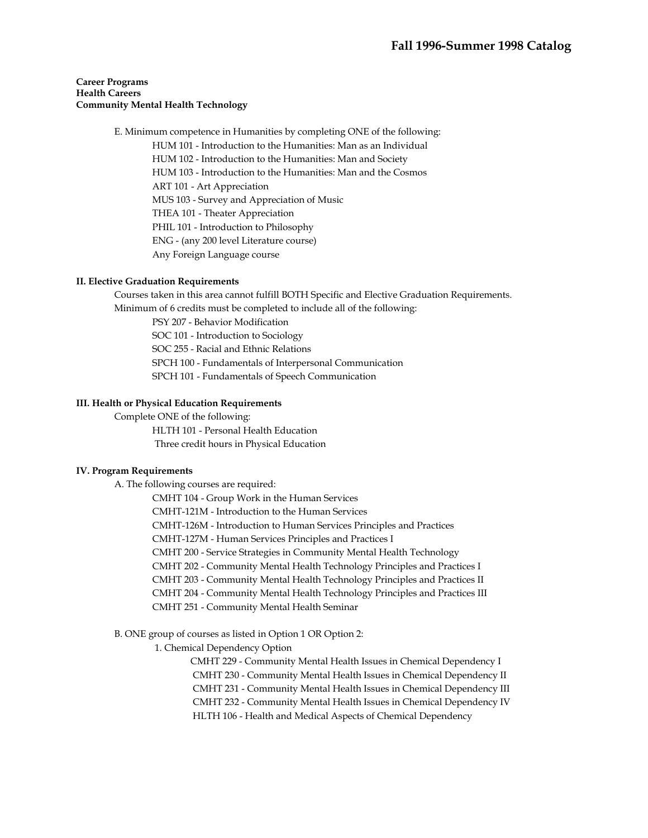E. Minimum competence in Humanities by completing ONE of the following:

HUM 101 - Introduction to the Humanities: Man as an Individual HUM 102 - Introduction to the Humanities: Man and Society HUM 103 - Introduction to the Humanities: Man and the Cosmos ART 101 - Art Appreciation MUS 103 - Survey and Appreciation of Music THEA 101 - Theater Appreciation PHIL 101 - Introduction to Philosophy ENG - (any 200 level Literature course) Any Foreign Language course

## **II. Elective Graduation Requirements**

 Courses taken in this area cannot fulfill BOTH Specific and Elective Graduation Requirements. Minimum of 6 credits must be completed to include all of the following:

PSY 207 - Behavior Modification

SOC 101 - Introduction to Sociology

SOC 255 - Racial and Ethnic Relations

SPCH 100 - Fundamentals of Interpersonal Communication

SPCH 101 - Fundamentals of Speech Communication

## **III. Health or Physical Education Requirements**

Complete ONE of the following:

HLTH 101 - Personal Health Education Three credit hours in Physical Education

### **IV. Program Requirements**

A. The following courses are required:

CMHT 104 - Group Work in the Human Services

CMHT-121M - Introduction to the Human Services

CMHT-126M - Introduction to Human Services Principles and Practices

CMHT-127M - Human Services Principles and Practices I

CMHT 200 - Service Strategies in Community Mental Health Technology

CMHT 202 - Community Mental Health Technology Principles and Practices I

CMHT 203 - Community Mental Health Technology Principles and Practices II

CMHT 204 - Community Mental Health Technology Principles and Practices III

CMHT 251 - Community Mental Health Seminar

## B. ONE group of courses as listed in Option 1 OR Option 2:

1. Chemical Dependency Option

CMHT 229 - Community Mental Health Issues in Chemical Dependency I CMHT 230 - Community Mental Health Issues in Chemical Dependency II CMHT 231 - Community Mental Health Issues in Chemical Dependency III CMHT 232 - Community Mental Health Issues in Chemical Dependency IV HLTH 106 - Health and Medical Aspects of Chemical Dependency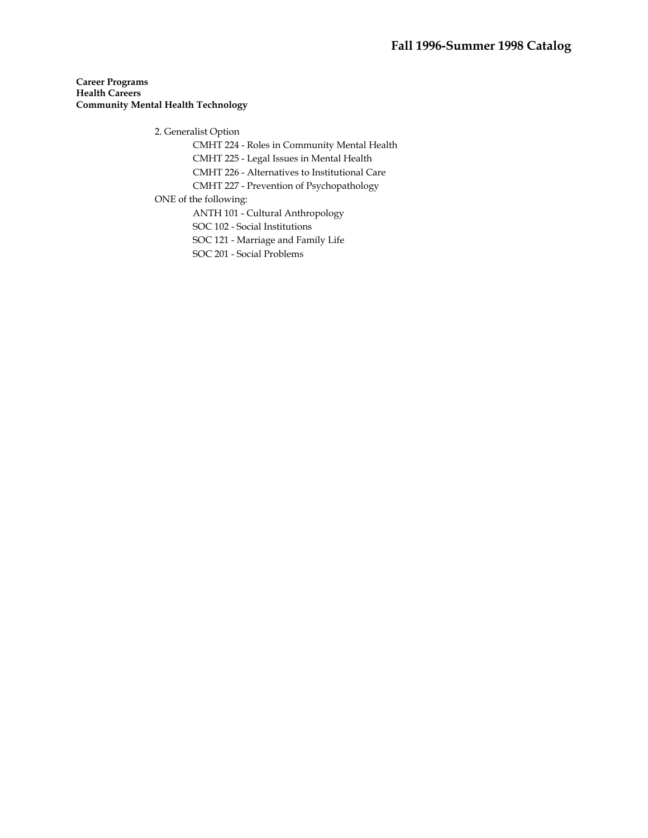2. Generalist Option

CMHT 224 - Roles in Community Mental Health

CMHT 225 - Legal Issues in Mental Health

CMHT 226 - Alternatives to Institutional Care

CMHT 227 - Prevention of Psychopathology

ONE of the following:

ANTH 101 - Cultural Anthropology

SOC 102 - Social Institutions

SOC 121 - Marriage and Family Life

SOC 201 - Social Problems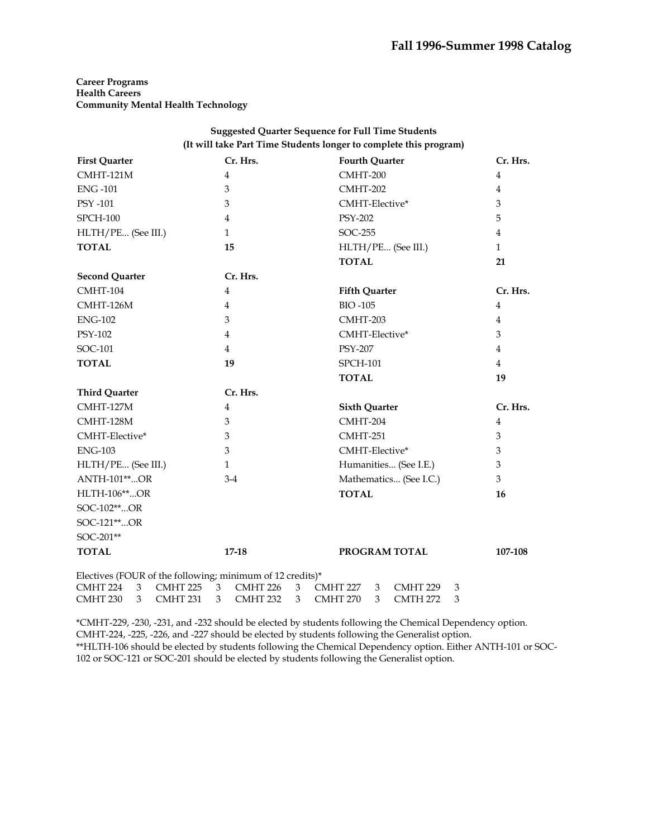| <b>Suggested Quarter Sequence for Full Time Students</b>                                          |                          |                                                |                |
|---------------------------------------------------------------------------------------------------|--------------------------|------------------------------------------------|----------------|
| (It will take Part Time Students longer to complete this program)                                 |                          |                                                |                |
| <b>First Quarter</b>                                                                              | Cr. Hrs.                 | <b>Fourth Quarter</b>                          | Cr. Hrs.       |
| CMHT-121M                                                                                         | 4                        | CMHT-200                                       | $\overline{4}$ |
| <b>ENG-101</b>                                                                                    | 3                        | CMHT-202                                       | $\overline{4}$ |
| <b>PSY -101</b>                                                                                   | 3                        | CMHT-Elective*                                 | 3              |
| <b>SPCH-100</b>                                                                                   | 4                        | <b>PSY-202</b>                                 | 5              |
| HLTH/PE (See III.)                                                                                | $\mathbf{1}$             | SOC-255                                        | 4              |
| <b>TOTAL</b>                                                                                      | 15                       | HLTH/PE (See III.)                             | $\mathbf{1}$   |
|                                                                                                   |                          | <b>TOTAL</b>                                   | 21             |
| <b>Second Quarter</b>                                                                             | Cr. Hrs.                 |                                                |                |
| CMHT-104                                                                                          | 4                        | <b>Fifth Quarter</b>                           | Cr. Hrs.       |
| CMHT-126M                                                                                         | 4                        | <b>BIO-105</b>                                 | 4              |
| <b>ENG-102</b>                                                                                    | 3                        | CMHT-203                                       | 4              |
| PSY-102                                                                                           | 4                        | CMHT-Elective*                                 | 3              |
| SOC-101                                                                                           | 4                        | <b>PSY-207</b>                                 | 4              |
| <b>TOTAL</b>                                                                                      | 19                       | <b>SPCH-101</b>                                | 4              |
|                                                                                                   |                          | <b>TOTAL</b>                                   | 19             |
| <b>Third Quarter</b>                                                                              | Cr. Hrs.                 |                                                |                |
| CMHT-127M                                                                                         | 4                        | <b>Sixth Quarter</b>                           | Cr. Hrs.       |
| CMHT-128M                                                                                         | 3                        | CMHT-204                                       | 4              |
| CMHT-Elective*                                                                                    | 3                        | CMHT-251                                       | 3              |
| <b>ENG-103</b>                                                                                    | 3                        | CMHT-Elective*                                 | 3              |
| HLTH/PE (See III.)                                                                                | $\mathbf{1}$             | Humanities (See I.E.)                          | 3              |
| <b>ANTH-101**OR</b>                                                                               | $3-4$                    | Mathematics (See I.C.)                         | 3              |
| <b>HLTH-106**OR</b>                                                                               |                          | <b>TOTAL</b>                                   | 16             |
| SOC-102**OR                                                                                       |                          |                                                |                |
| SOC-121**OR                                                                                       |                          |                                                |                |
| SOC-201**                                                                                         |                          |                                                |                |
| <b>TOTAL</b>                                                                                      | $17 - 18$                | PROGRAM TOTAL                                  | 107-108        |
| Electives (FOUR of the following; minimum of 12 credits)*<br>CMHT 224<br>3<br>CMHT <sub>225</sub> | 3<br>CMHT <sub>226</sub> | 3<br>CMHT 227<br>3<br>CMHT <sub>229</sub><br>3 |                |

\*CMHT-229, -230, -231, and -232 should be elected by students following the Chemical Dependency option. CMHT-224, -225, -226, and -227 should be elected by students following the Generalist option.

CMHT 230 3 CMHT 231 3 CMHT 232 3 CMHT 270 3 CMTH 272 3

\*\*HLTH-106 should be elected by students following the Chemical Dependency option. Either ANTH-101 or SOC-102 or SOC-121 or SOC-201 should be elected by students following the Generalist option.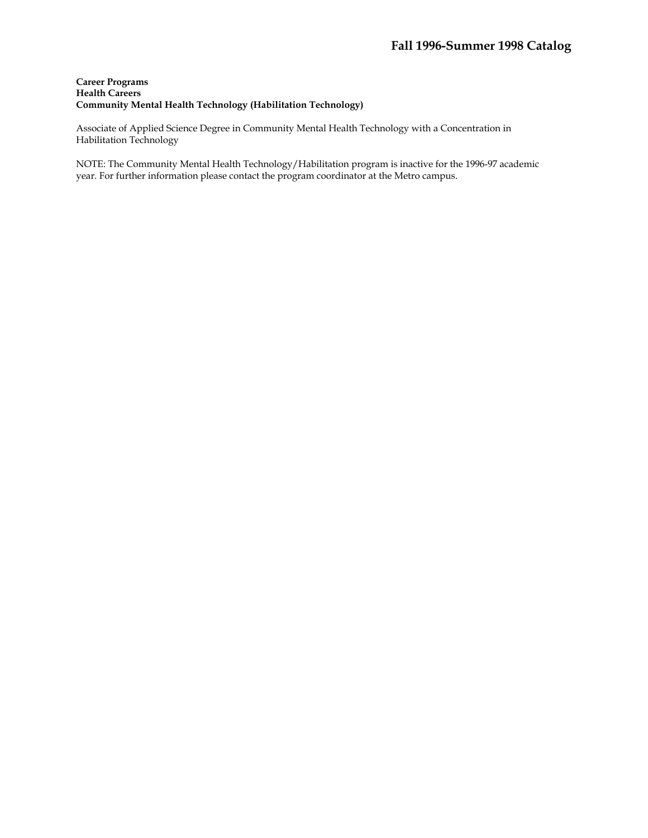## **Career Programs Health Careers Community Mental Health Technology (Habilitation Technology)**

Associate of Applied Science Degree in Community Mental Health Technology with a Concentration in Habilitation Technology

NOTE: The Community Mental Health Technology/Habilitation program is inactive for the 1996-97 academic year. For further information please contact the program coordinator at the Metro campus.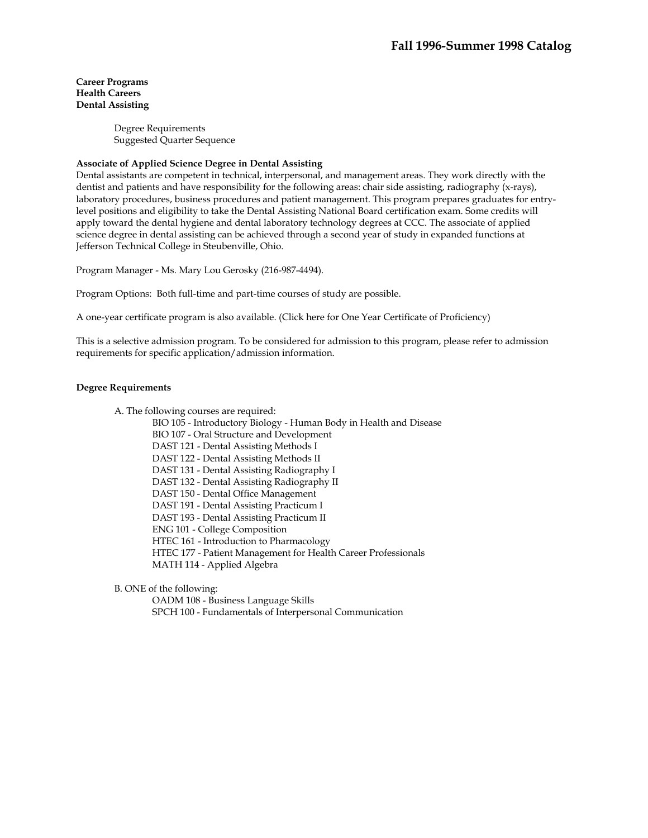> Degree Requirements Suggested Quarter Sequence

### **Associate of Applied Science Degree in Dental Assisting**

Dental assistants are competent in technical, interpersonal, and management areas. They work directly with the dentist and patients and have responsibility for the following areas: chair side assisting, radiography (x-rays), laboratory procedures, business procedures and patient management. This program prepares graduates for entrylevel positions and eligibility to take the Dental Assisting National Board certification exam. Some credits will apply toward the dental hygiene and dental laboratory technology degrees at CCC. The associate of applied science degree in dental assisting can be achieved through a second year of study in expanded functions at Jefferson Technical College in Steubenville, Ohio.

Program Manager - Ms. Mary Lou Gerosky (216-987-4494).

Program Options: Both full-time and part-time courses of study are possible.

A one-year certificate program is also available. (Click here for One Year Certificate of Proficiency)

This is a selective admission program. To be considered for admission to this program, please refer to admission requirements for specific application/admission information.

### **Degree Requirements**

A. The following courses are required:

BIO 105 - Introductory Biology - Human Body in Health and Disease BIO 107 - Oral Structure and Development DAST 121 - Dental Assisting Methods I DAST 122 - Dental Assisting Methods II DAST 131 - Dental Assisting Radiography I DAST 132 - Dental Assisting Radiography II DAST 150 - Dental Office Management DAST 191 - Dental Assisting Practicum I DAST 193 - Dental Assisting Practicum II ENG 101 - College Composition HTEC 161 - Introduction to Pharmacology HTEC 177 - Patient Management for Health Career Professionals MATH 114 - Applied Algebra

B. ONE of the following:

 OADM 108 - Business Language Skills SPCH 100 - Fundamentals of Interpersonal Communication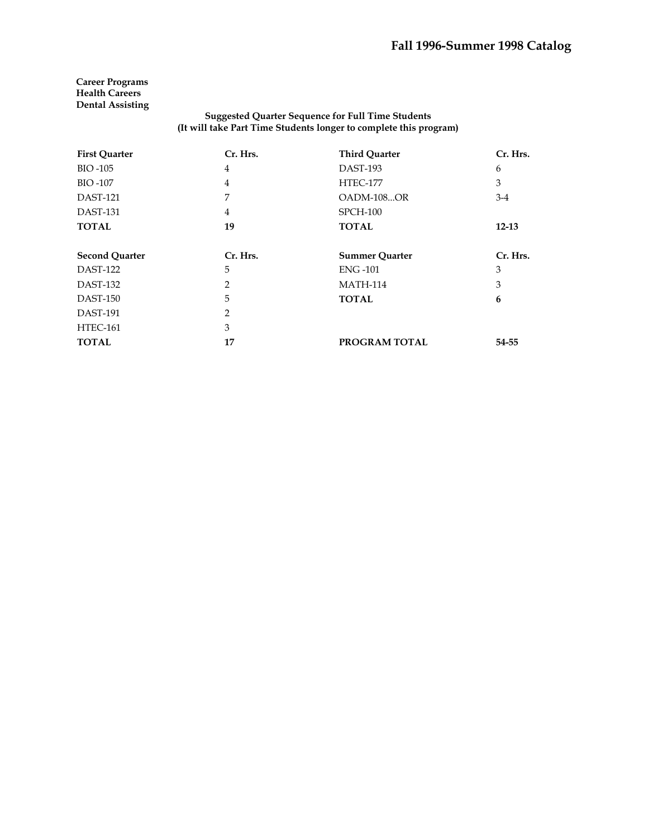### **Suggested Quarter Sequence for Full Time Students (It will take Part Time Students longer to complete this program)**

| <b>First Quarter</b>  | Cr. Hrs.       | <b>Third Quarter</b>  | Cr. Hrs.  |
|-----------------------|----------------|-----------------------|-----------|
| <b>BIO-105</b>        | 4              | DAST-193              | 6         |
| <b>BIO-107</b>        | 4              | <b>HTEC-177</b>       | 3         |
| <b>DAST-121</b>       | 7              | OADM-108OR            | $3-4$     |
| <b>DAST-131</b>       | 4              | SPCH-100              |           |
| <b>TOTAL</b>          | 19             | <b>TOTAL</b>          | $12 - 13$ |
| <b>Second Quarter</b> | Cr. Hrs.       | <b>Summer Quarter</b> | Cr. Hrs.  |
| <b>DAST-122</b>       | 5              | <b>ENG-101</b>        | 3         |
| DAST-132              | $\overline{2}$ | <b>MATH-114</b>       | 3         |
| <b>DAST-150</b>       | 5              | <b>TOTAL</b>          | 6         |
| <b>DAST-191</b>       | 2              |                       |           |
| HTEC-161              | 3              |                       |           |
| <b>TOTAL</b>          | 17             | PROGRAM TOTAL         | 54-55     |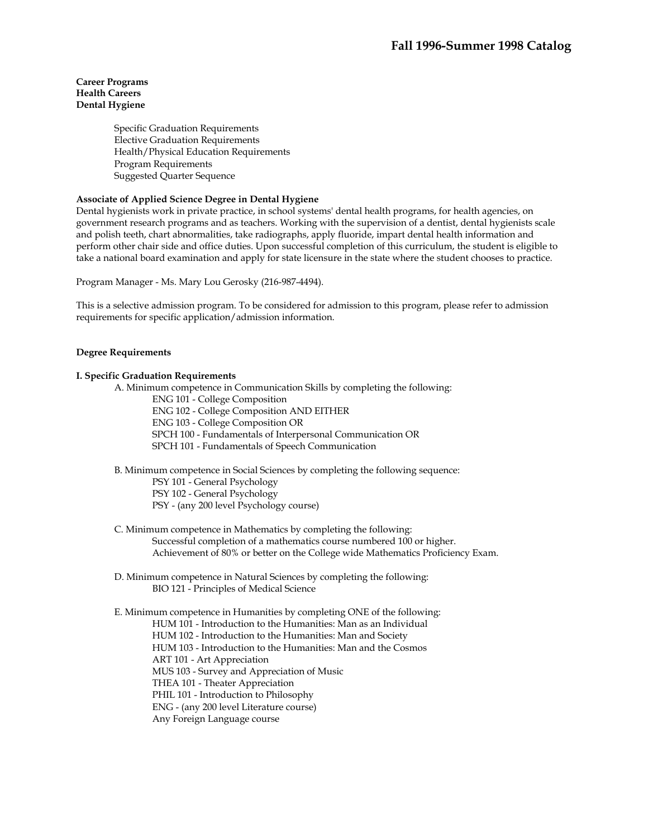### **Career Programs Health Careers Dental Hygiene**

Specific Graduation Requirements Elective Graduation Requirements Health/Physical Education Requirements Program Requirements Suggested Quarter Sequence

## **Associate of Applied Science Degree in Dental Hygiene**

Dental hygienists work in private practice, in school systems' dental health programs, for health agencies, on government research programs and as teachers. Working with the supervision of a dentist, dental hygienists scale and polish teeth, chart abnormalities, take radiographs, apply fluoride, impart dental health information and perform other chair side and office duties. Upon successful completion of this curriculum, the student is eligible to take a national board examination and apply for state licensure in the state where the student chooses to practice.

Program Manager - Ms. Mary Lou Gerosky (216-987-4494).

This is a selective admission program. To be considered for admission to this program, please refer to admission requirements for specific application/admission information.

## **Degree Requirements**

## **I. Specific Graduation Requirements**

A. Minimum competence in Communication Skills by completing the following:

ENG 101 - College Composition ENG 102 - College Composition AND EITHER ENG 103 - College Composition OR SPCH 100 - Fundamentals of Interpersonal Communication OR SPCH 101 - Fundamentals of Speech Communication

 B. Minimum competence in Social Sciences by completing the following sequence: PSY 101 - General Psychology PSY 102 - General Psychology PSY - (any 200 level Psychology course)

 C. Minimum competence in Mathematics by completing the following: Successful completion of a mathematics course numbered 100 or higher. Achievement of 80% or better on the College wide Mathematics Proficiency Exam.

 D. Minimum competence in Natural Sciences by completing the following: BIO 121 - Principles of Medical Science

 E. Minimum competence in Humanities by completing ONE of the following: HUM 101 - Introduction to the Humanities: Man as an Individual HUM 102 - Introduction to the Humanities: Man and Society HUM 103 - Introduction to the Humanities: Man and the Cosmos ART 101 - Art Appreciation MUS 103 - Survey and Appreciation of Music THEA 101 - Theater Appreciation PHIL 101 - Introduction to Philosophy ENG - (any 200 level Literature course) Any Foreign Language course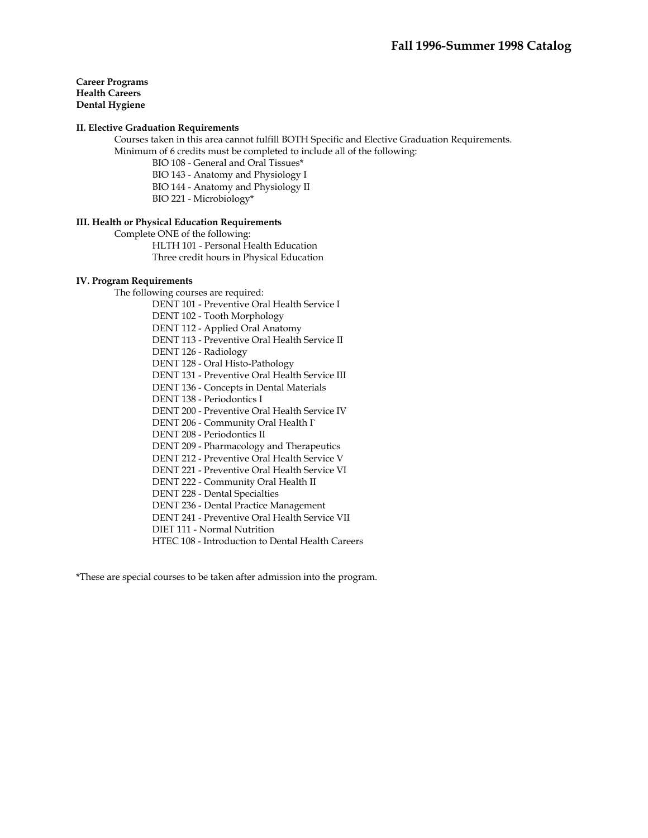**Career Programs Health Careers Dental Hygiene** 

### **II. Elective Graduation Requirements**

 Courses taken in this area cannot fulfill BOTH Specific and Elective Graduation Requirements. Minimum of 6 credits must be completed to include all of the following:

- BIO 108 General and Oral Tissues\*
- BIO 143 Anatomy and Physiology I
- BIO 144 Anatomy and Physiology II
- BIO 221 Microbiology\*

### **III. Health or Physical Education Requirements**

Complete ONE of the following:

 HLTH 101 - Personal Health Education Three credit hours in Physical Education

### **IV. Program Requirements**

The following courses are required:

DENT 101 - Preventive Oral Health Service I

DENT 102 - Tooth Morphology

DENT 112 - Applied Oral Anatomy

DENT 113 - Preventive Oral Health Service II

DENT 126 - Radiology

DENT 128 - Oral Histo-Pathology

DENT 131 - Preventive Oral Health Service III

DENT 136 - Concepts in Dental Materials

DENT 138 - Periodontics I

DENT 200 - Preventive Oral Health Service IV

DENT 206 - Community Oral Health I`

DENT 208 - Periodontics II

DENT 209 - Pharmacology and Therapeutics

DENT 212 - Preventive Oral Health Service V

DENT 221 - Preventive Oral Health Service VI

DENT 222 - Community Oral Health II

DENT 228 - Dental Specialties

DENT 236 - Dental Practice Management

DENT 241 - Preventive Oral Health Service VII

DIET 111 - Normal Nutrition

HTEC 108 - Introduction to Dental Health Careers

\*These are special courses to be taken after admission into the program.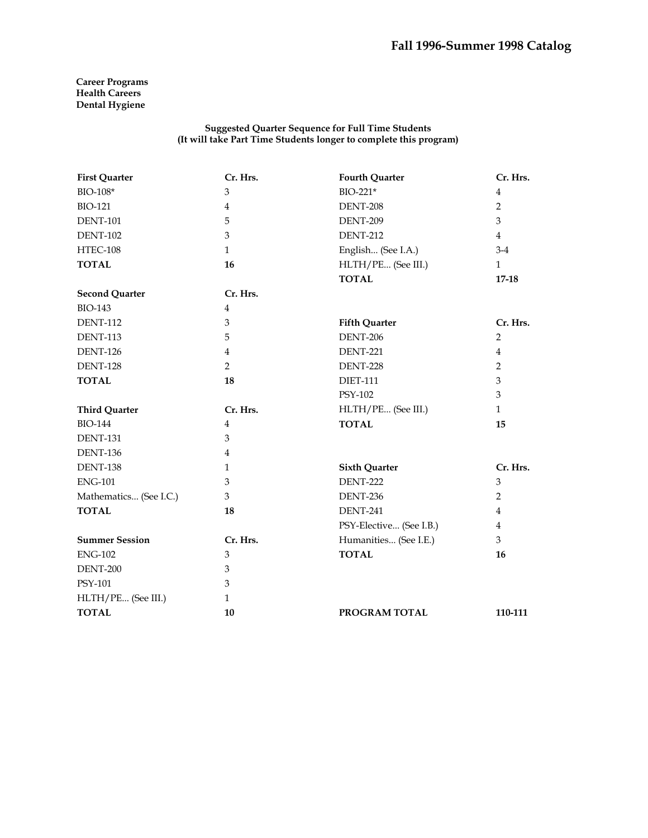**Career Programs Health Careers Dental Hygiene** 

#### **Suggested Quarter Sequence for Full Time Students (It will take Part Time Students longer to complete this program)**

| <b>First Quarter</b>   | Cr. Hrs.       | <b>Fourth Quarter</b>   | Cr. Hrs.       |
|------------------------|----------------|-------------------------|----------------|
| BIO-108*               | 3              | BIO-221*                | 4              |
| <b>BIO-121</b>         | $\overline{4}$ | DENT-208                | $\overline{2}$ |
| <b>DENT-101</b>        | 5              | DENT-209                | 3              |
| <b>DENT-102</b>        | 3              | <b>DENT-212</b>         | $\overline{4}$ |
| HTEC-108               | $\mathbf{1}$   | English (See I.A.)      | $3-4$          |
| <b>TOTAL</b>           | 16             | HLTH/PE (See III.)      | $\mathbf{1}$   |
|                        |                | <b>TOTAL</b>            | $17 - 18$      |
| <b>Second Quarter</b>  | Cr. Hrs.       |                         |                |
| <b>BIO-143</b>         | $\overline{4}$ |                         |                |
| <b>DENT-112</b>        | 3              | <b>Fifth Quarter</b>    | Cr. Hrs.       |
| <b>DENT-113</b>        | 5              | <b>DENT-206</b>         | $\overline{2}$ |
| <b>DENT-126</b>        | $\overline{4}$ | <b>DENT-221</b>         | $\overline{4}$ |
| <b>DENT-128</b>        | $\overline{2}$ | <b>DENT-228</b>         | $\overline{2}$ |
| <b>TOTAL</b>           | 18             | <b>DIET-111</b>         | 3              |
|                        |                | PSY-102                 | 3              |
| <b>Third Quarter</b>   | Cr. Hrs.       | HLTH/PE (See III.)      | $\mathbf{1}$   |
| <b>BIO-144</b>         | 4              | <b>TOTAL</b>            | 15             |
| <b>DENT-131</b>        | 3              |                         |                |
| <b>DENT-136</b>        | $\overline{4}$ |                         |                |
| DENT-138               | 1              | <b>Sixth Quarter</b>    | Cr. Hrs.       |
| <b>ENG-101</b>         | 3              | <b>DENT-222</b>         | 3              |
| Mathematics (See I.C.) | 3              | DENT-236                | $\overline{2}$ |
| <b>TOTAL</b>           | 18             | <b>DENT-241</b>         | 4              |
|                        |                | PSY-Elective (See I.B.) | 4              |
| <b>Summer Session</b>  | Cr. Hrs.       | Humanities (See I.E.)   | 3              |
| <b>ENG-102</b>         | 3              | <b>TOTAL</b>            | 16             |
| DENT-200               | 3              |                         |                |
| <b>PSY-101</b>         | 3              |                         |                |
| HLTH/PE (See III.)     | $\mathbf{1}$   |                         |                |
| <b>TOTAL</b>           | 10             | PROGRAM TOTAL           | 110-111        |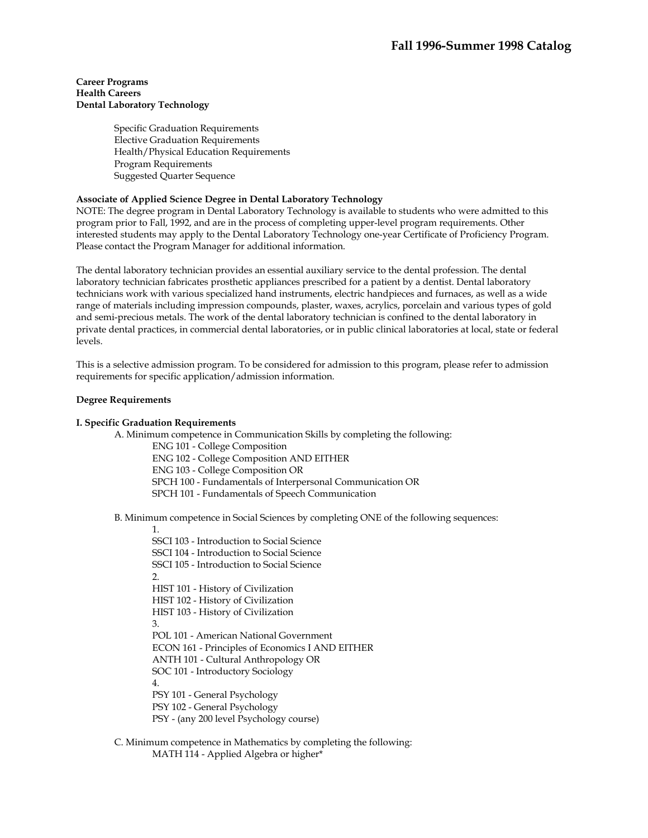### **Career Programs Health Careers Dental Laboratory Technology**

Specific Graduation Requirements Elective Graduation Requirements Health/Physical Education Requirements Program Requirements Suggested Quarter Sequence

## **Associate of Applied Science Degree in Dental Laboratory Technology**

NOTE: The degree program in Dental Laboratory Technology is available to students who were admitted to this program prior to Fall, 1992, and are in the process of completing upper-level program requirements. Other interested students may apply to the Dental Laboratory Technology one-year Certificate of Proficiency Program. Please contact the Program Manager for additional information.

The dental laboratory technician provides an essential auxiliary service to the dental profession. The dental laboratory technician fabricates prosthetic appliances prescribed for a patient by a dentist. Dental laboratory technicians work with various specialized hand instruments, electric handpieces and furnaces, as well as a wide range of materials including impression compounds, plaster, waxes, acrylics, porcelain and various types of gold and semi-precious metals. The work of the dental laboratory technician is confined to the dental laboratory in private dental practices, in commercial dental laboratories, or in public clinical laboratories at local, state or federal levels.

This is a selective admission program. To be considered for admission to this program, please refer to admission requirements for specific application/admission information.

### **Degree Requirements**

### **I. Specific Graduation Requirements**

A. Minimum competence in Communication Skills by completing the following: ENG 101 - College Composition ENG 102 - College Composition AND EITHER ENG 103 - College Composition OR SPCH 100 - Fundamentals of Interpersonal Communication OR SPCH 101 - Fundamentals of Speech Communication

B. Minimum competence in Social Sciences by completing ONE of the following sequences:

1.

SSCI 103 - Introduction to Social Science SSCI 104 - Introduction to Social Science SSCI 105 - Introduction to Social Science  $2.5$ HIST 101 - History of Civilization HIST 102 - History of Civilization HIST 103 - History of Civilization 3. POL 101 - American National Government ECON 161 - Principles of Economics I AND EITHER ANTH 101 - Cultural Anthropology OR SOC 101 - Introductory Sociology 4. PSY 101 - General Psychology PSY 102 - General Psychology PSY - (any 200 level Psychology course)

 C. Minimum competence in Mathematics by completing the following: MATH 114 - Applied Algebra or higher\*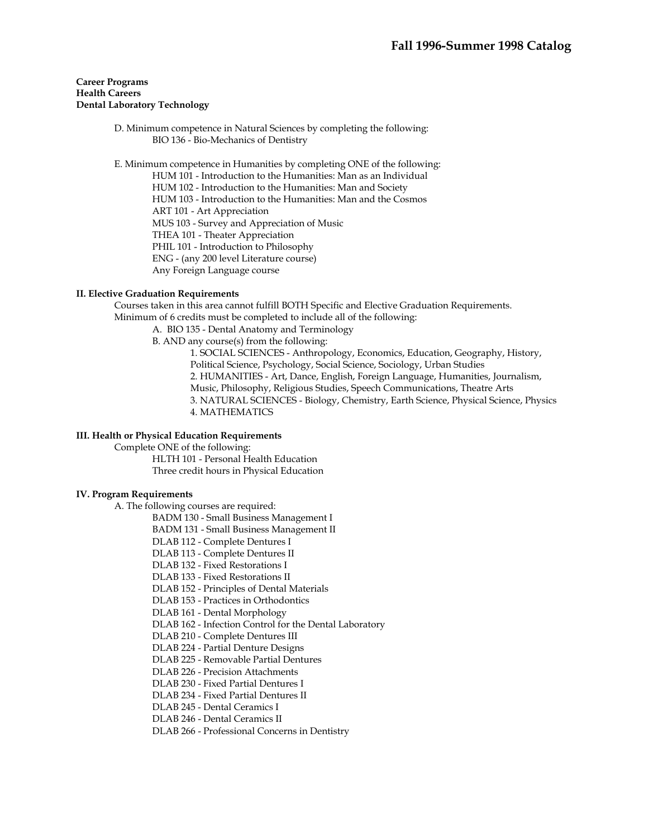### **Career Programs Health Careers Dental Laboratory Technology**

 D. Minimum competence in Natural Sciences by completing the following: BIO 136 - Bio-Mechanics of Dentistry

E. Minimum competence in Humanities by completing ONE of the following:

HUM 101 - Introduction to the Humanities: Man as an Individual HUM 102 - Introduction to the Humanities: Man and Society HUM 103 - Introduction to the Humanities: Man and the Cosmos ART 101 - Art Appreciation MUS 103 - Survey and Appreciation of Music THEA 101 - Theater Appreciation PHIL 101 - Introduction to Philosophy ENG - (any 200 level Literature course) Any Foreign Language course

## **II. Elective Graduation Requirements**

 Courses taken in this area cannot fulfill BOTH Specific and Elective Graduation Requirements. Minimum of 6 credits must be completed to include all of the following:

- A. BIO 135 Dental Anatomy and Terminology
- B. AND any course(s) from the following:

1. SOCIAL SCIENCES - Anthropology, Economics, Education, Geography, History, Political Science, Psychology, Social Science, Sociology, Urban Studies 2. HUMANITIES - Art, Dance, English, Foreign Language, Humanities, Journalism, Music, Philosophy, Religious Studies, Speech Communications, Theatre Arts 3. NATURAL SCIENCES - Biology, Chemistry, Earth Science, Physical Science, Physics 4. MATHEMATICS

### **III. Health or Physical Education Requirements**

Complete ONE of the following:

HLTH 101 - Personal Health Education Three credit hours in Physical Education

### **IV. Program Requirements**

A. The following courses are required:

BADM 130 - Small Business Management I

BADM 131 - Small Business Management II

- DLAB 112 Complete Dentures I
- DLAB 113 Complete Dentures II
- DLAB 132 Fixed Restorations I
- DLAB 133 Fixed Restorations II
- DLAB 152 Principles of Dental Materials

DLAB 153 - Practices in Orthodontics

DLAB 161 - Dental Morphology

DLAB 162 - Infection Control for the Dental Laboratory

DLAB 210 - Complete Dentures III

DLAB 224 - Partial Denture Designs

DLAB 225 - Removable Partial Dentures

DLAB 226 - Precision Attachments

DLAB 230 - Fixed Partial Dentures I

DLAB 234 - Fixed Partial Dentures II

DLAB 245 - Dental Ceramics I

DLAB 246 - Dental Ceramics II

DLAB 266 - Professional Concerns in Dentistry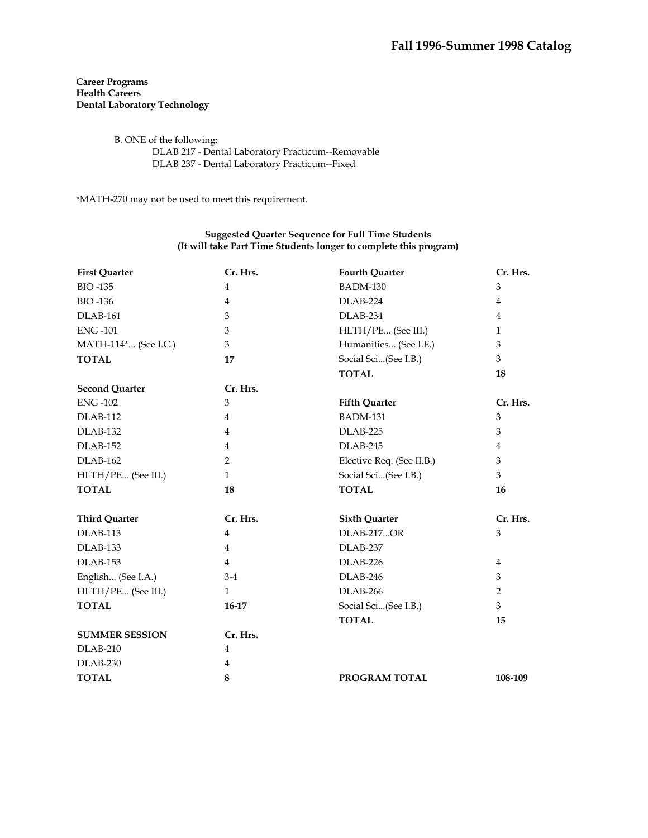## **Career Programs Health Careers Dental Laboratory Technology**

 B. ONE of the following: DLAB 217 - Dental Laboratory Practicum--Removable DLAB 237 - Dental Laboratory Practicum--Fixed

\*MATH-270 may not be used to meet this requirement.

### **Suggested Quarter Sequence for Full Time Students (It will take Part Time Students longer to complete this program)**

| <b>First Quarter</b>  | Cr. Hrs.       | <b>Fourth Quarter</b>     | Cr. Hrs.       |
|-----------------------|----------------|---------------------------|----------------|
| <b>BIO-135</b>        | $\overline{4}$ | <b>BADM-130</b>           | 3              |
| <b>BIO-136</b>        | 4              | DLAB-224                  | 4              |
| DLAB-161              | 3              | DLAB-234                  | $\overline{4}$ |
| <b>ENG-101</b>        | 3              | HLTH/PE (See III.)        | $\mathbf{1}$   |
| MATH-114* (See I.C.)  | 3              | Humanities (See I.E.)     | $\mathfrak{Z}$ |
| <b>TOTAL</b>          | 17             | Social Sci(See I.B.)      | 3              |
|                       |                | <b>TOTAL</b>              | 18             |
| <b>Second Quarter</b> | Cr. Hrs.       |                           |                |
| <b>ENG-102</b>        | 3              | <b>Fifth Quarter</b>      | Cr. Hrs.       |
| <b>DLAB-112</b>       | $\overline{4}$ | <b>BADM-131</b>           | $\mathfrak{Z}$ |
| DLAB-132              | $\overline{4}$ | DLAB-225                  | $\mathfrak{Z}$ |
| <b>DLAB-152</b>       | $\overline{4}$ | DLAB-245                  | $\overline{4}$ |
| <b>DLAB-162</b>       | $\overline{2}$ | Elective Req. (See II.B.) | 3              |
| HLTH/PE (See III.)    | $\mathbf{1}$   | Social Sci(See I.B.)      | 3              |
| <b>TOTAL</b>          | 18             | <b>TOTAL</b>              | 16             |
| <b>Third Quarter</b>  | Cr. Hrs.       | <b>Sixth Quarter</b>      | Cr. Hrs.       |
| DLAB-113              | $\overline{4}$ | <b>DLAB-217OR</b>         | $\mathfrak{Z}$ |
| DLAB-133              | 4              | DLAB-237                  |                |
| DLAB-153              | $\overline{4}$ | DLAB-226                  | $\overline{4}$ |
| English (See I.A.)    | $3-4$          | DLAB-246                  | 3              |
| HLTH/PE (See III.)    | $\mathbf{1}$   | DLAB-266                  | $\overline{2}$ |
| <b>TOTAL</b>          | 16-17          | Social Sci(See I.B.)      | 3              |
|                       |                | <b>TOTAL</b>              | 15             |
| <b>SUMMER SESSION</b> | Cr. Hrs.       |                           |                |
| $DLAB-210$            | $\overline{4}$ |                           |                |
| DLAB-230              | 4              |                           |                |
| <b>TOTAL</b>          | 8              | PROGRAM TOTAL             | 108-109        |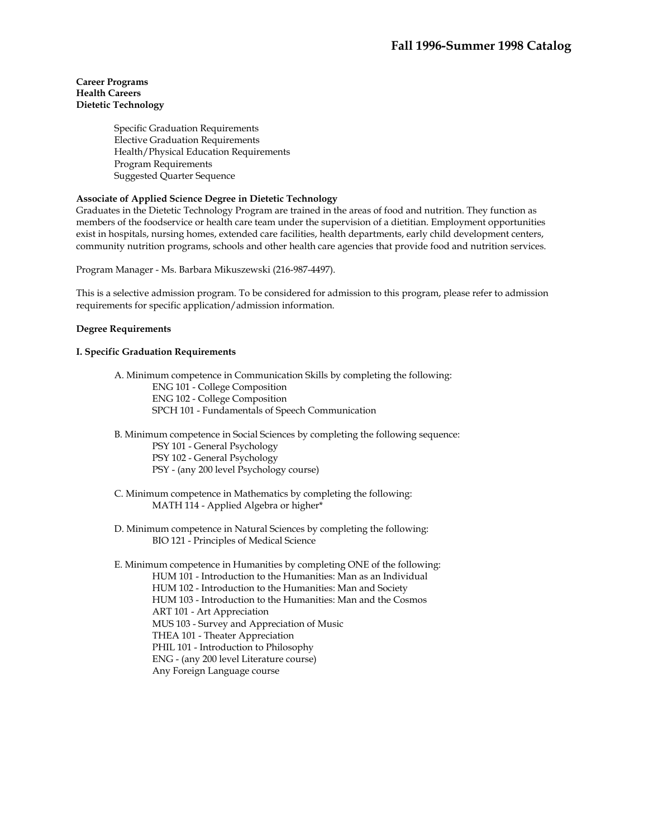### **Career Programs Health Careers Dietetic Technology**

Specific Graduation Requirements Elective Graduation Requirements Health/Physical Education Requirements Program Requirements Suggested Quarter Sequence

## **Associate of Applied Science Degree in Dietetic Technology**

Graduates in the Dietetic Technology Program are trained in the areas of food and nutrition. They function as members of the foodservice or health care team under the supervision of a dietitian. Employment opportunities exist in hospitals, nursing homes, extended care facilities, health departments, early child development centers, community nutrition programs, schools and other health care agencies that provide food and nutrition services.

Program Manager - Ms. Barbara Mikuszewski (216-987-4497).

This is a selective admission program. To be considered for admission to this program, please refer to admission requirements for specific application/admission information.

### **Degree Requirements**

### **I. Specific Graduation Requirements**

 A. Minimum competence in Communication Skills by completing the following: ENG 101 - College Composition ENG 102 - College Composition SPCH 101 - Fundamentals of Speech Communication

 B. Minimum competence in Social Sciences by completing the following sequence: PSY 101 - General Psychology PSY 102 - General Psychology PSY - (any 200 level Psychology course)

 C. Minimum competence in Mathematics by completing the following: MATH 114 - Applied Algebra or higher\*

 D. Minimum competence in Natural Sciences by completing the following: BIO 121 - Principles of Medical Science

 E. Minimum competence in Humanities by completing ONE of the following: HUM 101 - Introduction to the Humanities: Man as an Individual HUM 102 - Introduction to the Humanities: Man and Society HUM 103 - Introduction to the Humanities: Man and the Cosmos ART 101 - Art Appreciation MUS 103 - Survey and Appreciation of Music THEA 101 - Theater Appreciation PHIL 101 - Introduction to Philosophy ENG - (any 200 level Literature course) Any Foreign Language course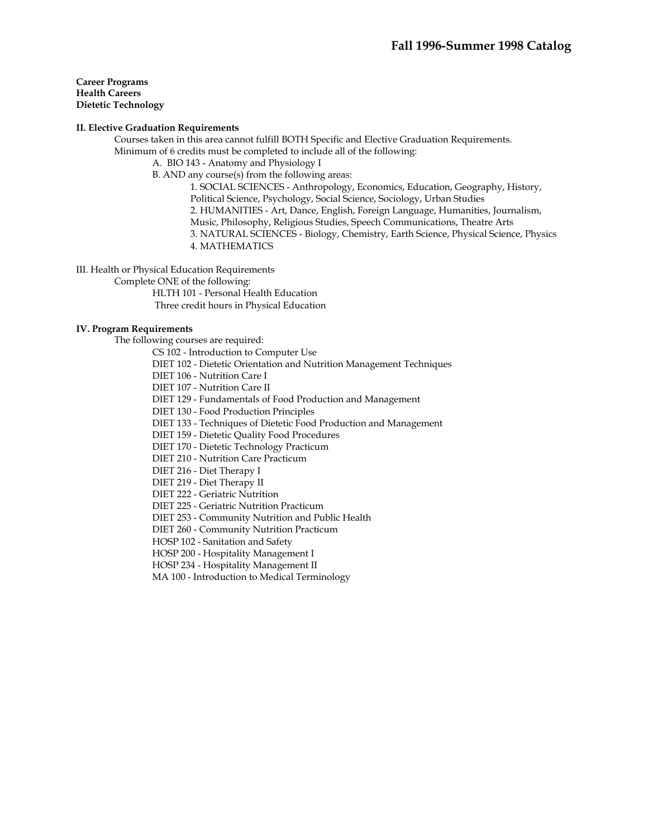**Career Programs Health Careers Dietetic Technology** 

### **II. Elective Graduation Requirements**

 Courses taken in this area cannot fulfill BOTH Specific and Elective Graduation Requirements. Minimum of 6 credits must be completed to include all of the following:

A. BIO 143 - Anatomy and Physiology I

B. AND any course(s) from the following areas:

1. SOCIAL SCIENCES - Anthropology, Economics, Education, Geography, History, Political Science, Psychology, Social Science, Sociology, Urban Studies 2. HUMANITIES - Art, Dance, English, Foreign Language, Humanities, Journalism, Music, Philosophy, Religious Studies, Speech Communications, Theatre Arts 3. NATURAL SCIENCES - Biology, Chemistry, Earth Science, Physical Science, Physics 4. MATHEMATICS

III. Health or Physical Education Requirements

Complete ONE of the following:

 HLTH 101 - Personal Health Education Three credit hours in Physical Education

### **IV. Program Requirements**

The following courses are required:

CS 102 - Introduction to Computer Use

DIET 102 - Dietetic Orientation and Nutrition Management Techniques

DIET 106 - Nutrition Care I

DIET 107 - Nutrition Care II

DIET 129 - Fundamentals of Food Production and Management

DIET 130 - Food Production Principles

DIET 133 - Techniques of Dietetic Food Production and Management

DIET 159 - Dietetic Quality Food Procedures

DIET 170 - Dietetic Technology Practicum

DIET 210 - Nutrition Care Practicum

DIET 216 - Diet Therapy I

DIET 219 - Diet Therapy II

DIET 222 - Geriatric Nutrition

DIET 225 - Geriatric Nutrition Practicum

DIET 253 - Community Nutrition and Public Health

DIET 260 - Community Nutrition Practicum

HOSP 102 - Sanitation and Safety

HOSP 200 - Hospitality Management I

HOSP 234 - Hospitality Management II

MA 100 - Introduction to Medical Terminology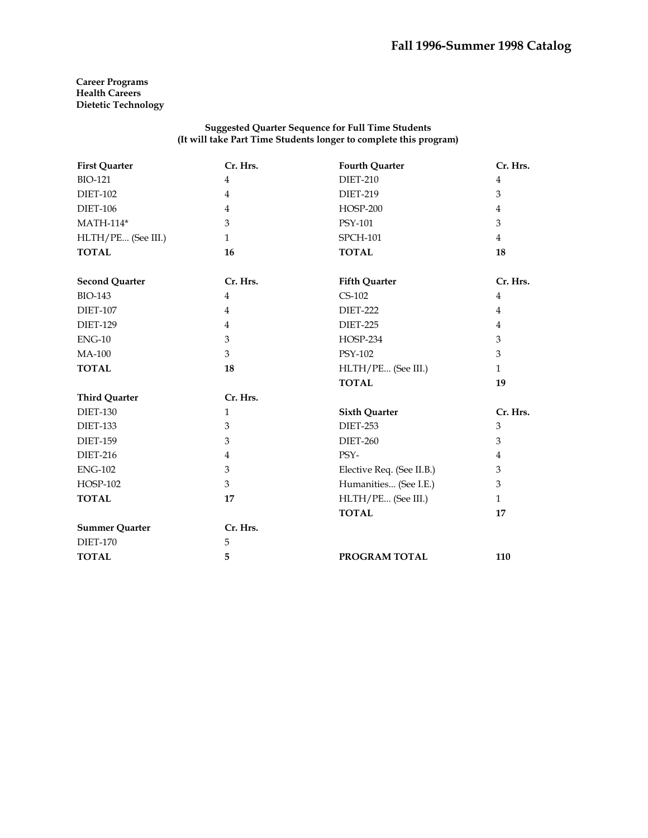**Career Programs Health Careers Dietetic Technology** 

### **Suggested Quarter Sequence for Full Time Students (It will take Part Time Students longer to complete this program)**

| <b>First Quarter</b>  | Cr. Hrs.       | <b>Fourth Quarter</b>     | Cr. Hrs.       |
|-----------------------|----------------|---------------------------|----------------|
| <b>BIO-121</b>        | $\overline{4}$ | <b>DIET-210</b>           | $\overline{4}$ |
| <b>DIET-102</b>       | $\overline{4}$ | <b>DIET-219</b>           | 3              |
| <b>DIET-106</b>       | $\overline{4}$ | <b>HOSP-200</b>           | $\overline{4}$ |
| <b>MATH-114*</b>      | 3              | PSY-101                   | 3              |
| HLTH/PE (See III.)    | $\mathbf{1}$   | <b>SPCH-101</b>           | $\overline{4}$ |
| <b>TOTAL</b>          | 16             | <b>TOTAL</b>              | 18             |
| <b>Second Quarter</b> | Cr. Hrs.       | <b>Fifth Quarter</b>      | Cr. Hrs.       |
| <b>BIO-143</b>        | 4              | $CS-102$                  | 4              |
| <b>DIET-107</b>       | $\overline{4}$ | <b>DIET-222</b>           | $\overline{4}$ |
| <b>DIET-129</b>       | 4              | <b>DIET-225</b>           | $\overline{4}$ |
| $ENG-10$              | 3              | <b>HOSP-234</b>           | 3              |
| <b>MA-100</b>         | 3              | PSY-102                   | 3              |
| <b>TOTAL</b>          | 18             | HLTH/PE (See III.)        | $\mathbf{1}$   |
|                       |                | <b>TOTAL</b>              | 19             |
| <b>Third Quarter</b>  | Cr. Hrs.       |                           |                |
| <b>DIET-130</b>       | $\mathbf{1}$   | <b>Sixth Quarter</b>      | Cr. Hrs.       |
| <b>DIET-133</b>       | 3              | <b>DIET-253</b>           | 3              |
| <b>DIET-159</b>       | 3              | <b>DIET-260</b>           | 3              |
| <b>DIET-216</b>       | $\overline{4}$ | PSY-                      | 4              |
| <b>ENG-102</b>        | 3              | Elective Req. (See II.B.) | 3              |
| <b>HOSP-102</b>       | 3              | Humanities (See I.E.)     | 3              |
| <b>TOTAL</b>          | 17             | HLTH/PE (See III.)        | $\mathbf{1}$   |
|                       |                | <b>TOTAL</b>              | 17             |
| <b>Summer Quarter</b> | Cr. Hrs.       |                           |                |
| <b>DIET-170</b>       | 5              |                           |                |
| <b>TOTAL</b>          | 5              | PROGRAM TOTAL             | 110            |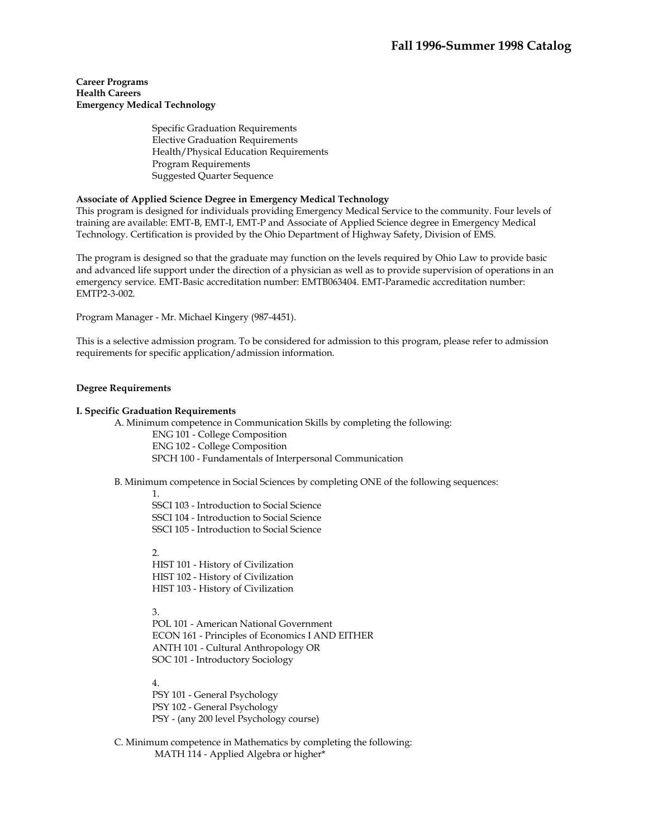**Career Programs Health Careers Emergency Medical Technology** 

> Specific Graduation Requirements Elective Graduation Requirements Health/Physical Education Requirements Program Requirements Suggested Quarter Sequence

## **Associate of Applied Science Degree in Emergency Medical Technology**

This program is designed for individuals providing Emergency Medical Service to the community. Four levels of training are available: EMT-B, EMT-I, EMT-P and Associate of Applied Science degree in Emergency Medical Technology. Certification is provided by the Ohio Department of Highway Safety, Division of EMS.

The program is designed so that the graduate may function on the levels required by Ohio Law to provide basic and advanced life support under the direction of a physician as well as to provide supervision of operations in an emergency service. EMT-Basic accreditation number: EMTB063404. EMT-Paramedic accreditation number: EMTP2-3-002.

Program Manager - Mr. Michael Kingery (987-4451).

This is a selective admission program. To be considered for admission to this program, please refer to admission requirements for specific application/admission information.

### **Degree Requirements**

### **I. Specific Graduation Requirements**

 A. Minimum competence in Communication Skills by completing the following: ENG 101 - College Composition ENG 102 - College Composition SPCH 100 - Fundamentals of Interpersonal Communication

B. Minimum competence in Social Sciences by completing ONE of the following sequences:

1.

SSCI 103 - Introduction to Social Science SSCI 104 - Introduction to Social Science SSCI 105 - Introduction to Social Science

2.

HIST 101 - History of Civilization HIST 102 - History of Civilization HIST 103 - History of Civilization

3.

POL 101 - American National Government ECON 161 - Principles of Economics I AND EITHER ANTH 101 - Cultural Anthropology OR SOC 101 - Introductory Sociology

4.

PSY 101 - General Psychology PSY 102 - General Psychology PSY - (any 200 level Psychology course)

 C. Minimum competence in Mathematics by completing the following: MATH 114 - Applied Algebra or higher\*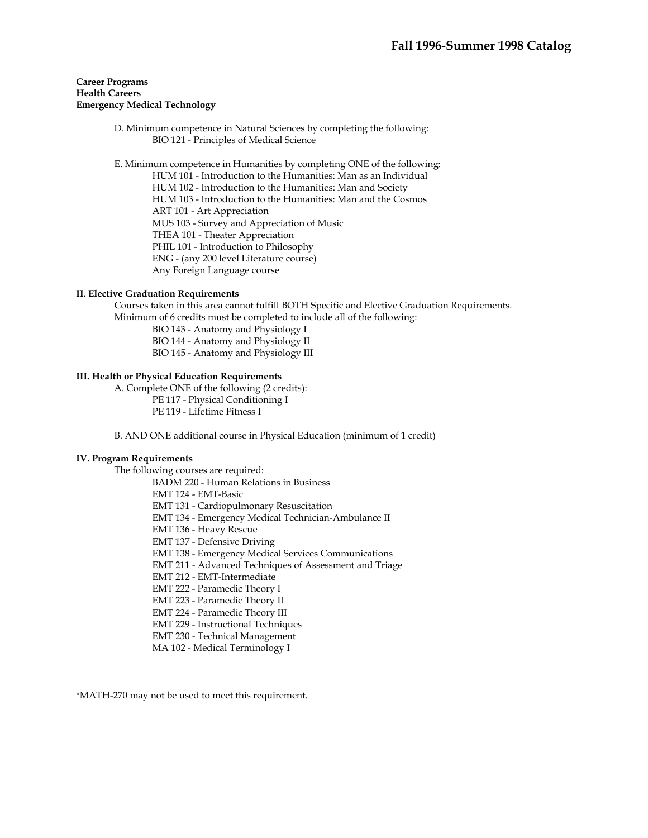### **Career Programs Health Careers Emergency Medical Technology**

 D. Minimum competence in Natural Sciences by completing the following: BIO 121 - Principles of Medical Science

E. Minimum competence in Humanities by completing ONE of the following:

HUM 101 - Introduction to the Humanities: Man as an Individual HUM 102 - Introduction to the Humanities: Man and Society HUM 103 - Introduction to the Humanities: Man and the Cosmos ART 101 - Art Appreciation MUS 103 - Survey and Appreciation of Music THEA 101 - Theater Appreciation PHIL 101 - Introduction to Philosophy ENG - (any 200 level Literature course) Any Foreign Language course

## **II. Elective Graduation Requirements**

 Courses taken in this area cannot fulfill BOTH Specific and Elective Graduation Requirements. Minimum of 6 credits must be completed to include all of the following:

BIO 143 - Anatomy and Physiology I

BIO 144 - Anatomy and Physiology II

BIO 145 - Anatomy and Physiology III

## **III. Health or Physical Education Requirements**

 A. Complete ONE of the following (2 credits): PE 117 - Physical Conditioning I PE 119 - Lifetime Fitness I

B. AND ONE additional course in Physical Education (minimum of 1 credit)

## **IV. Program Requirements**

The following courses are required:

BADM 220 - Human Relations in Business

EMT 124 - EMT-Basic

EMT 131 - Cardiopulmonary Resuscitation

- EMT 134 Emergency Medical Technician-Ambulance II
- EMT 136 Heavy Rescue
- EMT 137 Defensive Driving

EMT 138 - Emergency Medical Services Communications

EMT 211 - Advanced Techniques of Assessment and Triage

EMT 212 - EMT-Intermediate

EMT 222 - Paramedic Theory I

EMT 223 - Paramedic Theory II

EMT 224 - Paramedic Theory III

EMT 229 - Instructional Techniques

EMT 230 - Technical Management

MA 102 - Medical Terminology I

\*MATH-270 may not be used to meet this requirement.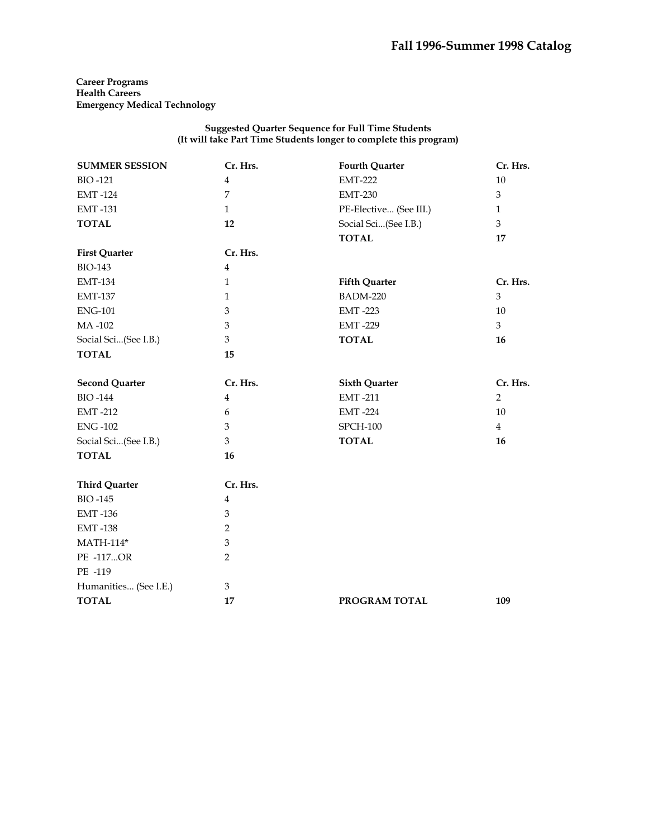**Career Programs Health Careers Emergency Medical Technology** 

### **Suggested Quarter Sequence for Full Time Students (It will take Part Time Students longer to complete this program)**

| <b>SUMMER SESSION</b> | Cr. Hrs.                  | <b>Fourth Quarter</b>  | Cr. Hrs.       |
|-----------------------|---------------------------|------------------------|----------------|
| <b>BIO-121</b>        | $\overline{\mathbf{4}}$   | <b>EMT-222</b>         | $10\,$         |
| <b>EMT-124</b>        | 7                         | <b>EMT-230</b>         | 3              |
| <b>EMT-131</b>        | $\mathbf{1}$              | PE-Elective (See III.) | $\mathbf{1}$   |
| <b>TOTAL</b>          | 12                        | Social Sci(See I.B.)   | 3              |
|                       |                           | <b>TOTAL</b>           | 17             |
| <b>First Quarter</b>  | Cr. Hrs.                  |                        |                |
| <b>BIO-143</b>        | $\overline{\mathbf{4}}$   |                        |                |
| <b>EMT-134</b>        | $\mathbf{1}$              | <b>Fifth Quarter</b>   | Cr. Hrs.       |
| <b>EMT-137</b>        | $\mathbf{1}$              | <b>BADM-220</b>        | 3              |
| <b>ENG-101</b>        | 3                         | <b>EMT-223</b>         | 10             |
| MA-102                | $\ensuremath{\mathbf{3}}$ | <b>EMT-229</b>         | $\overline{3}$ |
| Social Sci(See I.B.)  | 3                         | <b>TOTAL</b>           | 16             |
| <b>TOTAL</b>          | 15                        |                        |                |
|                       |                           |                        |                |
| <b>Second Quarter</b> | Cr. Hrs.                  | <b>Sixth Quarter</b>   | Cr. Hrs.       |
| <b>BIO-144</b>        | $\overline{\mathbf{4}}$   | <b>EMT-211</b>         | $\overline{2}$ |
| <b>EMT-212</b>        | 6                         | <b>EMT-224</b>         | 10             |
| <b>ENG-102</b>        | 3                         | <b>SPCH-100</b>        | $\overline{4}$ |
| Social Sci(See I.B.)  | 3                         | <b>TOTAL</b>           | 16             |
| <b>TOTAL</b>          | 16                        |                        |                |
| <b>Third Quarter</b>  | Cr. Hrs.                  |                        |                |
| <b>BIO-145</b>        | $\overline{4}$            |                        |                |
| <b>EMT-136</b>        | 3                         |                        |                |
| <b>EMT-138</b>        | $\overline{2}$            |                        |                |
| MATH-114*             | 3                         |                        |                |
| PE -117OR             | $\overline{2}$            |                        |                |
| PE -119               |                           |                        |                |
| Humanities (See I.E.) | 3                         |                        |                |
| <b>TOTAL</b>          | 17                        | PROGRAM TOTAL          | 109            |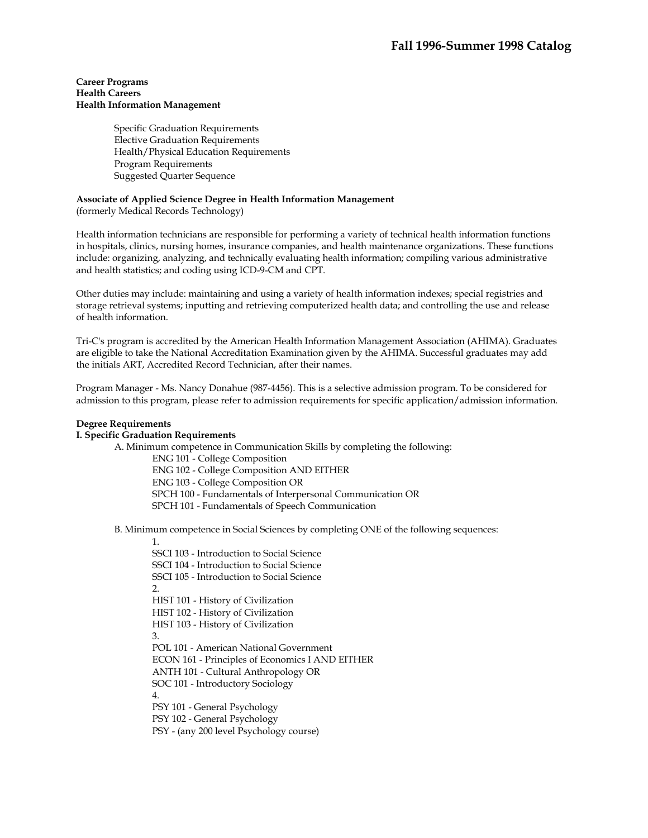### **Career Programs Health Careers Health Information Management**

Specific Graduation Requirements Elective Graduation Requirements Health/Physical Education Requirements Program Requirements Suggested Quarter Sequence

## **Associate of Applied Science Degree in Health Information Management**

(formerly Medical Records Technology)

Health information technicians are responsible for performing a variety of technical health information functions in hospitals, clinics, nursing homes, insurance companies, and health maintenance organizations. These functions include: organizing, analyzing, and technically evaluating health information; compiling various administrative and health statistics; and coding using ICD-9-CM and CPT.

Other duties may include: maintaining and using a variety of health information indexes; special registries and storage retrieval systems; inputting and retrieving computerized health data; and controlling the use and release of health information.

Tri-C's program is accredited by the American Health Information Management Association (AHIMA). Graduates are eligible to take the National Accreditation Examination given by the AHIMA. Successful graduates may add the initials ART, Accredited Record Technician, after their names.

Program Manager - Ms. Nancy Donahue (987-4456). This is a selective admission program. To be considered for admission to this program, please refer to admission requirements for specific application/admission information.

### **Degree Requirements**

## **I. Specific Graduation Requirements**

 A. Minimum competence in Communication Skills by completing the following: ENG 101 - College Composition

ENG 102 - College Composition AND EITHER

ENG 103 - College Composition OR

SPCH 100 - Fundamentals of Interpersonal Communication OR

SPCH 101 - Fundamentals of Speech Communication

B. Minimum competence in Social Sciences by completing ONE of the following sequences:

1.

SSCI 103 - Introduction to Social Science SSCI 104 - Introduction to Social Science SSCI 105 - Introduction to Social Science  $2.5$ HIST 101 - History of Civilization HIST 102 - History of Civilization HIST 103 - History of Civilization 3. POL 101 - American National Government ECON 161 - Principles of Economics I AND EITHER ANTH 101 - Cultural Anthropology OR SOC 101 - Introductory Sociology 4. PSY 101 - General Psychology PSY 102 - General Psychology PSY - (any 200 level Psychology course)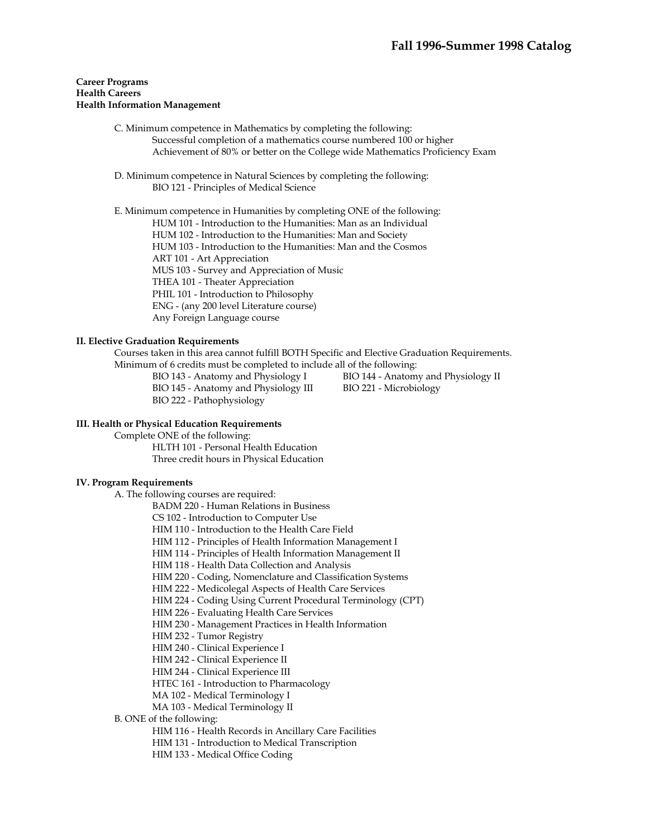### **Career Programs Health Careers Health Information Management**

- C. Minimum competence in Mathematics by completing the following: Successful completion of a mathematics course numbered 100 or higher Achievement of 80% or better on the College wide Mathematics Proficiency Exam
- D. Minimum competence in Natural Sciences by completing the following: BIO 121 - Principles of Medical Science

 E. Minimum competence in Humanities by completing ONE of the following: HUM 101 - Introduction to the Humanities: Man as an Individual HUM 102 - Introduction to the Humanities: Man and Society

HUM 103 - Introduction to the Humanities: Man and the Cosmos

ART 101 - Art Appreciation

MUS 103 - Survey and Appreciation of Music

THEA 101 - Theater Appreciation

PHIL 101 - Introduction to Philosophy

ENG - (any 200 level Literature course)

Any Foreign Language course

## **II. Elective Graduation Requirements**

 Courses taken in this area cannot fulfill BOTH Specific and Elective Graduation Requirements. Minimum of 6 credits must be completed to include all of the following:

BIO 145 - Anatomy and Physiology III BIO 221 - Microbiology BIO 222 - Pathophysiology

BIO 143 - Anatomy and Physiology I BIO 144 - Anatomy and Physiology II

### **III. Health or Physical Education Requirements**

Complete ONE of the following:

 HLTH 101 - Personal Health Education Three credit hours in Physical Education

### **IV. Program Requirements**

A. The following courses are required:

BADM 220 - Human Relations in Business

CS 102 - Introduction to Computer Use

HIM 110 - Introduction to the Health Care Field

HIM 112 - Principles of Health Information Management I

HIM 114 - Principles of Health Information Management II

HIM 118 - Health Data Collection and Analysis

HIM 220 - Coding, Nomenclature and Classification Systems

HIM 222 - Medicolegal Aspects of Health Care Services

HIM 224 - Coding Using Current Procedural Terminology (CPT)

HIM 226 - Evaluating Health Care Services

HIM 230 - Management Practices in Health Information

HIM 232 - Tumor Registry

HIM 240 - Clinical Experience I

HIM 242 - Clinical Experience II

HIM 244 - Clinical Experience III

HTEC 161 - Introduction to Pharmacology

MA 102 - Medical Terminology I

MA 103 - Medical Terminology II

## B. ONE of the following:

HIM 116 - Health Records in Ancillary Care Facilities

HIM 131 - Introduction to Medical Transcription

HIM 133 - Medical Office Coding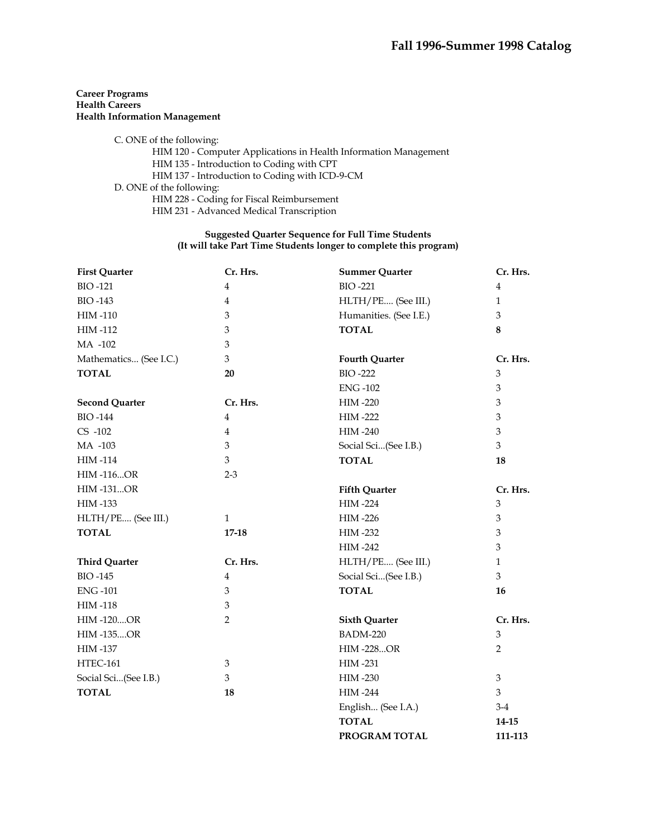## **Career Programs Health Careers Health Information Management**

 C. ONE of the following: HIM 120 - Computer Applications in Health Information Management HIM 135 - Introduction to Coding with CPT HIM 137 - Introduction to Coding with ICD-9-CM D. ONE of the following: HIM 228 - Coding for Fiscal Reimbursement HIM 231 - Advanced Medical Transcription

## **Suggested Quarter Sequence for Full Time Students (It will take Part Time Students longer to complete this program)**

| <b>First Quarter</b>   | Cr. Hrs.                | <b>Summer Quarter</b>  | Cr. Hrs.       |
|------------------------|-------------------------|------------------------|----------------|
| <b>BIO-121</b>         | $\bf 4$                 | <b>BIO-221</b>         | $\overline{4}$ |
| <b>BIO-143</b>         | $\bf 4$                 | HLTH/PE (See III.)     | $\mathbf{1}$   |
| <b>HIM-110</b>         | $\mathfrak{B}$          | Humanities. (See I.E.) | 3              |
| <b>HIM-112</b>         | $\mathfrak{B}$          | <b>TOTAL</b>           | 8              |
| MA -102                | $\mathfrak{B}$          |                        |                |
| Mathematics (See I.C.) | 3                       | <b>Fourth Quarter</b>  | Cr. Hrs.       |
| <b>TOTAL</b>           | 20                      | <b>BIO-222</b>         | 3              |
|                        |                         | <b>ENG-102</b>         | 3              |
| <b>Second Quarter</b>  | Cr. Hrs.                | <b>HIM-220</b>         | 3              |
| <b>BIO-144</b>         | $\overline{4}$          | <b>HIM-222</b>         | 3              |
| $CS -102$              | $\overline{\mathbf{4}}$ | HIM-240                | 3              |
| MA -103                | 3                       | Social Sci(See I.B.)   | 3              |
| <b>HIM-114</b>         | 3                       | <b>TOTAL</b>           | 18             |
| <b>HIM-116OR</b>       | $2 - 3$                 |                        |                |
| <b>HIM-131OR</b>       |                         | <b>Fifth Quarter</b>   | Cr. Hrs.       |
| HIM -133               |                         | <b>HIM-224</b>         | 3              |
| HLTH/PE (See III.)     | $\mathbf{1}$            | <b>HIM-226</b>         | 3              |
| <b>TOTAL</b>           | $17 - 18$               | <b>HIM-232</b>         | 3              |
|                        |                         | <b>HIM-242</b>         | $\mathfrak{B}$ |
| <b>Third Quarter</b>   | Cr. Hrs.                | HLTH/PE (See III.)     | $\mathbf{1}$   |
| <b>BIO-145</b>         | $\bf 4$                 | Social Sci(See I.B.)   | 3              |
| <b>ENG-101</b>         | 3                       | <b>TOTAL</b>           | 16             |
| <b>HIM-118</b>         | 3                       |                        |                |
| <b>HIM-120OR</b>       | 2                       | <b>Sixth Quarter</b>   | Cr. Hrs.       |
| <b>HIM-135OR</b>       |                         | <b>BADM-220</b>        | $\mathfrak{Z}$ |
| <b>HIM-137</b>         |                         | <b>HIM-228OR</b>       | $\overline{2}$ |
| <b>HTEC-161</b>        | $\mathfrak{B}$          | <b>HIM-231</b>         |                |
| Social Sci(See I.B.)   | 3                       | <b>HIM-230</b>         | $\mathfrak{Z}$ |
| <b>TOTAL</b>           | 18                      | <b>HIM-244</b>         | 3              |
|                        |                         | English (See I.A.)     | $3-4$          |
|                        |                         | <b>TOTAL</b>           | 14-15          |

**PROGRAM TOTAL 111-113**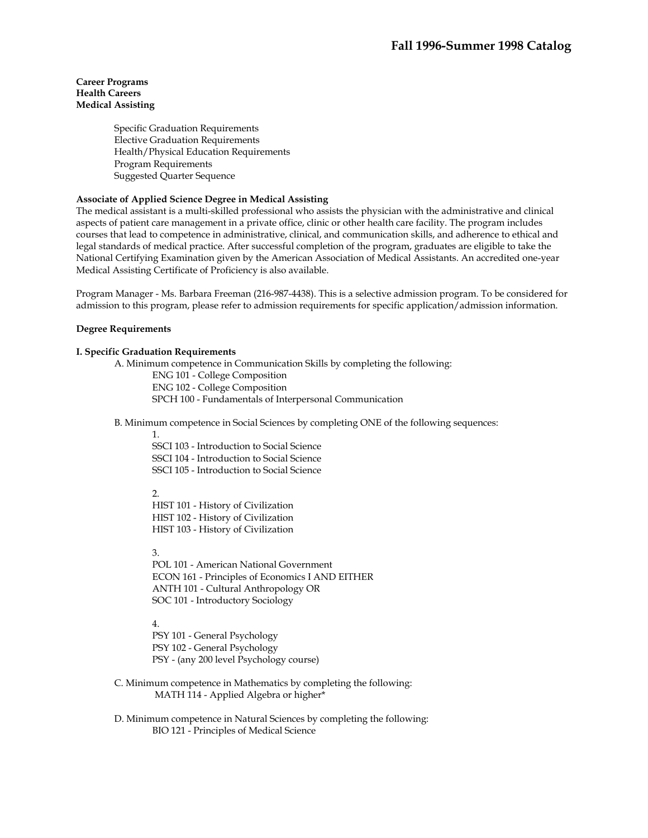Specific Graduation Requirements Elective Graduation Requirements Health/Physical Education Requirements Program Requirements Suggested Quarter Sequence

## **Associate of Applied Science Degree in Medical Assisting**

The medical assistant is a multi-skilled professional who assists the physician with the administrative and clinical aspects of patient care management in a private office, clinic or other health care facility. The program includes courses that lead to competence in administrative, clinical, and communication skills, and adherence to ethical and legal standards of medical practice. After successful completion of the program, graduates are eligible to take the National Certifying Examination given by the American Association of Medical Assistants. An accredited one-year Medical Assisting Certificate of Proficiency is also available.

Program Manager - Ms. Barbara Freeman (216-987-4438). This is a selective admission program. To be considered for admission to this program, please refer to admission requirements for specific application/admission information.

### **Degree Requirements**

### **I. Specific Graduation Requirements**

A. Minimum competence in Communication Skills by completing the following:

ENG 101 - College Composition ENG 102 - College Composition SPCH 100 - Fundamentals of Interpersonal Communication

B. Minimum competence in Social Sciences by completing ONE of the following sequences:

1.

SSCI 103 - Introduction to Social Science SSCI 104 - Introduction to Social Science SSCI 105 - Introduction to Social Science

 $\mathcal{L}$ 

HIST 101 - History of Civilization HIST 102 - History of Civilization HIST 103 - History of Civilization

3.

POL 101 - American National Government ECON 161 - Principles of Economics I AND EITHER ANTH 101 - Cultural Anthropology OR SOC 101 - Introductory Sociology

4.

PSY 101 - General Psychology PSY 102 - General Psychology PSY - (any 200 level Psychology course)

- C. Minimum competence in Mathematics by completing the following: MATH 114 - Applied Algebra or higher\*
- D. Minimum competence in Natural Sciences by completing the following: BIO 121 - Principles of Medical Science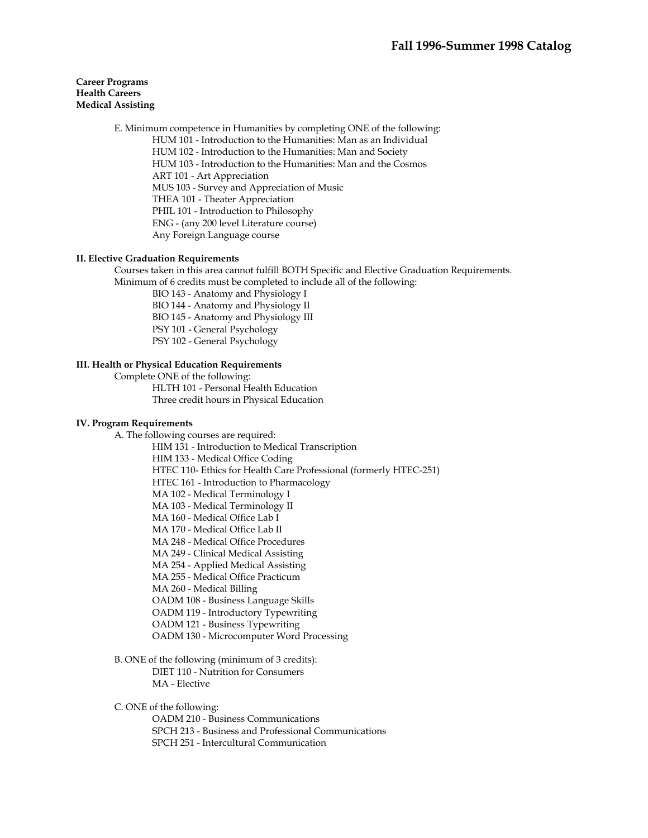E. Minimum competence in Humanities by completing ONE of the following: HUM 101 - Introduction to the Humanities: Man as an Individual HUM 102 - Introduction to the Humanities: Man and Society HUM 103 - Introduction to the Humanities: Man and the Cosmos ART 101 - Art Appreciation MUS 103 - Survey and Appreciation of Music THEA 101 - Theater Appreciation PHIL 101 - Introduction to Philosophy ENG - (any 200 level Literature course) Any Foreign Language course

### **II. Elective Graduation Requirements**

 Courses taken in this area cannot fulfill BOTH Specific and Elective Graduation Requirements. Minimum of 6 credits must be completed to include all of the following:

BIO 143 - Anatomy and Physiology I

BIO 144 - Anatomy and Physiology II BIO 145 - Anatomy and Physiology III

PSY 101 - General Psychology

PSY 102 - General Psychology

## **III. Health or Physical Education Requirements**

Complete ONE of the following:

 HLTH 101 - Personal Health Education Three credit hours in Physical Education

### **IV. Program Requirements**

A. The following courses are required:

HIM 131 - Introduction to Medical Transcription HIM 133 - Medical Office Coding HTEC 110- Ethics for Health Care Professional (formerly HTEC-251) HTEC 161 - Introduction to Pharmacology MA 102 - Medical Terminology I MA 103 - Medical Terminology II MA 160 - Medical Office Lab I MA 170 - Medical Office Lab II MA 248 - Medical Office Procedures MA 249 - Clinical Medical Assisting MA 254 - Applied Medical Assisting MA 255 - Medical Office Practicum MA 260 - Medical Billing OADM 108 - Business Language Skills OADM 119 - Introductory Typewriting OADM 121 - Business Typewriting OADM 130 - Microcomputer Word Processing

 B. ONE of the following (minimum of 3 credits): DIET 110 - Nutrition for Consumers MA - Elective

C. ONE of the following:

OADM 210 - Business Communications

SPCH 213 - Business and Professional Communications

SPCH 251 - Intercultural Communication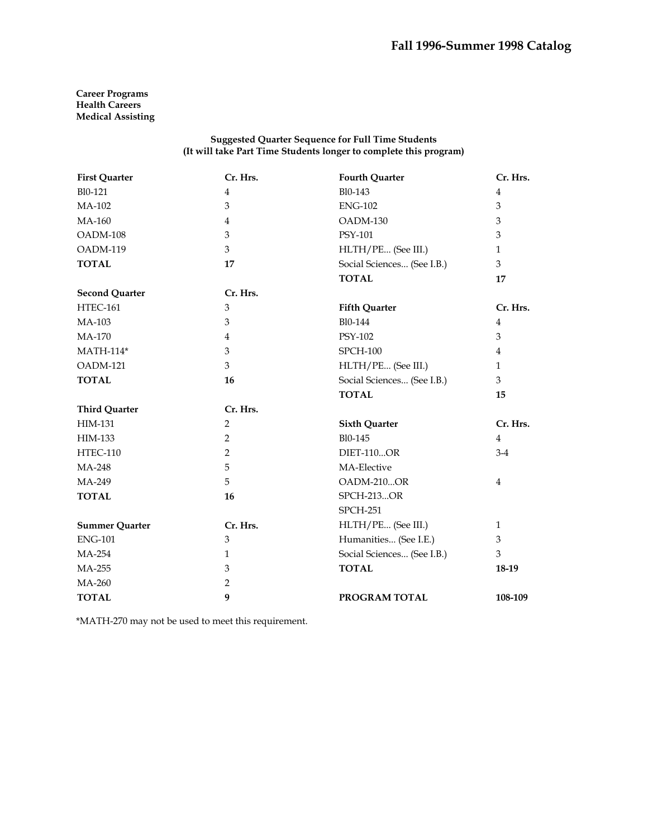#### **Suggested Quarter Sequence for Full Time Students (It will take Part Time Students longer to complete this program)**

| <b>First Quarter</b>  | Cr. Hrs.       | <b>Fourth Quarter</b>      | Cr. Hrs.       |
|-----------------------|----------------|----------------------------|----------------|
| Bl0-121               | $\overline{4}$ | Bl0-143                    | $\overline{4}$ |
| MA-102                | $\mathfrak{B}$ | <b>ENG-102</b>             | $\mathfrak{Z}$ |
| MA-160                | 4              | OADM-130                   | 3              |
| OADM-108              | 3              | PSY-101                    | 3              |
| OADM-119              | 3              | HLTH/PE (See III.)         | $\mathbf{1}$   |
| <b>TOTAL</b>          | 17             | Social Sciences (See I.B.) | 3              |
|                       |                | <b>TOTAL</b>               | 17             |
| <b>Second Quarter</b> | Cr. Hrs.       |                            |                |
| <b>HTEC-161</b>       | 3              | <b>Fifth Quarter</b>       | Cr. Hrs.       |
| MA-103                | 3              | Bl0-144                    | 4              |
| <b>MA-170</b>         | $\overline{4}$ | <b>PSY-102</b>             | 3              |
| <b>MATH-114*</b>      | 3              | <b>SPCH-100</b>            | $\overline{4}$ |
| OADM-121              | 3              | HLTH/PE (See III.)         | $\mathbf{1}$   |
| <b>TOTAL</b>          | 16             | Social Sciences (See I.B.) | 3              |
|                       |                | <b>TOTAL</b>               | 15             |
| <b>Third Quarter</b>  | Cr. Hrs.       |                            |                |
| <b>HIM-131</b>        | $\overline{2}$ | <b>Sixth Quarter</b>       | Cr. Hrs.       |
| HIM-133               | 2              | Bl0-145                    | $\overline{4}$ |
| <b>HTEC-110</b>       | $\overline{2}$ | <b>DIET-110OR</b>          | $3-4$          |
| MA-248                | 5              | MA-Elective                |                |
| MA-249                | 5              | OADM-210OR                 | $\overline{4}$ |
| <b>TOTAL</b>          | 16             | <b>SPCH-213OR</b>          |                |
|                       |                | <b>SPCH-251</b>            |                |
| <b>Summer Quarter</b> | Cr. Hrs.       | HLTH/PE (See III.)         | $\mathbf{1}$   |
| <b>ENG-101</b>        | $\mathfrak{Z}$ | Humanities (See I.E.)      | 3              |
| MA-254                | $\mathbf{1}$   | Social Sciences (See I.B.) | 3              |
| MA-255                | 3              | <b>TOTAL</b>               | 18-19          |
| MA-260                | 2              |                            |                |
| <b>TOTAL</b>          | 9              | PROGRAM TOTAL              | 108-109        |

\*MATH-270 may not be used to meet this requirement.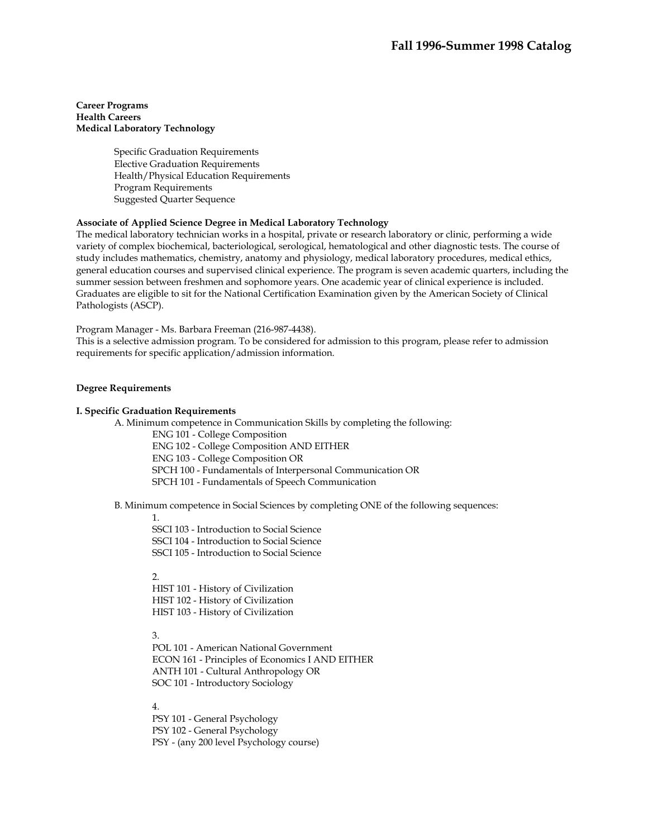### **Career Programs Health Careers Medical Laboratory Technology**

Specific Graduation Requirements Elective Graduation Requirements Health/Physical Education Requirements Program Requirements Suggested Quarter Sequence

### **Associate of Applied Science Degree in Medical Laboratory Technology**

The medical laboratory technician works in a hospital, private or research laboratory or clinic, performing a wide variety of complex biochemical, bacteriological, serological, hematological and other diagnostic tests. The course of study includes mathematics, chemistry, anatomy and physiology, medical laboratory procedures, medical ethics, general education courses and supervised clinical experience. The program is seven academic quarters, including the summer session between freshmen and sophomore years. One academic year of clinical experience is included. Graduates are eligible to sit for the National Certification Examination given by the American Society of Clinical Pathologists (ASCP).

Program Manager - Ms. Barbara Freeman (216-987-4438).

This is a selective admission program. To be considered for admission to this program, please refer to admission requirements for specific application/admission information.

### **Degree Requirements**

### **I. Specific Graduation Requirements**

A. Minimum competence in Communication Skills by completing the following:

ENG 101 - College Composition ENG 102 - College Composition AND EITHER ENG 103 - College Composition OR SPCH 100 - Fundamentals of Interpersonal Communication OR SPCH 101 - Fundamentals of Speech Communication

B. Minimum competence in Social Sciences by completing ONE of the following sequences:

#### 1.

SSCI 103 - Introduction to Social Science SSCI 104 - Introduction to Social Science SSCI 105 - Introduction to Social Science

 $\mathcal{L}$ 

HIST 101 - History of Civilization HIST 102 - History of Civilization HIST 103 - History of Civilization

3.

POL 101 - American National Government ECON 161 - Principles of Economics I AND EITHER ANTH 101 - Cultural Anthropology OR SOC 101 - Introductory Sociology

### 4.

PSY 101 - General Psychology PSY 102 - General Psychology PSY - (any 200 level Psychology course)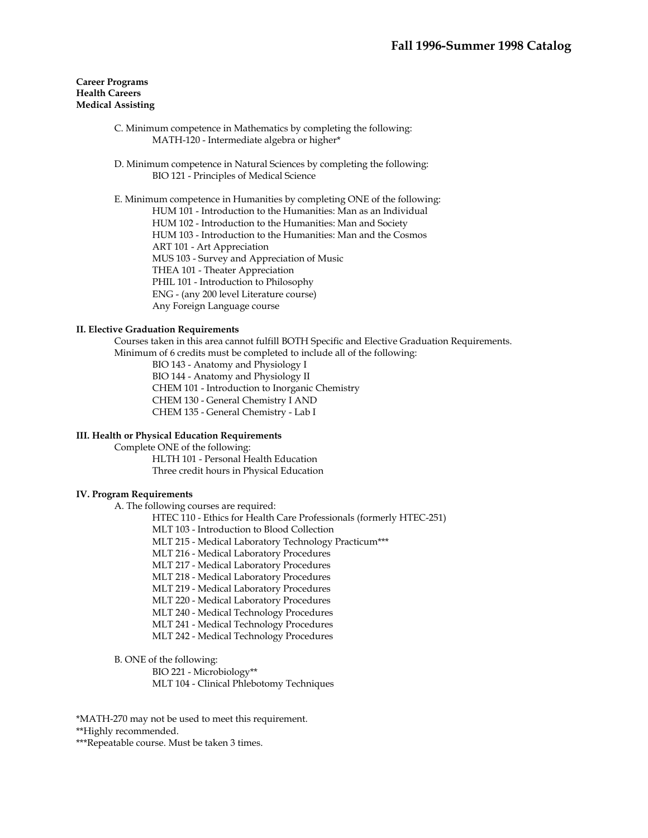- C. Minimum competence in Mathematics by completing the following: MATH-120 - Intermediate algebra or higher\*
- D. Minimum competence in Natural Sciences by completing the following: BIO 121 - Principles of Medical Science

 E. Minimum competence in Humanities by completing ONE of the following: HUM 101 - Introduction to the Humanities: Man as an Individual HUM 102 - Introduction to the Humanities: Man and Society HUM 103 - Introduction to the Humanities: Man and the Cosmos ART 101 - Art Appreciation MUS 103 - Survey and Appreciation of Music THEA 101 - Theater Appreciation PHIL 101 - Introduction to Philosophy ENG - (any 200 level Literature course) Any Foreign Language course

## **II. Elective Graduation Requirements**

 Courses taken in this area cannot fulfill BOTH Specific and Elective Graduation Requirements. Minimum of 6 credits must be completed to include all of the following:

BIO 143 - Anatomy and Physiology I

BIO 144 - Anatomy and Physiology II

CHEM 101 - Introduction to Inorganic Chemistry

CHEM 130 - General Chemistry I AND CHEM 135 - General Chemistry - Lab I

**III. Health or Physical Education Requirements** 

 Complete ONE of the following: HLTH 101 - Personal Health Education Three credit hours in Physical Education

#### **IV. Program Requirements**

A. The following courses are required:

HTEC 110 - Ethics for Health Care Professionals (formerly HTEC-251)

MLT 103 - Introduction to Blood Collection

- MLT 215 Medical Laboratory Technology Practicum\*\*\*
- MLT 216 Medical Laboratory Procedures
- MLT 217 Medical Laboratory Procedures
- MLT 218 Medical Laboratory Procedures
- MLT 219 Medical Laboratory Procedures
- MLT 220 Medical Laboratory Procedures
- MLT 240 Medical Technology Procedures
- MLT 241 Medical Technology Procedures
- MLT 242 Medical Technology Procedures

B. ONE of the following:

BIO 221 - Microbiology\*\*

MLT 104 - Clinical Phlebotomy Techniques

\*MATH-270 may not be used to meet this requirement.

\*\*Highly recommended.

\*\*\*Repeatable course. Must be taken 3 times.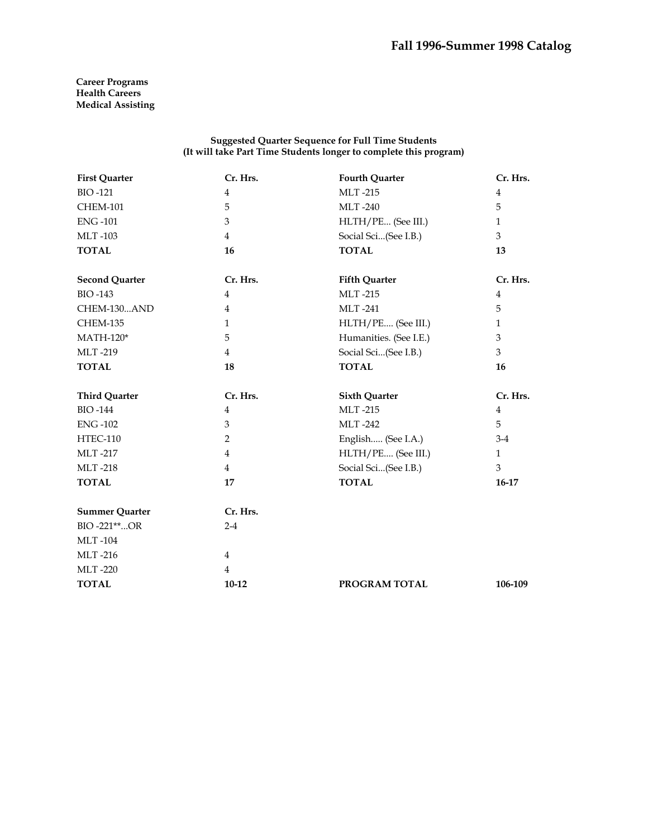### **Suggested Quarter Sequence for Full Time Students (It will take Part Time Students longer to complete this program)**

| <b>First Quarter</b>  | Cr. Hrs.       | <b>Fourth Quarter</b>  | Cr. Hrs.       |
|-----------------------|----------------|------------------------|----------------|
| <b>BIO-121</b>        | $\overline{4}$ | <b>MLT-215</b>         | $\overline{4}$ |
| <b>CHEM-101</b>       | 5              | <b>MLT-240</b>         | 5              |
| <b>ENG-101</b>        | 3              | HLTH/PE (See III.)     | $\mathbf{1}$   |
| <b>MLT-103</b>        | $\overline{4}$ | Social Sci(See I.B.)   | 3              |
| <b>TOTAL</b>          | 16             | <b>TOTAL</b>           | 13             |
| <b>Second Quarter</b> | Cr. Hrs.       | <b>Fifth Quarter</b>   | Cr. Hrs.       |
| <b>BIO-143</b>        | $\overline{4}$ | <b>MLT-215</b>         | $\overline{4}$ |
| CHEM-130AND           | $\overline{4}$ | <b>MLT-241</b>         | 5              |
| <b>CHEM-135</b>       | $\mathbf{1}$   | HLTH/PE (See III.)     | $\mathbf{1}$   |
| $MATH-120*$           | 5              | Humanities. (See I.E.) | 3              |
| <b>MLT-219</b>        | $\overline{4}$ | Social Sci(See I.B.)   | 3              |
| <b>TOTAL</b>          | 18             | <b>TOTAL</b>           | 16             |
| <b>Third Quarter</b>  | Cr. Hrs.       | <b>Sixth Quarter</b>   | Cr. Hrs.       |
| <b>BIO-144</b>        | $\overline{4}$ | <b>MLT-215</b>         | $\overline{4}$ |
| <b>ENG-102</b>        | 3              | <b>MLT-242</b>         | 5              |
| HTEC-110              | 2              | English (See I.A.)     | $3-4$          |
| <b>MLT-217</b>        | $\overline{4}$ | HLTH/PE (See III.)     | $\mathbf{1}$   |
| <b>MLT-218</b>        | $\overline{4}$ | Social Sci(See I.B.)   | 3              |
| <b>TOTAL</b>          | 17             | <b>TOTAL</b>           | 16-17          |
| <b>Summer Quarter</b> | Cr. Hrs.       |                        |                |
| BIO-221**OR           | $2 - 4$        |                        |                |
| <b>MLT-104</b>        |                |                        |                |
| <b>MLT-216</b>        | $\overline{4}$ |                        |                |
| <b>MLT-220</b>        | $\overline{4}$ |                        |                |
| <b>TOTAL</b>          | $10 - 12$      | PROGRAM TOTAL          | 106-109        |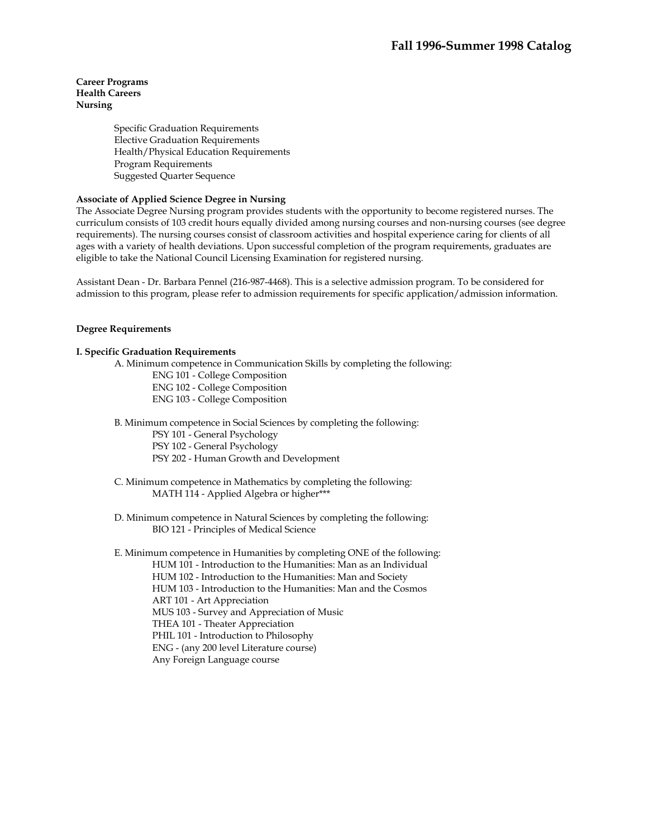### **Career Programs Health Careers Nursing**

Specific Graduation Requirements Elective Graduation Requirements Health/Physical Education Requirements Program Requirements Suggested Quarter Sequence

## **Associate of Applied Science Degree in Nursing**

The Associate Degree Nursing program provides students with the opportunity to become registered nurses. The curriculum consists of 103 credit hours equally divided among nursing courses and non-nursing courses (see degree requirements). The nursing courses consist of classroom activities and hospital experience caring for clients of all ages with a variety of health deviations. Upon successful completion of the program requirements, graduates are eligible to take the National Council Licensing Examination for registered nursing.

Assistant Dean - Dr. Barbara Pennel (216-987-4468). This is a selective admission program. To be considered for admission to this program, please refer to admission requirements for specific application/admission information.

### **Degree Requirements**

### **I. Specific Graduation Requirements**

A. Minimum competence in Communication Skills by completing the following:

ENG 101 - College Composition ENG 102 - College Composition ENG 103 - College Composition

B. Minimum competence in Social Sciences by completing the following:

PSY 101 - General Psychology

PSY 102 - General Psychology

PSY 202 - Human Growth and Development

 C. Minimum competence in Mathematics by completing the following: MATH 114 - Applied Algebra or higher\*\*\*

 D. Minimum competence in Natural Sciences by completing the following: BIO 121 - Principles of Medical Science

 E. Minimum competence in Humanities by completing ONE of the following: HUM 101 - Introduction to the Humanities: Man as an Individual HUM 102 - Introduction to the Humanities: Man and Society HUM 103 - Introduction to the Humanities: Man and the Cosmos ART 101 - Art Appreciation MUS 103 - Survey and Appreciation of Music THEA 101 - Theater Appreciation PHIL 101 - Introduction to Philosophy ENG - (any 200 level Literature course) Any Foreign Language course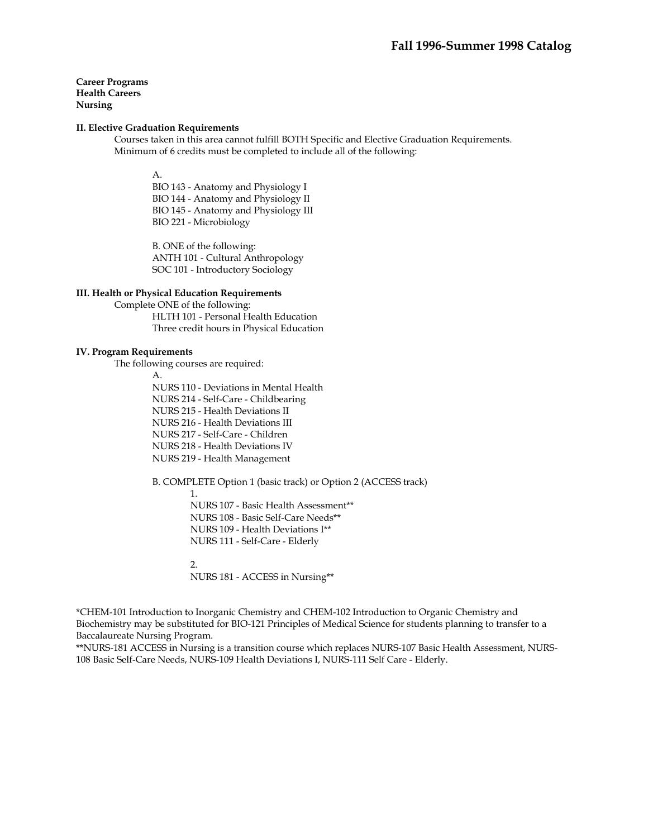**Career Programs Health Careers Nursing** 

### **II. Elective Graduation Requirements**

 Courses taken in this area cannot fulfill BOTH Specific and Elective Graduation Requirements. Minimum of 6 credits must be completed to include all of the following:

A.

BIO 143 - Anatomy and Physiology I BIO 144 - Anatomy and Physiology II BIO 145 - Anatomy and Physiology III BIO 221 - Microbiology

B. ONE of the following: ANTH 101 - Cultural Anthropology SOC 101 - Introductory Sociology

### **III. Health or Physical Education Requirements**

 Complete ONE of the following: HLTH 101 - Personal Health Education Three credit hours in Physical Education

### **IV. Program Requirements**

The following courses are required:

A. NURS 110 - Deviations in Mental Health NURS 214 - Self-Care - Childbearing NURS 215 - Health Deviations II NURS 216 - Health Deviations III NURS 217 - Self-Care - Children NURS 218 - Health Deviations IV NURS 219 - Health Management

B. COMPLETE Option 1 (basic track) or Option 2 (ACCESS track)

1.

NURS 107 - Basic Health Assessment\*\* NURS 108 - Basic Self-Care Needs\*\* NURS 109 - Health Deviations I\*\* NURS 111 - Self-Care - Elderly

# $\mathcal{D}_{\alpha}$

NURS 181 - ACCESS in Nursing\*\*

\*CHEM-101 Introduction to Inorganic Chemistry and CHEM-102 Introduction to Organic Chemistry and Biochemistry may be substituted for BIO-121 Principles of Medical Science for students planning to transfer to a Baccalaureate Nursing Program.

\*\*NURS-181 ACCESS in Nursing is a transition course which replaces NURS-107 Basic Health Assessment, NURS-108 Basic Self-Care Needs, NURS-109 Health Deviations I, NURS-111 Self Care - Elderly.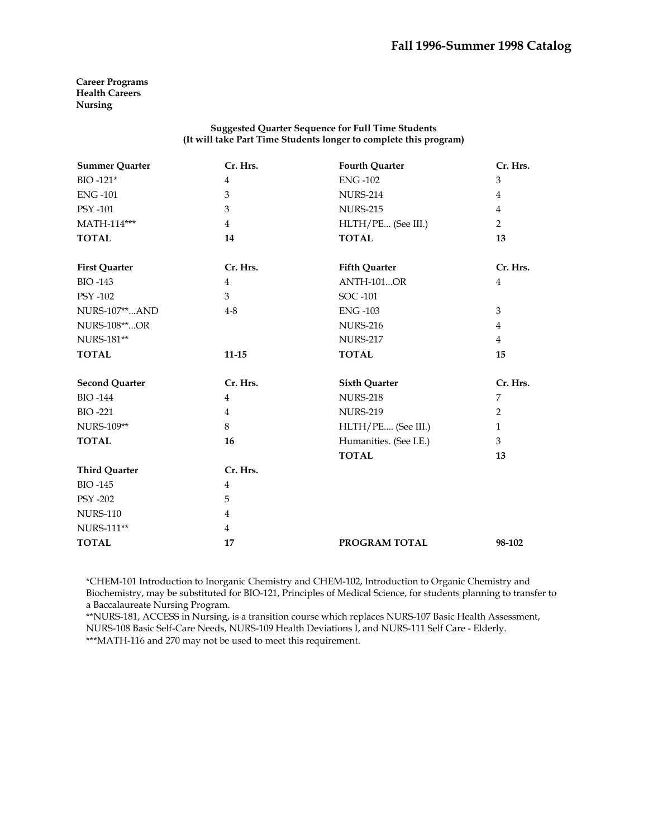**Career Programs Health Careers Nursing** 

## **Suggested Quarter Sequence for Full Time Students (It will take Part Time Students longer to complete this program)**

| <b>Summer Quarter</b> | Cr. Hrs.       | <b>Fourth Quarter</b>  | Cr. Hrs.       |
|-----------------------|----------------|------------------------|----------------|
| BIO-121*              | $\overline{4}$ | <b>ENG-102</b>         | 3              |
| <b>ENG-101</b>        | 3              | <b>NURS-214</b>        | $\overline{4}$ |
| PSY -101              | 3              | <b>NURS-215</b>        | $\overline{4}$ |
| MATH-114***           | $\overline{4}$ | HLTH/PE (See III.)     | 2              |
| <b>TOTAL</b>          | 14             | <b>TOTAL</b>           | 13             |
| <b>First Quarter</b>  | Cr. Hrs.       | <b>Fifth Quarter</b>   | Cr. Hrs.       |
| <b>BIO-143</b>        | $\overline{4}$ | <b>ANTH-101OR</b>      | $\overline{4}$ |
| <b>PSY -102</b>       | 3              | SOC -101               |                |
| NURS-107**AND         | $4-8$          | <b>ENG-103</b>         | 3              |
| NURS-108**OR          |                | <b>NURS-216</b>        | $\overline{4}$ |
| <b>NURS-181**</b>     |                | <b>NURS-217</b>        | $\overline{4}$ |
| <b>TOTAL</b>          | $11 - 15$      | <b>TOTAL</b>           | 15             |
| <b>Second Quarter</b> | Cr. Hrs.       | <b>Sixth Quarter</b>   | Cr. Hrs.       |
| <b>BIO-144</b>        | $\overline{4}$ | <b>NURS-218</b>        | 7              |
| <b>BIO-221</b>        | $\overline{4}$ | <b>NURS-219</b>        | 2              |
| <b>NURS-109**</b>     | 8              | HLTH/PE (See III.)     | $\mathbf{1}$   |
| <b>TOTAL</b>          | 16             | Humanities. (See I.E.) | 3              |
|                       |                | <b>TOTAL</b>           | 13             |
| <b>Third Quarter</b>  | Cr. Hrs.       |                        |                |
| <b>BIO-145</b>        | $\overline{4}$ |                        |                |
| <b>PSY -202</b>       | 5              |                        |                |
| <b>NURS-110</b>       | $\overline{4}$ |                        |                |
| NURS-111**            | $\overline{4}$ |                        |                |
| <b>TOTAL</b>          | 17             | PROGRAM TOTAL          | 98-102         |

\*CHEM-101 Introduction to Inorganic Chemistry and CHEM-102, Introduction to Organic Chemistry and Biochemistry, may be substituted for BIO-121, Principles of Medical Science, for students planning to transfer to a Baccalaureate Nursing Program.

\*\*NURS-181, ACCESS in Nursing, is a transition course which replaces NURS-107 Basic Health Assessment, NURS-108 Basic Self-Care Needs, NURS-109 Health Deviations I, and NURS-111 Self Care - Elderly. \*\*\*MATH-116 and 270 may not be used to meet this requirement.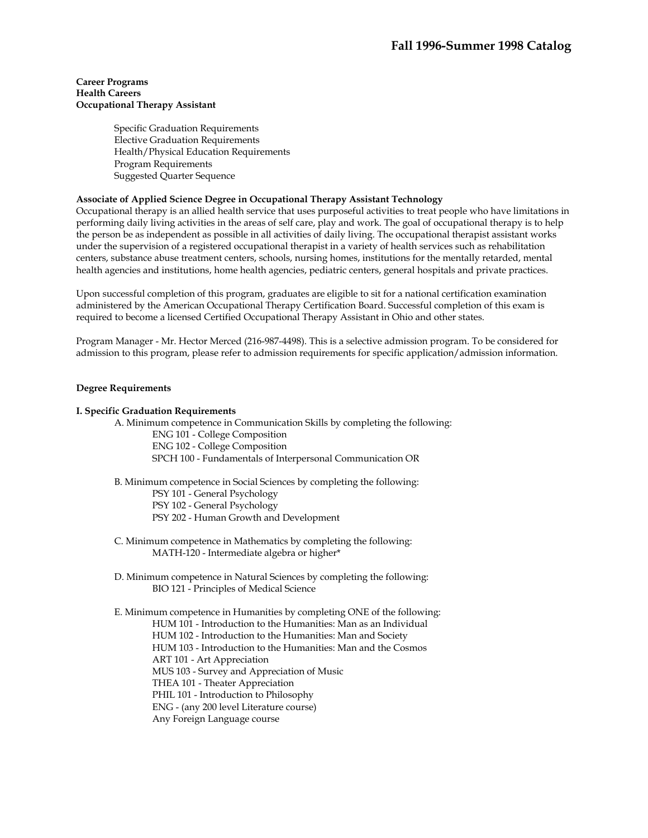### **Career Programs Health Careers Occupational Therapy Assistant**

Specific Graduation Requirements Elective Graduation Requirements Health/Physical Education Requirements Program Requirements Suggested Quarter Sequence

## **Associate of Applied Science Degree in Occupational Therapy Assistant Technology**

Occupational therapy is an allied health service that uses purposeful activities to treat people who have limitations in performing daily living activities in the areas of self care, play and work. The goal of occupational therapy is to help the person be as independent as possible in all activities of daily living. The occupational therapist assistant works under the supervision of a registered occupational therapist in a variety of health services such as rehabilitation centers, substance abuse treatment centers, schools, nursing homes, institutions for the mentally retarded, mental health agencies and institutions, home health agencies, pediatric centers, general hospitals and private practices.

Upon successful completion of this program, graduates are eligible to sit for a national certification examination administered by the American Occupational Therapy Certification Board. Successful completion of this exam is required to become a licensed Certified Occupational Therapy Assistant in Ohio and other states.

Program Manager - Mr. Hector Merced (216-987-4498). This is a selective admission program. To be considered for admission to this program, please refer to admission requirements for specific application/admission information.

### **Degree Requirements**

### **I. Specific Graduation Requirements**

 A. Minimum competence in Communication Skills by completing the following: ENG 101 - College Composition ENG 102 - College Composition

SPCH 100 - Fundamentals of Interpersonal Communication OR

 B. Minimum competence in Social Sciences by completing the following: PSY 101 - General Psychology PSY 102 - General Psychology PSY 202 - Human Growth and Development

- C. Minimum competence in Mathematics by completing the following: MATH-120 - Intermediate algebra or higher\*
- D. Minimum competence in Natural Sciences by completing the following: BIO 121 - Principles of Medical Science

 E. Minimum competence in Humanities by completing ONE of the following: HUM 101 - Introduction to the Humanities: Man as an Individual HUM 102 - Introduction to the Humanities: Man and Society HUM 103 - Introduction to the Humanities: Man and the Cosmos ART 101 - Art Appreciation MUS 103 - Survey and Appreciation of Music THEA 101 - Theater Appreciation PHIL 101 - Introduction to Philosophy ENG - (any 200 level Literature course) Any Foreign Language course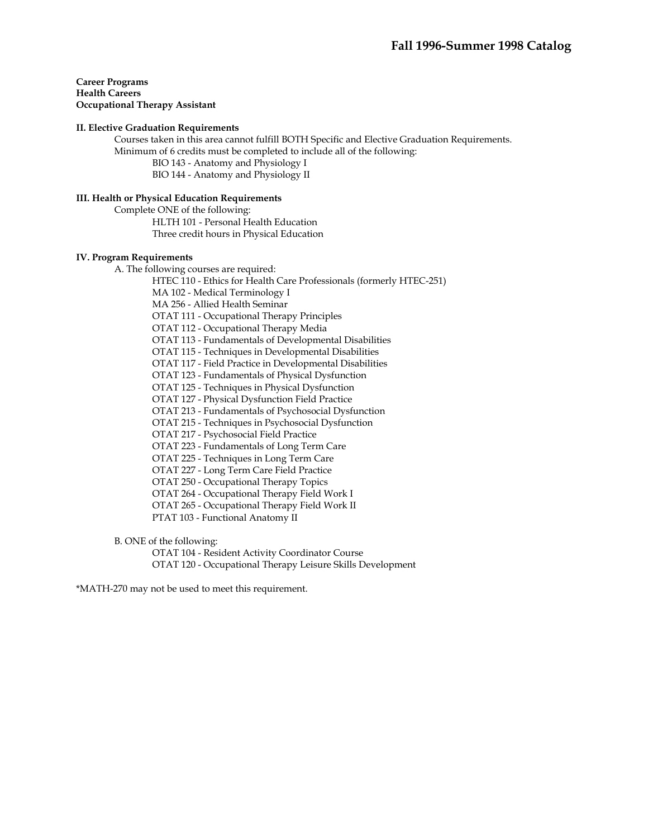**Career Programs Health Careers Occupational Therapy Assistant** 

### **II. Elective Graduation Requirements**

 Courses taken in this area cannot fulfill BOTH Specific and Elective Graduation Requirements. Minimum of 6 credits must be completed to include all of the following:

BIO 143 - Anatomy and Physiology I

BIO 144 - Anatomy and Physiology II

## **III. Health or Physical Education Requirements**

 Complete ONE of the following: HLTH 101 - Personal Health Education Three credit hours in Physical Education

### **IV. Program Requirements**

A. The following courses are required:

HTEC 110 - Ethics for Health Care Professionals (formerly HTEC-251)

MA 102 - Medical Terminology I

MA 256 - Allied Health Seminar

OTAT 111 - Occupational Therapy Principles

OTAT 112 - Occupational Therapy Media

OTAT 113 - Fundamentals of Developmental Disabilities

OTAT 115 - Techniques in Developmental Disabilities

OTAT 117 - Field Practice in Developmental Disabilities

OTAT 123 - Fundamentals of Physical Dysfunction

OTAT 125 - Techniques in Physical Dysfunction

OTAT 127 - Physical Dysfunction Field Practice

OTAT 213 - Fundamentals of Psychosocial Dysfunction

OTAT 215 - Techniques in Psychosocial Dysfunction

OTAT 217 - Psychosocial Field Practice

OTAT 223 - Fundamentals of Long Term Care

OTAT 225 - Techniques in Long Term Care

OTAT 227 - Long Term Care Field Practice

OTAT 250 - Occupational Therapy Topics

OTAT 264 - Occupational Therapy Field Work I

OTAT 265 - Occupational Therapy Field Work II

PTAT 103 - Functional Anatomy II

B. ONE of the following:

 OTAT 104 - Resident Activity Coordinator Course OTAT 120 - Occupational Therapy Leisure Skills Development

\*MATH-270 may not be used to meet this requirement.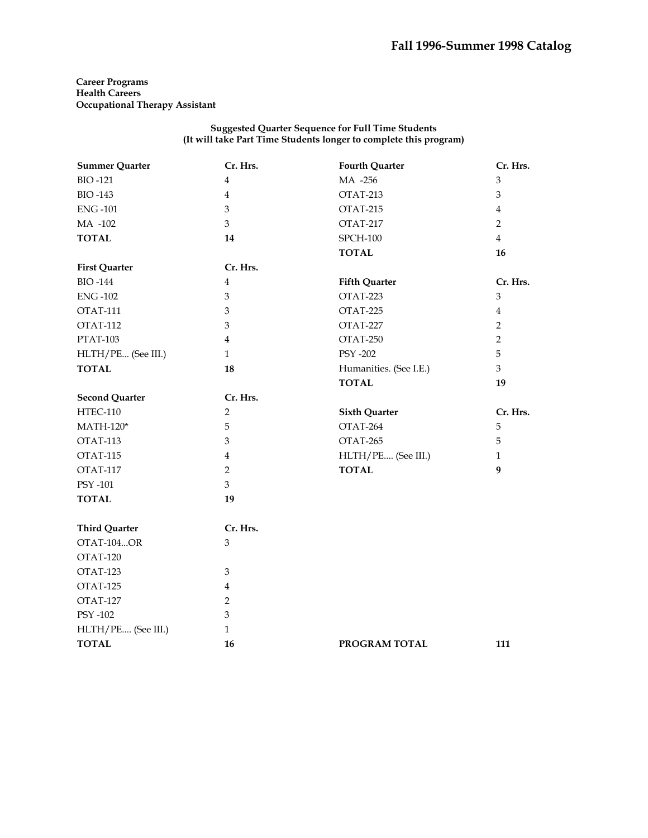**Career Programs Health Careers Occupational Therapy Assistant** 

| <b>Summer Quarter</b> | Cr. Hrs.       | <b>Fourth Quarter</b>  | Cr. Hrs.                  |
|-----------------------|----------------|------------------------|---------------------------|
| <b>BIO-121</b>        | 4              | MA -256                | $\ensuremath{\mathbf{3}}$ |
| <b>BIO-143</b>        | $\overline{4}$ | OTAT-213               | $\mathfrak{Z}$            |
| <b>ENG-101</b>        | 3              | OTAT-215               | $\overline{4}$            |
| MA -102               | 3              | OTAT-217               | $\overline{2}$            |
| <b>TOTAL</b>          | 14             | $SPCH-100$             | $\overline{4}$            |
|                       |                | <b>TOTAL</b>           | 16                        |
| <b>First Quarter</b>  | Cr. Hrs.       |                        |                           |
| <b>BIO-144</b>        | $\overline{4}$ | <b>Fifth Quarter</b>   | Cr. Hrs.                  |
| <b>ENG-102</b>        | 3              | OTAT-223               | $\mathfrak{Z}$            |
| OTAT-111              | 3              | OTAT-225               | $\overline{4}$            |
| <b>OTAT-112</b>       | 3              | OTAT-227               | $\overline{2}$            |
| <b>PTAT-103</b>       | $\overline{4}$ | OTAT-250               | $\overline{2}$            |
| HLTH/PE (See III.)    | $\mathbf{1}$   | <b>PSY -202</b>        | 5                         |
| <b>TOTAL</b>          | 18             | Humanities. (See I.E.) | 3                         |
|                       |                | <b>TOTAL</b>           | 19                        |
| <b>Second Quarter</b> | Cr. Hrs.       |                        |                           |
| <b>HTEC-110</b>       | $\overline{2}$ | <b>Sixth Quarter</b>   | Cr. Hrs.                  |
| $MATH-120*$           | 5              | OTAT-264               | 5                         |
| OTAT-113              | 3              | OTAT-265               | 5                         |
| OTAT-115              | $\overline{4}$ | HLTH/PE (See III.)     | $\mathbf{1}$              |
| OTAT-117              | $\overline{2}$ | <b>TOTAL</b>           | 9                         |
| PSY -101              | 3              |                        |                           |
| <b>TOTAL</b>          | 19             |                        |                           |
| <b>Third Quarter</b>  | Cr. Hrs.       |                        |                           |
| OTAT-104OR            | 3              |                        |                           |
| OTAT-120              |                |                        |                           |
| OTAT-123              | 3              |                        |                           |
| OTAT-125              | $\overline{4}$ |                        |                           |
| OTAT-127              | $\overline{2}$ |                        |                           |
| PSY -102              | 3              |                        |                           |
| HLTH/PE (See III.)    | $\mathbf{1}$   |                        |                           |
| <b>TOTAL</b>          | 16             | PROGRAM TOTAL          | 111                       |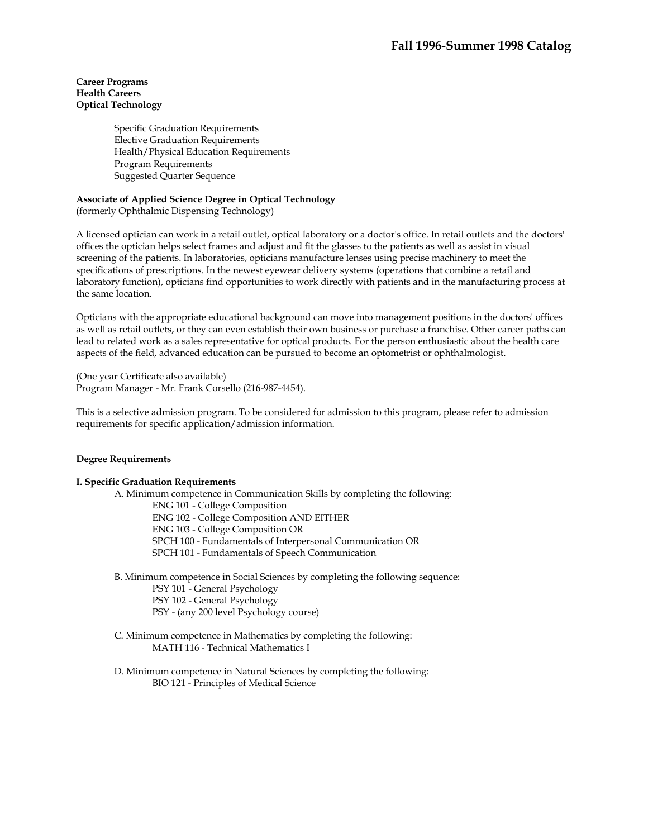## **Career Programs Health Careers Optical Technology**

Specific Graduation Requirements Elective Graduation Requirements Health/Physical Education Requirements Program Requirements Suggested Quarter Sequence

# **Associate of Applied Science Degree in Optical Technology**

(formerly Ophthalmic Dispensing Technology)

A licensed optician can work in a retail outlet, optical laboratory or a doctor's office. In retail outlets and the doctors' offices the optician helps select frames and adjust and fit the glasses to the patients as well as assist in visual screening of the patients. In laboratories, opticians manufacture lenses using precise machinery to meet the specifications of prescriptions. In the newest eyewear delivery systems (operations that combine a retail and laboratory function), opticians find opportunities to work directly with patients and in the manufacturing process at the same location.

Opticians with the appropriate educational background can move into management positions in the doctors' offices as well as retail outlets, or they can even establish their own business or purchase a franchise. Other career paths can lead to related work as a sales representative for optical products. For the person enthusiastic about the health care aspects of the field, advanced education can be pursued to become an optometrist or ophthalmologist.

(One year Certificate also available) Program Manager - Mr. Frank Corsello (216-987-4454).

This is a selective admission program. To be considered for admission to this program, please refer to admission requirements for specific application/admission information.

### **Degree Requirements**

## **I. Specific Graduation Requirements**

 A. Minimum competence in Communication Skills by completing the following: ENG 101 - College Composition

ENG 102 - College Composition AND EITHER

ENG 103 - College Composition OR

SPCH 100 - Fundamentals of Interpersonal Communication OR

SPCH 101 - Fundamentals of Speech Communication

 B. Minimum competence in Social Sciences by completing the following sequence: PSY 101 - General Psychology PSY 102 - General Psychology PSY - (any 200 level Psychology course)

 C. Minimum competence in Mathematics by completing the following: MATH 116 - Technical Mathematics I

 D. Minimum competence in Natural Sciences by completing the following: BIO 121 - Principles of Medical Science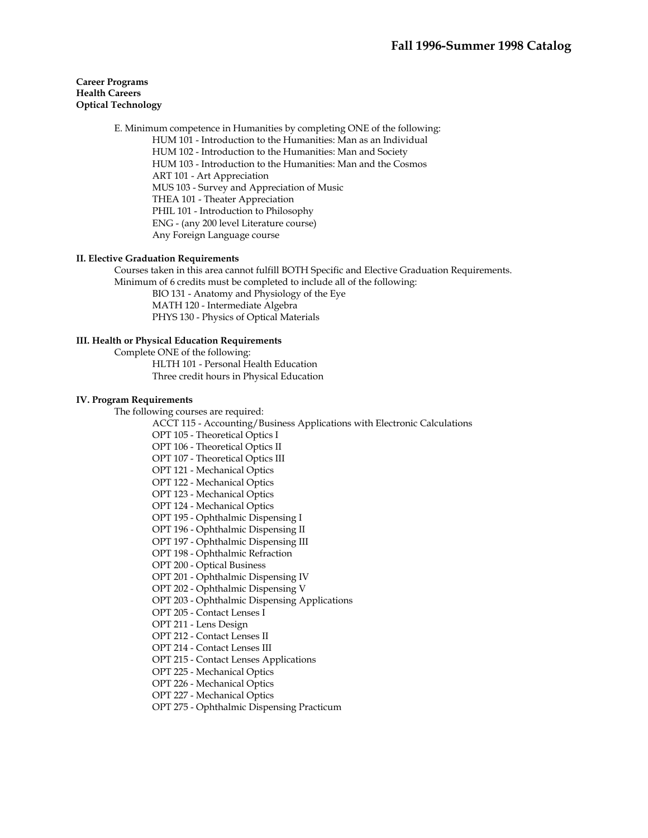### **Career Programs Health Careers Optical Technology**

 E. Minimum competence in Humanities by completing ONE of the following: HUM 101 - Introduction to the Humanities: Man as an Individual HUM 102 - Introduction to the Humanities: Man and Society HUM 103 - Introduction to the Humanities: Man and the Cosmos ART 101 - Art Appreciation MUS 103 - Survey and Appreciation of Music THEA 101 - Theater Appreciation PHIL 101 - Introduction to Philosophy ENG - (any 200 level Literature course) Any Foreign Language course

### **II. Elective Graduation Requirements**

Courses taken in this area cannot fulfill BOTH Specific and Elective Graduation Requirements. Minimum of 6 credits must be completed to include all of the following:

 BIO 131 - Anatomy and Physiology of the Eye MATH 120 - Intermediate Algebra PHYS 130 - Physics of Optical Materials

#### **III. Health or Physical Education Requirements**

 Complete ONE of the following: HLTH 101 - Personal Health Education Three credit hours in Physical Education

#### **IV. Program Requirements**

The following courses are required:

ACCT 115 - Accounting/Business Applications with Electronic Calculations

OPT 105 - Theoretical Optics I

OPT 106 - Theoretical Optics II

OPT 107 - Theoretical Optics III

OPT 121 - Mechanical Optics

OPT 122 - Mechanical Optics

OPT 123 - Mechanical Optics

OPT 124 - Mechanical Optics

OPT 195 - Ophthalmic Dispensing I

OPT 196 - Ophthalmic Dispensing II

OPT 197 - Ophthalmic Dispensing III

OPT 198 - Ophthalmic Refraction

OPT 200 - Optical Business

OPT 201 - Ophthalmic Dispensing IV

OPT 202 - Ophthalmic Dispensing V

OPT 203 - Ophthalmic Dispensing Applications

OPT 205 - Contact Lenses I

OPT 211 - Lens Design

OPT 212 - Contact Lenses II

OPT 214 - Contact Lenses III

OPT 215 - Contact Lenses Applications

OPT 225 - Mechanical Optics

OPT 226 - Mechanical Optics

OPT 227 - Mechanical Optics

OPT 275 - Ophthalmic Dispensing Practicum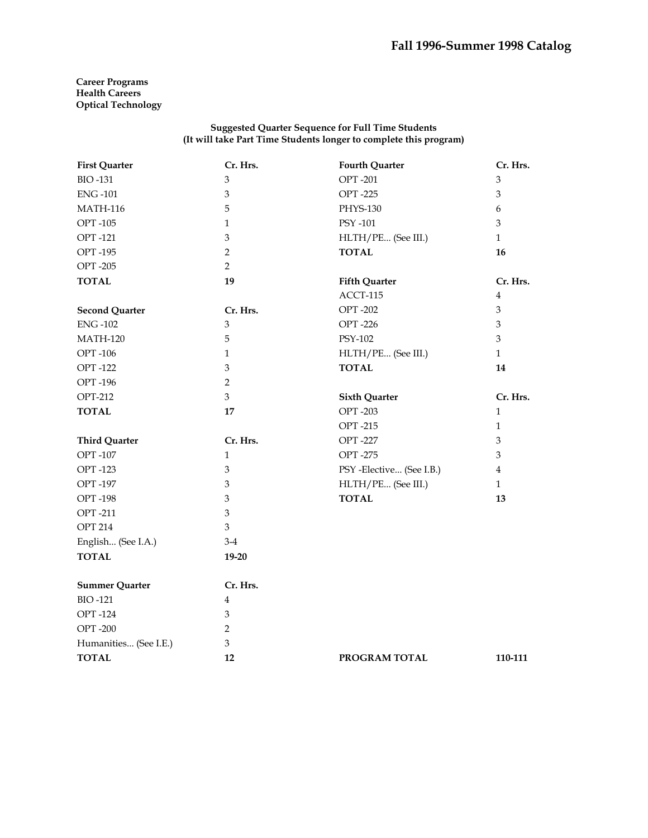**Career Programs Health Careers Optical Technology** 

| <b>First Quarter</b>  | Cr. Hrs.                  | <b>Fourth Quarter</b>    | Cr. Hrs.                  |
|-----------------------|---------------------------|--------------------------|---------------------------|
| <b>BIO-131</b>        | 3                         | <b>OPT-201</b>           | $\mathfrak{B}$            |
| <b>ENG-101</b>        | 3                         | <b>OPT-225</b>           | 3                         |
| <b>MATH-116</b>       | 5                         | PHYS-130                 | 6                         |
| <b>OPT-105</b>        | $\mathbf{1}$              | PSY -101                 | 3                         |
| <b>OPT-121</b>        | $\mathfrak{Z}$            | HLTH/PE (See III.)       | $\mathbf{1}$              |
| <b>OPT-195</b>        | $\overline{2}$            | <b>TOTAL</b>             | 16                        |
| <b>OPT-205</b>        | $\overline{2}$            |                          |                           |
| <b>TOTAL</b>          | 19                        | <b>Fifth Quarter</b>     | Cr. Hrs.                  |
|                       |                           | ACCT-115                 | $\overline{4}$            |
| <b>Second Quarter</b> | Cr. Hrs.                  | <b>OPT-202</b>           | 3                         |
| <b>ENG-102</b>        | $\mathfrak{B}$            | <b>OPT-226</b>           | $\mathfrak{Z}$            |
| <b>MATH-120</b>       | 5                         | PSY-102                  | $\mathfrak{Z}$            |
| <b>OPT-106</b>        | $\mathbf{1}$              | HLTH/PE (See III.)       | $\mathbf{1}$              |
| <b>OPT-122</b>        | 3                         | <b>TOTAL</b>             | 14                        |
| <b>OPT-196</b>        | $\overline{2}$            |                          |                           |
| <b>OPT-212</b>        | 3                         | <b>Sixth Quarter</b>     | Cr. Hrs.                  |
| <b>TOTAL</b>          | 17                        | <b>OPT-203</b>           | $\mathbf{1}$              |
|                       |                           | <b>OPT-215</b>           | $\mathbf{1}$              |
| <b>Third Quarter</b>  | Cr. Hrs.                  | <b>OPT-227</b>           | $\ensuremath{\mathbf{3}}$ |
| <b>OPT-107</b>        | $\mathbf{1}$              | <b>OPT-275</b>           | $\mathfrak{Z}$            |
| <b>OPT-123</b>        | $\mathfrak{Z}$            | PSY -Elective (See I.B.) | $\overline{4}$            |
| <b>OPT-197</b>        | 3                         | HLTH/PE (See III.)       | $\mathbf{1}$              |
| <b>OPT-198</b>        | 3                         | <b>TOTAL</b>             | 13                        |
| <b>OPT-211</b>        | 3                         |                          |                           |
| <b>OPT 214</b>        | $\mathfrak{Z}$            |                          |                           |
| English (See I.A.)    | $3-4$                     |                          |                           |
| <b>TOTAL</b>          | 19-20                     |                          |                           |
| <b>Summer Quarter</b> | Cr. Hrs.                  |                          |                           |
| <b>BIO-121</b>        | 4                         |                          |                           |
| <b>OPT-124</b>        | 3                         |                          |                           |
| <b>OPT-200</b>        | 2                         |                          |                           |
| Humanities (See I.E.) | $\ensuremath{\mathbf{3}}$ |                          |                           |
| <b>TOTAL</b>          | 12                        | PROGRAM TOTAL            | 110-111                   |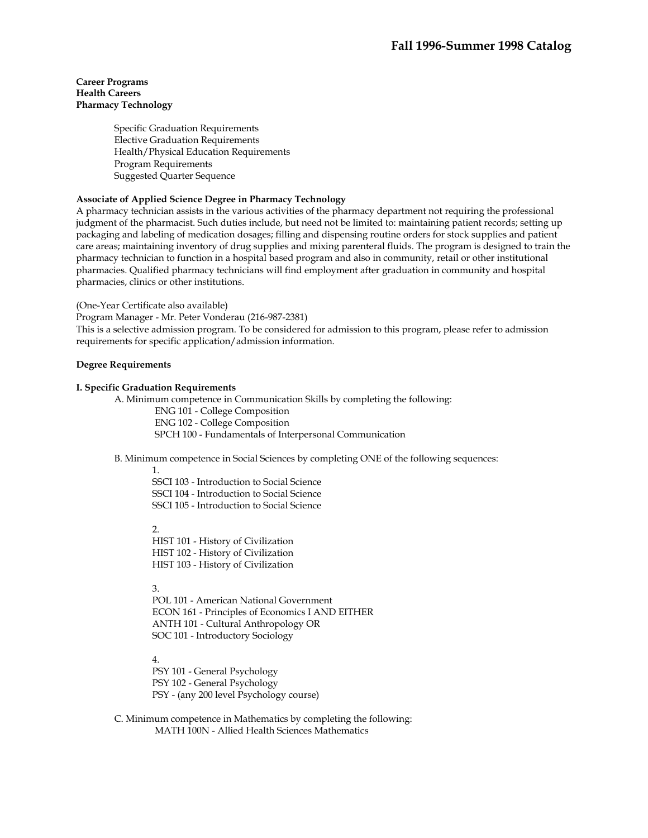### **Career Programs Health Careers Pharmacy Technology**

Specific Graduation Requirements Elective Graduation Requirements Health/Physical Education Requirements Program Requirements Suggested Quarter Sequence

## **Associate of Applied Science Degree in Pharmacy Technology**

A pharmacy technician assists in the various activities of the pharmacy department not requiring the professional judgment of the pharmacist. Such duties include, but need not be limited to: maintaining patient records; setting up packaging and labeling of medication dosages; filling and dispensing routine orders for stock supplies and patient care areas; maintaining inventory of drug supplies and mixing parenteral fluids. The program is designed to train the pharmacy technician to function in a hospital based program and also in community, retail or other institutional pharmacies. Qualified pharmacy technicians will find employment after graduation in community and hospital pharmacies, clinics or other institutions.

(One-Year Certificate also available)

Program Manager - Mr. Peter Vonderau (216-987-2381)

This is a selective admission program. To be considered for admission to this program, please refer to admission requirements for specific application/admission information.

## **Degree Requirements**

### **I. Specific Graduation Requirements**

 A. Minimum competence in Communication Skills by completing the following: ENG 101 - College Composition ENG 102 - College Composition SPCH 100 - Fundamentals of Interpersonal Communication

B. Minimum competence in Social Sciences by completing ONE of the following sequences:

1. SSCI 103 - Introduction to Social Science SSCI 104 - Introduction to Social Science SSCI 105 - Introduction to Social Science

# 2.

HIST 101 - History of Civilization HIST 102 - History of Civilization HIST 103 - History of Civilization

3.

POL 101 - American National Government ECON 161 - Principles of Economics I AND EITHER ANTH 101 - Cultural Anthropology OR SOC 101 - Introductory Sociology

4.

PSY 101 - General Psychology PSY 102 - General Psychology PSY - (any 200 level Psychology course)

 C. Minimum competence in Mathematics by completing the following: MATH 100N - Allied Health Sciences Mathematics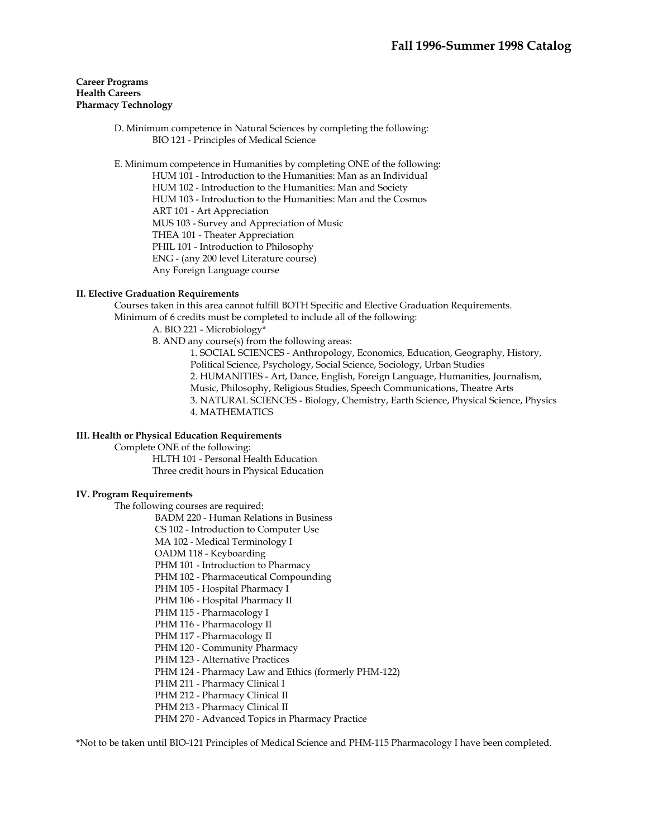### **Career Programs Health Careers Pharmacy Technology**

 D. Minimum competence in Natural Sciences by completing the following: BIO 121 - Principles of Medical Science

E. Minimum competence in Humanities by completing ONE of the following:

HUM 101 - Introduction to the Humanities: Man as an Individual HUM 102 - Introduction to the Humanities: Man and Society HUM 103 - Introduction to the Humanities: Man and the Cosmos ART 101 - Art Appreciation MUS 103 - Survey and Appreciation of Music THEA 101 - Theater Appreciation PHIL 101 - Introduction to Philosophy ENG - (any 200 level Literature course) Any Foreign Language course

## **II. Elective Graduation Requirements**

 Courses taken in this area cannot fulfill BOTH Specific and Elective Graduation Requirements. Minimum of 6 credits must be completed to include all of the following:

A. BIO 221 - Microbiology\*

B. AND any course(s) from the following areas:

1. SOCIAL SCIENCES - Anthropology, Economics, Education, Geography, History, Political Science, Psychology, Social Science, Sociology, Urban Studies 2. HUMANITIES - Art, Dance, English, Foreign Language, Humanities, Journalism, Music, Philosophy, Religious Studies, Speech Communications, Theatre Arts 3. NATURAL SCIENCES - Biology, Chemistry, Earth Science, Physical Science, Physics 4. MATHEMATICS

### **III. Health or Physical Education Requirements**

 Complete ONE of the following: HLTH 101 - Personal Health Education Three credit hours in Physical Education

### **IV. Program Requirements**

The following courses are required:

 BADM 220 - Human Relations in Business CS 102 - Introduction to Computer Use MA 102 - Medical Terminology I OADM 118 - Keyboarding PHM 101 - Introduction to Pharmacy PHM 102 - Pharmaceutical Compounding PHM 105 - Hospital Pharmacy I PHM 106 - Hospital Pharmacy II PHM 115 - Pharmacology I PHM 116 - Pharmacology II PHM 117 - Pharmacology II PHM 120 - Community Pharmacy PHM 123 - Alternative Practices PHM 124 - Pharmacy Law and Ethics (formerly PHM-122) PHM 211 - Pharmacy Clinical I PHM 212 - Pharmacy Clinical II PHM 213 - Pharmacy Clinical II PHM 270 - Advanced Topics in Pharmacy Practice

\*Not to be taken until BIO-121 Principles of Medical Science and PHM-115 Pharmacology I have been completed.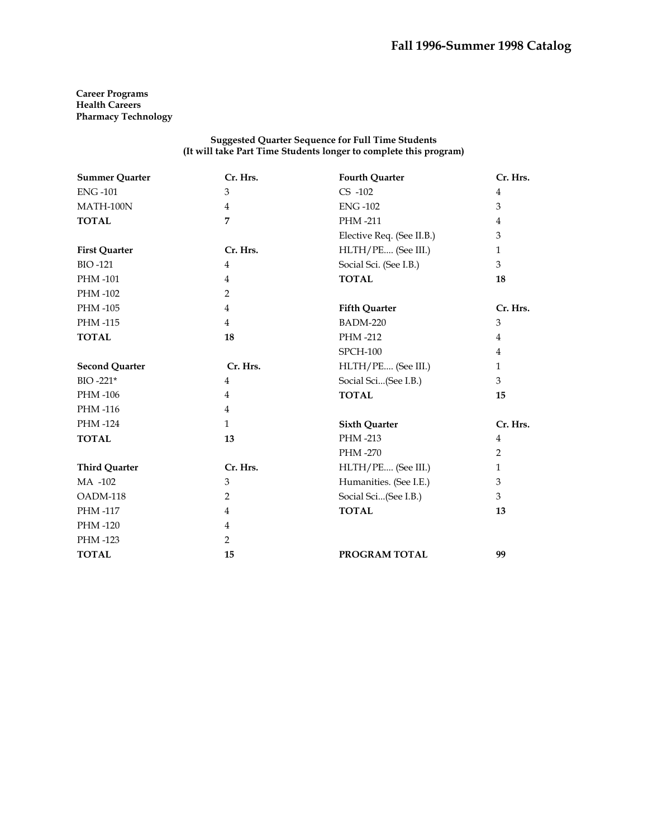**Career Programs Health Careers Pharmacy Technology** 

| <b>Summer Quarter</b> | Cr. Hrs.       | <b>Fourth Quarter</b>     | Cr. Hrs.       |
|-----------------------|----------------|---------------------------|----------------|
| <b>ENG-101</b>        | 3              | $CS -102$                 | $\overline{4}$ |
| MATH-100N             | $\overline{4}$ | <b>ENG-102</b>            | 3              |
| <b>TOTAL</b>          | 7              | PHM-211                   | $\overline{4}$ |
|                       |                | Elective Req. (See II.B.) | 3              |
| <b>First Quarter</b>  | Cr. Hrs.       | HLTH/PE (See III.)        | 1              |
| <b>BIO-121</b>        | $\overline{4}$ | Social Sci. (See I.B.)    | 3              |
| PHM-101               | $\overline{4}$ | <b>TOTAL</b>              | 18             |
| PHM-102               | $\overline{2}$ |                           |                |
| PHM -105              | $\overline{4}$ | <b>Fifth Quarter</b>      | Cr. Hrs.       |
| PHM-115               | $\overline{4}$ | <b>BADM-220</b>           | 3              |
| <b>TOTAL</b>          | 18             | PHM-212                   | 4              |
|                       |                | <b>SPCH-100</b>           | 4              |
| <b>Second Quarter</b> | Cr. Hrs.       | HLTH/PE (See III.)        | $\mathbf{1}$   |
| BIO-221*              | $\overline{4}$ | Social Sci(See I.B.)      | 3              |
| PHM -106              | $\overline{4}$ | <b>TOTAL</b>              | 15             |
| PHM-116               | $\overline{4}$ |                           |                |
| PHM-124               | $\mathbf{1}$   | <b>Sixth Quarter</b>      | Cr. Hrs.       |
| <b>TOTAL</b>          | 13             | PHM-213                   | 4              |
|                       |                | PHM -270                  | $\overline{2}$ |
| <b>Third Quarter</b>  | Cr. Hrs.       | HLTH/PE (See III.)        | $\mathbf{1}$   |
| MA -102               | 3              | Humanities. (See I.E.)    | 3              |
| OADM-118              | 2              | Social Sci(See I.B.)      | 3              |
| PHM -117              | $\overline{4}$ | <b>TOTAL</b>              | 13             |
| PHM-120               | 4              |                           |                |
| PHM -123              | 2              |                           |                |
| <b>TOTAL</b>          | 15             | PROGRAM TOTAL             | 99             |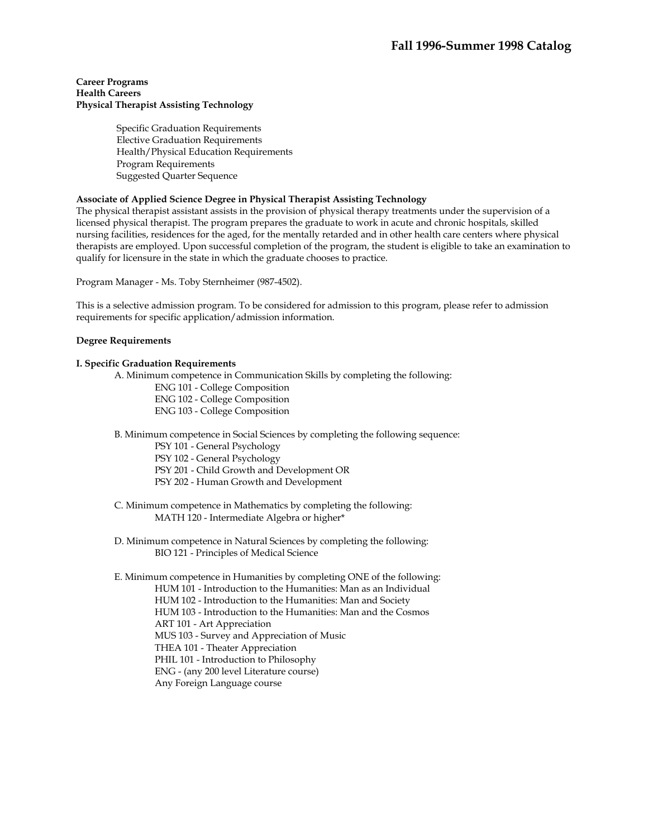### **Career Programs Health Careers Physical Therapist Assisting Technology**

 Specific Graduation Requirements Elective Graduation Requirements Health/Physical Education Requirements Program Requirements Suggested Quarter Sequence

## **Associate of Applied Science Degree in Physical Therapist Assisting Technology**

The physical therapist assistant assists in the provision of physical therapy treatments under the supervision of a licensed physical therapist. The program prepares the graduate to work in acute and chronic hospitals, skilled nursing facilities, residences for the aged, for the mentally retarded and in other health care centers where physical therapists are employed. Upon successful completion of the program, the student is eligible to take an examination to qualify for licensure in the state in which the graduate chooses to practice.

Program Manager - Ms. Toby Sternheimer (987-4502).

This is a selective admission program. To be considered for admission to this program, please refer to admission requirements for specific application/admission information.

### **Degree Requirements**

### **I. Specific Graduation Requirements**

A. Minimum competence in Communication Skills by completing the following:

ENG 101 - College Composition

ENG 102 - College Composition

ENG 103 - College Composition

B. Minimum competence in Social Sciences by completing the following sequence:

PSY 101 - General Psychology

PSY 102 - General Psychology

PSY 201 - Child Growth and Development OR

PSY 202 - Human Growth and Development

 C. Minimum competence in Mathematics by completing the following: MATH 120 - Intermediate Algebra or higher\*

 D. Minimum competence in Natural Sciences by completing the following: BIO 121 - Principles of Medical Science

 E. Minimum competence in Humanities by completing ONE of the following: HUM 101 - Introduction to the Humanities: Man as an Individual HUM 102 - Introduction to the Humanities: Man and Society HUM 103 - Introduction to the Humanities: Man and the Cosmos ART 101 - Art Appreciation MUS 103 - Survey and Appreciation of Music THEA 101 - Theater Appreciation PHIL 101 - Introduction to Philosophy ENG - (any 200 level Literature course) Any Foreign Language course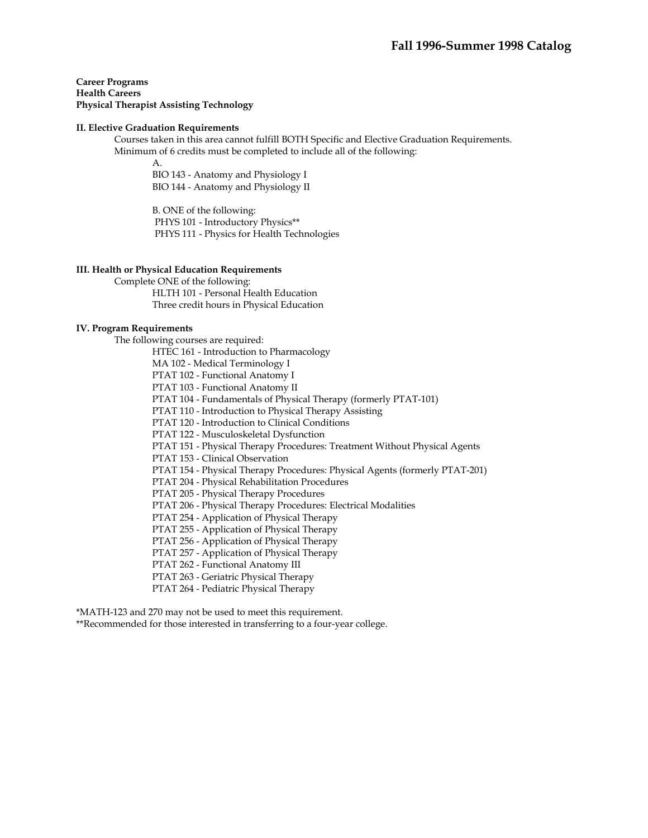**Career Programs Health Careers Physical Therapist Assisting Technology** 

#### **II. Elective Graduation Requirements**

 Courses taken in this area cannot fulfill BOTH Specific and Elective Graduation Requirements. Minimum of 6 credits must be completed to include all of the following:

A.

BIO 143 - Anatomy and Physiology I BIO 144 - Anatomy and Physiology II

B. ONE of the following: PHYS 101 - Introductory Physics\*\* PHYS 111 - Physics for Health Technologies

### **III. Health or Physical Education Requirements**

Complete ONE of the following:

HLTH 101 - Personal Health Education Three credit hours in Physical Education

#### **IV. Program Requirements**

The following courses are required:

HTEC 161 - Introduction to Pharmacology

MA 102 - Medical Terminology I

PTAT 102 - Functional Anatomy I

PTAT 103 - Functional Anatomy II

PTAT 104 - Fundamentals of Physical Therapy (formerly PTAT-101)

PTAT 110 - Introduction to Physical Therapy Assisting

PTAT 120 - Introduction to Clinical Conditions

PTAT 122 - Musculoskeletal Dysfunction

PTAT 151 - Physical Therapy Procedures: Treatment Without Physical Agents

PTAT 153 - Clinical Observation

PTAT 154 - Physical Therapy Procedures: Physical Agents (formerly PTAT-201)

PTAT 204 - Physical Rehabilitation Procedures

PTAT 205 - Physical Therapy Procedures

PTAT 206 - Physical Therapy Procedures: Electrical Modalities

PTAT 254 - Application of Physical Therapy

PTAT 255 - Application of Physical Therapy

PTAT 256 - Application of Physical Therapy

PTAT 257 - Application of Physical Therapy

PTAT 262 - Functional Anatomy III

PTAT 263 - Geriatric Physical Therapy

PTAT 264 - Pediatric Physical Therapy

\*MATH-123 and 270 may not be used to meet this requirement.

\*\*Recommended for those interested in transferring to a four-year college.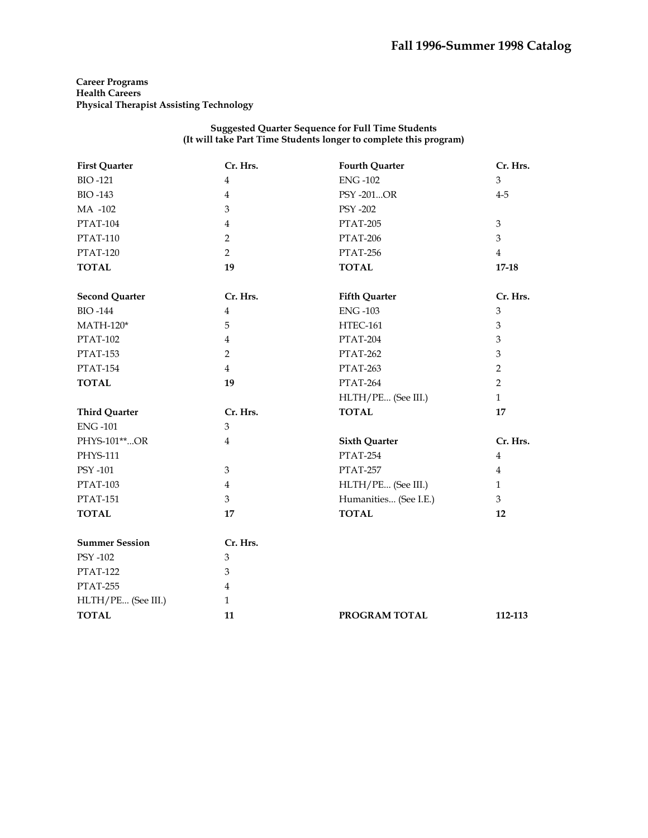**Career Programs Health Careers Physical Therapist Assisting Technology** 

| <b>First Quarter</b>  | Cr. Hrs.                | <b>Fourth Quarter</b> | Cr. Hrs.       |
|-----------------------|-------------------------|-----------------------|----------------|
| <b>BIO-121</b>        | $\overline{4}$          | <b>ENG-102</b>        | $\overline{3}$ |
| <b>BIO-143</b>        | $\overline{4}$          | PSY -201OR            | $4 - 5$        |
| MA -102               | 3                       | <b>PSY -202</b>       |                |
| <b>PTAT-104</b>       | $\bf 4$                 | PTAT-205              | $\mathfrak{Z}$ |
| <b>PTAT-110</b>       | $\overline{2}$          | PTAT-206              | $\overline{3}$ |
| <b>PTAT-120</b>       | $\overline{2}$          | PTAT-256              | $\overline{4}$ |
| <b>TOTAL</b>          | 19                      | <b>TOTAL</b>          | $17 - 18$      |
| <b>Second Quarter</b> | Cr. Hrs.                | <b>Fifth Quarter</b>  | Cr. Hrs.       |
| <b>BIO-144</b>        | $\overline{\mathbf{4}}$ | <b>ENG-103</b>        | 3              |
| $MATH-120*$           | 5                       | HTEC-161              | $\mathfrak{Z}$ |
| <b>PTAT-102</b>       | 4                       | PTAT-204              | 3              |
| <b>PTAT-153</b>       | $\overline{2}$          | PTAT-262              | $\mathfrak{Z}$ |
| <b>PTAT-154</b>       | $\overline{4}$          | PTAT-263              | $\overline{2}$ |
| <b>TOTAL</b>          | 19                      | PTAT-264              | $\overline{2}$ |
|                       |                         | HLTH/PE (See III.)    | $\mathbf{1}$   |
| <b>Third Quarter</b>  | Cr. Hrs.                | <b>TOTAL</b>          | 17             |
| <b>ENG-101</b>        | $\mathfrak{Z}$          |                       |                |
| PHYS-101**OR          | $\overline{4}$          | <b>Sixth Quarter</b>  | Cr. Hrs.       |
| <b>PHYS-111</b>       |                         | PTAT-254              | $\overline{4}$ |
| PSY -101              | 3                       | PTAT-257              | $\overline{4}$ |
| <b>PTAT-103</b>       | $\overline{4}$          | HLTH/PE (See III.)    | $\mathbf{1}$   |
| <b>PTAT-151</b>       | 3                       | Humanities (See I.E.) | $\mathfrak{Z}$ |
| <b>TOTAL</b>          | 17                      | <b>TOTAL</b>          | 12             |
| <b>Summer Session</b> | Cr. Hrs.                |                       |                |
| PSY -102              | 3                       |                       |                |
| <b>PTAT-122</b>       | 3                       |                       |                |
| PTAT-255              | $\overline{4}$          |                       |                |
| HLTH/PE (See III.)    | $\mathbf{1}$            |                       |                |
| <b>TOTAL</b>          | 11                      | PROGRAM TOTAL         | 112-113        |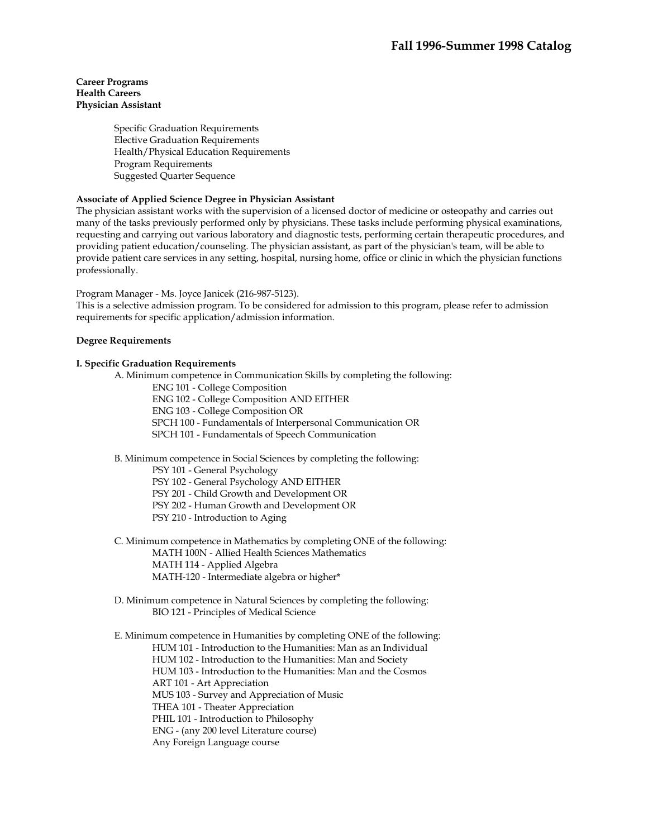### **Career Programs Health Careers Physician Assistant**

Specific Graduation Requirements Elective Graduation Requirements Health/Physical Education Requirements Program Requirements Suggested Quarter Sequence

### **Associate of Applied Science Degree in Physician Assistant**

The physician assistant works with the supervision of a licensed doctor of medicine or osteopathy and carries out many of the tasks previously performed only by physicians. These tasks include performing physical examinations, requesting and carrying out various laboratory and diagnostic tests, performing certain therapeutic procedures, and providing patient education/counseling. The physician assistant, as part of the physician's team, will be able to provide patient care services in any setting, hospital, nursing home, office or clinic in which the physician functions professionally.

Program Manager - Ms. Joyce Janicek (216-987-5123).

This is a selective admission program. To be considered for admission to this program, please refer to admission requirements for specific application/admission information.

### **Degree Requirements**

### **I. Specific Graduation Requirements**

A. Minimum competence in Communication Skills by completing the following:

- ENG 101 College Composition
- ENG 102 College Composition AND EITHER
- ENG 103 College Composition OR
- SPCH 100 Fundamentals of Interpersonal Communication OR
- SPCH 101 Fundamentals of Speech Communication

B. Minimum competence in Social Sciences by completing the following:

PSY 101 - General Psychology

PSY 102 - General Psychology AND EITHER

PSY 201 - Child Growth and Development OR

- PSY 202 Human Growth and Development OR
- PSY 210 Introduction to Aging

C. Minimum competence in Mathematics by completing ONE of the following:

MATH 100N - Allied Health Sciences Mathematics

- MATH 114 Applied Algebra
- MATH-120 Intermediate algebra or higher\*
- D. Minimum competence in Natural Sciences by completing the following: BIO 121 - Principles of Medical Science

 E. Minimum competence in Humanities by completing ONE of the following: HUM 101 - Introduction to the Humanities: Man as an Individual HUM 102 - Introduction to the Humanities: Man and Society HUM 103 - Introduction to the Humanities: Man and the Cosmos ART 101 - Art Appreciation MUS 103 - Survey and Appreciation of Music THEA 101 - Theater Appreciation PHIL 101 - Introduction to Philosophy ENG - (any 200 level Literature course) Any Foreign Language course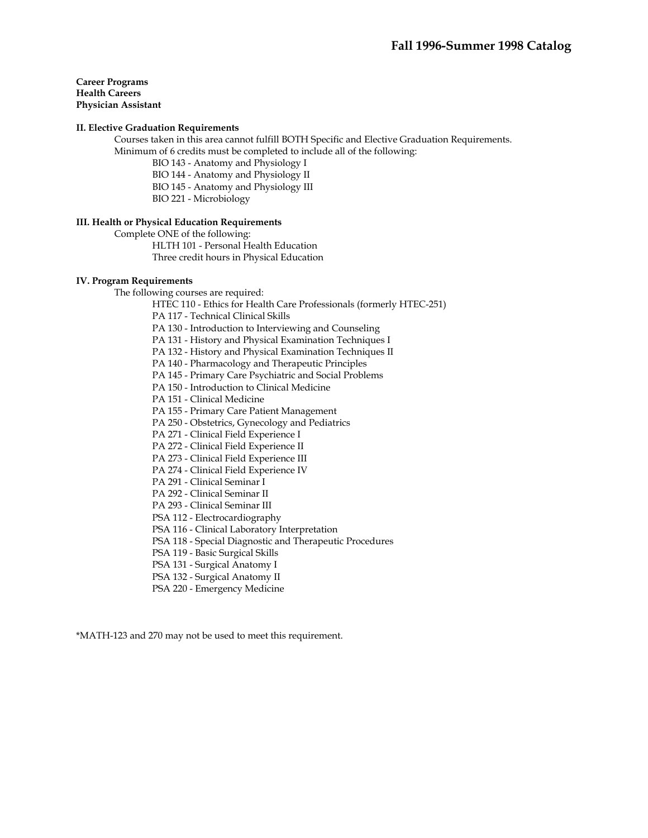### **Career Programs Health Careers Physician Assistant**

### **II. Elective Graduation Requirements**

 Courses taken in this area cannot fulfill BOTH Specific and Elective Graduation Requirements. Minimum of 6 credits must be completed to include all of the following:

- BIO 143 Anatomy and Physiology I
- BIO 144 Anatomy and Physiology II
- BIO 145 Anatomy and Physiology III
- BIO 221 Microbiology

### **III. Health or Physical Education Requirements**

Complete ONE of the following:

 HLTH 101 - Personal Health Education Three credit hours in Physical Education

### **IV. Program Requirements**

The following courses are required:

HTEC 110 - Ethics for Health Care Professionals (formerly HTEC-251)

PA 117 - Technical Clinical Skills

PA 130 - Introduction to Interviewing and Counseling

PA 131 - History and Physical Examination Techniques I

PA 132 - History and Physical Examination Techniques II

PA 140 - Pharmacology and Therapeutic Principles

PA 145 - Primary Care Psychiatric and Social Problems

PA 150 - Introduction to Clinical Medicine

PA 151 - Clinical Medicine

PA 155 - Primary Care Patient Management

PA 250 - Obstetrics, Gynecology and Pediatrics

PA 271 - Clinical Field Experience I

PA 272 - Clinical Field Experience II

PA 273 - Clinical Field Experience III

PA 274 - Clinical Field Experience IV

PA 291 - Clinical Seminar I

PA 292 - Clinical Seminar II

PA 293 - Clinical Seminar III

PSA 112 - Electrocardiography

PSA 116 - Clinical Laboratory Interpretation

PSA 118 - Special Diagnostic and Therapeutic Procedures

PSA 119 - Basic Surgical Skills

PSA 131 - Surgical Anatomy I

PSA 132 - Surgical Anatomy II

PSA 220 - Emergency Medicine

\*MATH-123 and 270 may not be used to meet this requirement.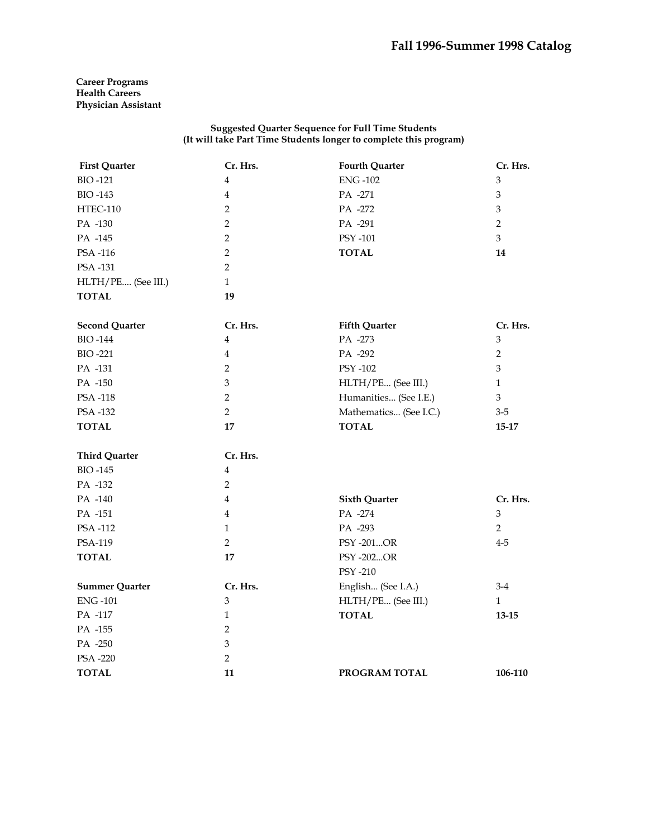**Career Programs Health Careers Physician Assistant** 

| <b>First Quarter</b>  | Cr. Hrs.                    | <b>Fourth Quarter</b>  | Cr. Hrs.                    |
|-----------------------|-----------------------------|------------------------|-----------------------------|
| <b>BIO-121</b>        | $\overline{4}$              | <b>ENG-102</b>         | $\ensuremath{\mathfrak{Z}}$ |
| <b>BIO-143</b>        | $\overline{4}$              | PA -271                | $\ensuremath{\mathfrak{Z}}$ |
| <b>HTEC-110</b>       | $\overline{2}$              | PA -272                | $\mathfrak{Z}$              |
| PA -130               | $\overline{2}$              | PA -291                | $\overline{2}$              |
| PA -145               | $\overline{2}$              | PSY -101               | $\overline{3}$              |
| PSA-116               | $\overline{2}$              | <b>TOTAL</b>           | 14                          |
| PSA -131              | $\overline{2}$              |                        |                             |
| HLTH/PE (See III.)    | $\mathbf{1}$                |                        |                             |
| <b>TOTAL</b>          | 19                          |                        |                             |
| <b>Second Quarter</b> | Cr. Hrs.                    | <b>Fifth Quarter</b>   | Cr. Hrs.                    |
| <b>BIO-144</b>        | $\overline{4}$              | PA -273                | $\ensuremath{\mathfrak{Z}}$ |
| <b>BIO-221</b>        | $\overline{4}$              | PA -292                | $\overline{2}$              |
| PA -131               | 2                           | PSY -102               | $\mathfrak{Z}$              |
| PA -150               | $\mathfrak{Z}$              | HLTH/PE (See III.)     | $\mathbf{1}$                |
| PSA -118              | $\overline{2}$              | Humanities (See I.E.)  | $\mathfrak{Z}$              |
| PSA -132              | $\overline{2}$              | Mathematics (See I.C.) | $3 - 5$                     |
| <b>TOTAL</b>          | 17                          | <b>TOTAL</b>           | 15-17                       |
| <b>Third Quarter</b>  | Cr. Hrs.                    |                        |                             |
| <b>BIO-145</b>        | 4                           |                        |                             |
| PA -132               | $\overline{2}$              |                        |                             |
| PA -140               | $\overline{4}$              | <b>Sixth Quarter</b>   | Cr. Hrs.                    |
| PA -151               | $\bf 4$                     | PA -274                | $\mathfrak{Z}$              |
| PSA -112              | $\mathbf{1}$                | PA -293                | $\overline{2}$              |
| PSA-119               | $\overline{2}$              | PSY-201OR              | $4 - 5$                     |
| <b>TOTAL</b>          | 17                          | PSY -202OR             |                             |
|                       |                             | <b>PSY -210</b>        |                             |
| <b>Summer Quarter</b> | Cr. Hrs.                    | English (See I.A.)     | $3-4$                       |
| <b>ENG-101</b>        | $\mathfrak{Z}$              | HLTH/PE (See III.)     | $\mathbf{1}$                |
| PA -117               | $\mathbf{1}$                | <b>TOTAL</b>           | $13 - 15$                   |
| PA -155               | 2                           |                        |                             |
| PA -250               | $\ensuremath{\mathfrak{Z}}$ |                        |                             |
| PSA -220              | $\overline{2}$              |                        |                             |
| <b>TOTAL</b>          | 11                          | PROGRAM TOTAL          | 106-110                     |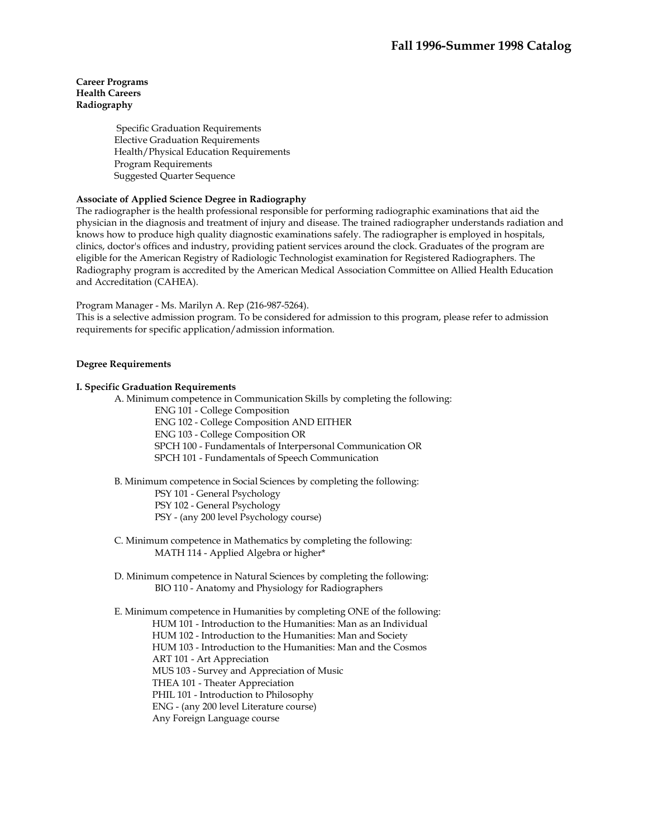## **Career Programs Health Careers Radiography**

 Specific Graduation Requirements Elective Graduation Requirements Health/Physical Education Requirements Program Requirements Suggested Quarter Sequence

## **Associate of Applied Science Degree in Radiography**

The radiographer is the health professional responsible for performing radiographic examinations that aid the physician in the diagnosis and treatment of injury and disease. The trained radiographer understands radiation and knows how to produce high quality diagnostic examinations safely. The radiographer is employed in hospitals, clinics, doctor's offices and industry, providing patient services around the clock. Graduates of the program are eligible for the American Registry of Radiologic Technologist examination for Registered Radiographers. The Radiography program is accredited by the American Medical Association Committee on Allied Health Education and Accreditation (CAHEA).

Program Manager - Ms. Marilyn A. Rep (216-987-5264).

This is a selective admission program. To be considered for admission to this program, please refer to admission requirements for specific application/admission information.

### **Degree Requirements**

### **I. Specific Graduation Requirements**

A. Minimum competence in Communication Skills by completing the following:

ENG 101 - College Composition

ENG 102 - College Composition AND EITHER

ENG 103 - College Composition OR

SPCH 100 - Fundamentals of Interpersonal Communication OR

SPCH 101 - Fundamentals of Speech Communication

 B. Minimum competence in Social Sciences by completing the following: PSY 101 - General Psychology PSY 102 - General Psychology PSY - (any 200 level Psychology course)

 C. Minimum competence in Mathematics by completing the following: MATH 114 - Applied Algebra or higher\*

 D. Minimum competence in Natural Sciences by completing the following: BIO 110 - Anatomy and Physiology for Radiographers

 E. Minimum competence in Humanities by completing ONE of the following: HUM 101 - Introduction to the Humanities: Man as an Individual HUM 102 - Introduction to the Humanities: Man and Society HUM 103 - Introduction to the Humanities: Man and the Cosmos ART 101 - Art Appreciation MUS 103 - Survey and Appreciation of Music THEA 101 - Theater Appreciation PHIL 101 - Introduction to Philosophy ENG - (any 200 level Literature course) Any Foreign Language course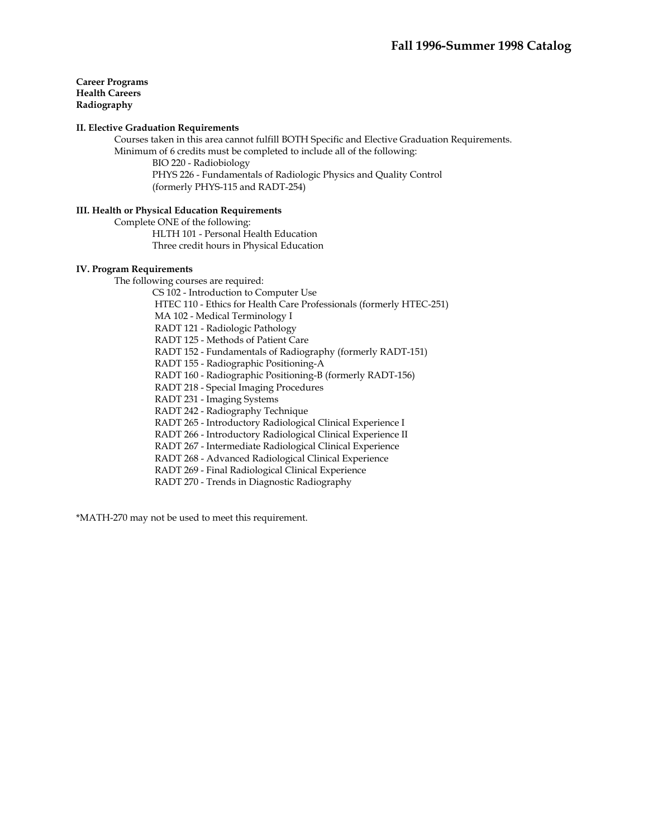**Career Programs Health Careers Radiography** 

### **II. Elective Graduation Requirements**

 Courses taken in this area cannot fulfill BOTH Specific and Elective Graduation Requirements. Minimum of 6 credits must be completed to include all of the following:

 BIO 220 - Radiobiology PHYS 226 - Fundamentals of Radiologic Physics and Quality Control (formerly PHYS-115 and RADT-254)

# **III. Health or Physical Education Requirements**

 Complete ONE of the following: HLTH 101 - Personal Health Education Three credit hours in Physical Education

### **IV. Program Requirements**

The following courses are required:

CS 102 - Introduction to Computer Use HTEC 110 - Ethics for Health Care Professionals (formerly HTEC-251) MA 102 - Medical Terminology I RADT 121 - Radiologic Pathology RADT 125 - Methods of Patient Care RADT 152 - Fundamentals of Radiography (formerly RADT-151) RADT 155 - Radiographic Positioning-A RADT 160 - Radiographic Positioning-B (formerly RADT-156) RADT 218 - Special Imaging Procedures RADT 231 - Imaging Systems RADT 242 - Radiography Technique RADT 265 - Introductory Radiological Clinical Experience I RADT 266 - Introductory Radiological Clinical Experience II RADT 267 - Intermediate Radiological Clinical Experience RADT 268 - Advanced Radiological Clinical Experience RADT 269 - Final Radiological Clinical Experience RADT 270 - Trends in Diagnostic Radiography

\*MATH-270 may not be used to meet this requirement.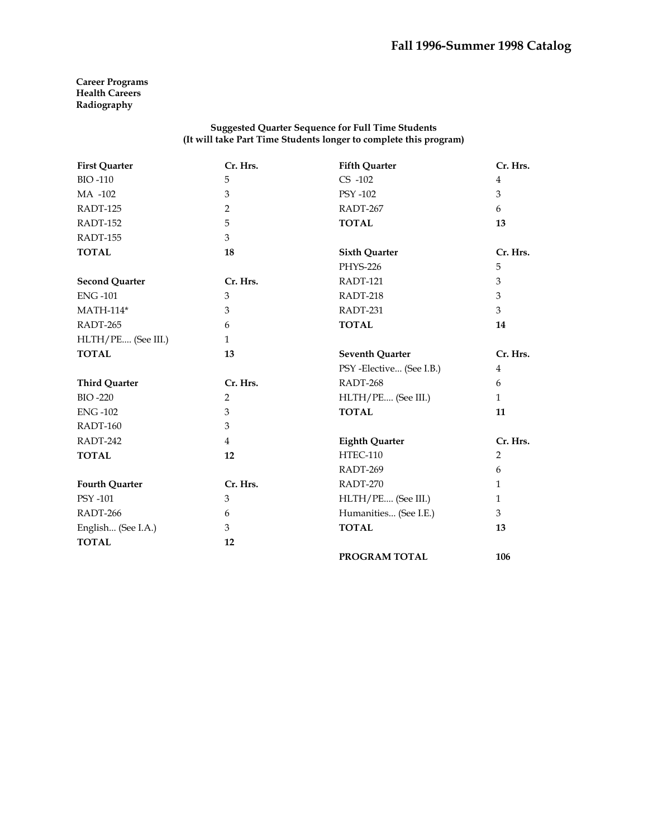## **Career Programs Health Careers Radiography**

| <b>First Quarter</b>  | Cr. Hrs.     | <b>Fifth Quarter</b>     | Cr. Hrs.       |
|-----------------------|--------------|--------------------------|----------------|
| <b>BIO-110</b>        | 5            | $CS -102$                | $\overline{4}$ |
| MA -102               | 3            | PSY -102                 | 3              |
| RADT-125              | 2            | RADT-267                 | 6              |
| RADT-152              | 5            | <b>TOTAL</b>             | 13             |
| RADT-155              | 3            |                          |                |
| <b>TOTAL</b>          | 18           | <b>Sixth Quarter</b>     | Cr. Hrs.       |
|                       |              | <b>PHYS-226</b>          | 5              |
| <b>Second Quarter</b> | Cr. Hrs.     | RADT-121                 | 3              |
| <b>ENG-101</b>        | 3            | RADT-218                 | 3              |
| <b>MATH-114*</b>      | 3            | RADT-231                 | 3              |
| RADT-265              | 6            | <b>TOTAL</b>             | 14             |
| HLTH/PE (See III.)    | $\mathbf{1}$ |                          |                |
| <b>TOTAL</b>          | 13           | <b>Seventh Quarter</b>   | Cr. Hrs.       |
|                       |              | PSY -Elective (See I.B.) | 4              |
| <b>Third Quarter</b>  | Cr. Hrs.     | RADT-268                 | 6              |
| <b>BIO-220</b>        | 2            | HLTH/PE (See III.)       | $\mathbf{1}$   |
| <b>ENG-102</b>        | 3            | <b>TOTAL</b>             | 11             |
| RADT-160              | 3            |                          |                |
| RADT-242              | 4            | <b>Eighth Quarter</b>    | Cr. Hrs.       |
| <b>TOTAL</b>          | 12           | <b>HTEC-110</b>          | 2              |
|                       |              | RADT-269                 | 6              |
| <b>Fourth Quarter</b> | Cr. Hrs.     | RADT-270                 | $\mathbf{1}$   |
| <b>PSY -101</b>       | 3            | HLTH/PE (See III.)       | 1              |
| RADT-266              | 6            | Humanities (See I.E.)    | 3              |
| English (See I.A.)    | 3            | <b>TOTAL</b>             | 13             |
| <b>TOTAL</b>          | 12           |                          |                |
|                       |              | PROGRAM TOTAL            | 106            |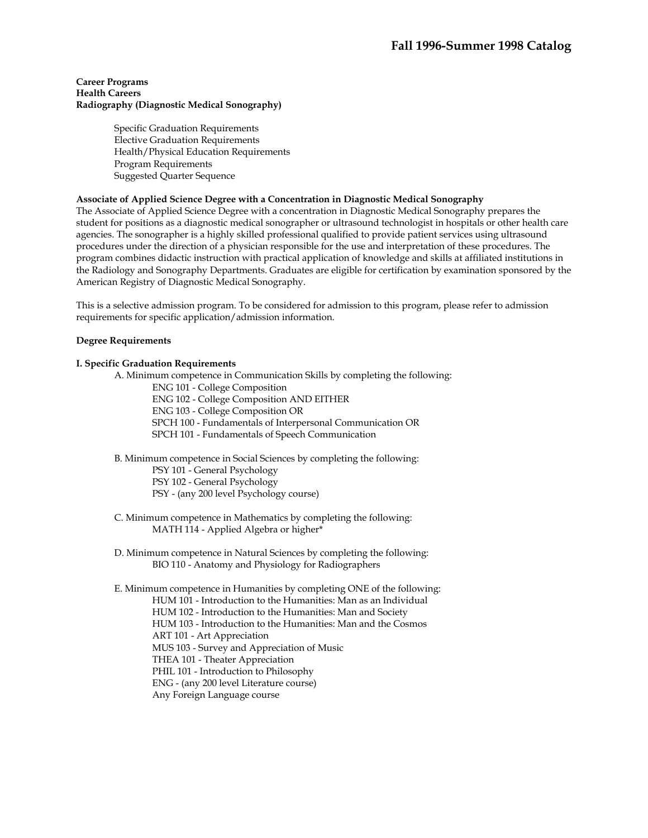## **Career Programs Health Careers Radiography (Diagnostic Medical Sonography)**

Specific Graduation Requirements Elective Graduation Requirements Health/Physical Education Requirements Program Requirements Suggested Quarter Sequence

## **Associate of Applied Science Degree with a Concentration in Diagnostic Medical Sonography**

The Associate of Applied Science Degree with a concentration in Diagnostic Medical Sonography prepares the student for positions as a diagnostic medical sonographer or ultrasound technologist in hospitals or other health care agencies. The sonographer is a highly skilled professional qualified to provide patient services using ultrasound procedures under the direction of a physician responsible for the use and interpretation of these procedures. The program combines didactic instruction with practical application of knowledge and skills at affiliated institutions in the Radiology and Sonography Departments. Graduates are eligible for certification by examination sponsored by the American Registry of Diagnostic Medical Sonography.

This is a selective admission program. To be considered for admission to this program, please refer to admission requirements for specific application/admission information.

### **Degree Requirements**

## **I. Specific Graduation Requirements**

- A. Minimum competence in Communication Skills by completing the following:
	- ENG 101 College Composition
	- ENG 102 College Composition AND EITHER
	- ENG 103 College Composition OR
	- SPCH 100 Fundamentals of Interpersonal Communication OR
	- SPCH 101 Fundamentals of Speech Communication
- B. Minimum competence in Social Sciences by completing the following:
	- PSY 101 General Psychology
	- PSY 102 General Psychology
	- PSY (any 200 level Psychology course)
- C. Minimum competence in Mathematics by completing the following: MATH 114 - Applied Algebra or higher\*
- D. Minimum competence in Natural Sciences by completing the following: BIO 110 - Anatomy and Physiology for Radiographers

 E. Minimum competence in Humanities by completing ONE of the following: HUM 101 - Introduction to the Humanities: Man as an Individual HUM 102 - Introduction to the Humanities: Man and Society HUM 103 - Introduction to the Humanities: Man and the Cosmos ART 101 - Art Appreciation MUS 103 - Survey and Appreciation of Music THEA 101 - Theater Appreciation PHIL 101 - Introduction to Philosophy ENG - (any 200 level Literature course) Any Foreign Language course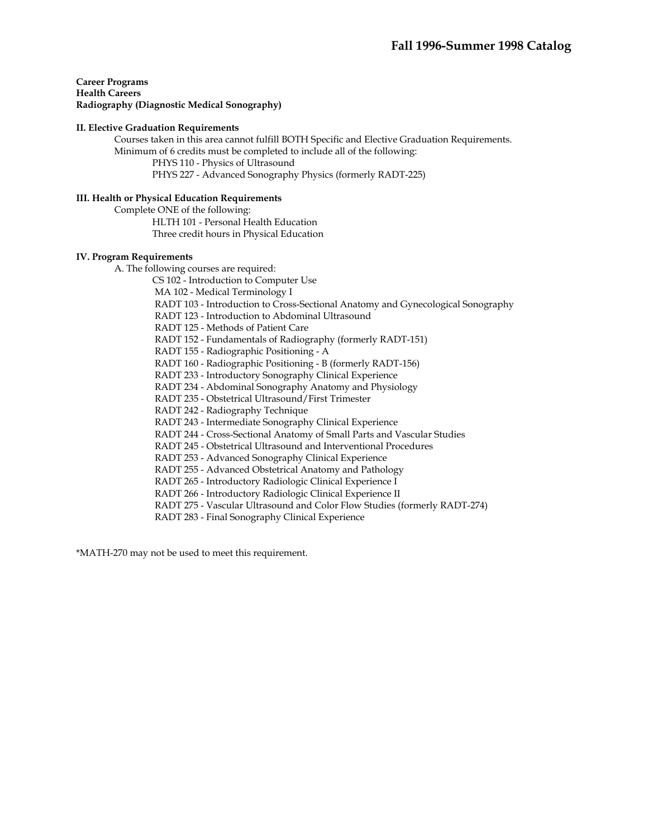**Career Programs Health Careers Radiography (Diagnostic Medical Sonography)** 

### **II. Elective Graduation Requirements**

 Courses taken in this area cannot fulfill BOTH Specific and Elective Graduation Requirements. Minimum of 6 credits must be completed to include all of the following:

PHYS 110 - Physics of Ultrasound

PHYS 227 - Advanced Sonography Physics (formerly RADT-225)

## **III. Health or Physical Education Requirements**

Complete ONE of the following:

HLTH 101 - Personal Health Education

Three credit hours in Physical Education

### **IV. Program Requirements**

A. The following courses are required:

CS 102 - Introduction to Computer Use

MA 102 - Medical Terminology I

RADT 103 - Introduction to Cross-Sectional Anatomy and Gynecological Sonography

RADT 123 - Introduction to Abdominal Ultrasound

RADT 125 - Methods of Patient Care

RADT 152 - Fundamentals of Radiography (formerly RADT-151)

RADT 155 - Radiographic Positioning - A

RADT 160 - Radiographic Positioning - B (formerly RADT-156)

RADT 233 - Introductory Sonography Clinical Experience

RADT 234 - Abdominal Sonography Anatomy and Physiology

RADT 235 - Obstetrical Ultrasound/First Trimester

RADT 242 - Radiography Technique

RADT 243 - Intermediate Sonography Clinical Experience

RADT 244 - Cross-Sectional Anatomy of Small Parts and Vascular Studies

RADT 245 - Obstetrical Ultrasound and Interventional Procedures

RADT 253 - Advanced Sonography Clinical Experience

RADT 255 - Advanced Obstetrical Anatomy and Pathology

RADT 265 - Introductory Radiologic Clinical Experience I

RADT 266 - Introductory Radiologic Clinical Experience II

RADT 275 - Vascular Ultrasound and Color Flow Studies (formerly RADT-274)

RADT 283 - Final Sonography Clinical Experience

\*MATH-270 may not be used to meet this requirement.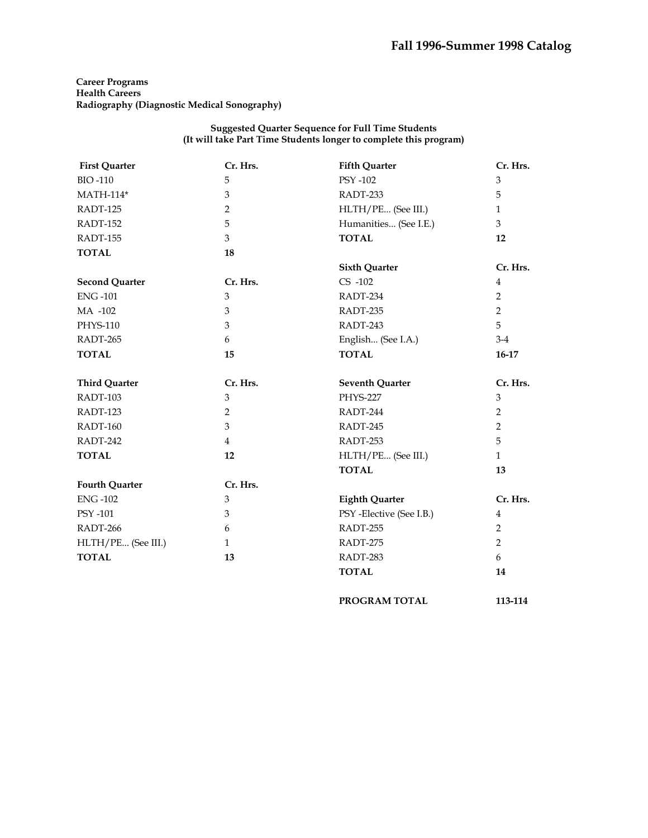**Career Programs Health Careers Radiography (Diagnostic Medical Sonography)** 

> **Suggested Quarter Sequence for Full Time Students (It will take Part Time Students longer to complete this program)**

| <b>First Quarter</b>  | Cr. Hrs.       | <b>Fifth Quarter</b>    | Cr. Hrs.       |
|-----------------------|----------------|-------------------------|----------------|
| <b>BIO-110</b>        | 5              | <b>PSY -102</b>         | 3              |
| $MATH-114*$           | 3              | RADT-233                | 5              |
| RADT-125              | $\overline{2}$ | HLTH/PE (See III.)      | $\mathbf{1}$   |
| RADT-152              | 5              | Humanities (See I.E.)   | 3              |
| RADT-155              | 3              | <b>TOTAL</b>            | 12             |
| <b>TOTAL</b>          | 18             |                         |                |
|                       |                | <b>Sixth Quarter</b>    | Cr. Hrs.       |
| <b>Second Quarter</b> | Cr. Hrs.       | $CS -102$               | $\overline{4}$ |
| <b>ENG-101</b>        | $\mathfrak{Z}$ | RADT-234                | $\overline{2}$ |
| MA -102               | 3              | RADT-235                | $\overline{2}$ |
| PHYS-110              | 3              | RADT-243                | 5              |
| RADT-265              | 6              | English (See I.A.)      | $3-4$          |
| <b>TOTAL</b>          | 15             | <b>TOTAL</b>            | $16-17$        |
| <b>Third Quarter</b>  | Cr. Hrs.       | <b>Seventh Quarter</b>  | Cr. Hrs.       |
| RADT-103              | 3              | <b>PHYS-227</b>         | 3              |
| RADT-123              | $\overline{2}$ | RADT-244                | $\overline{2}$ |
| RADT-160              | 3              | RADT-245                | $\overline{2}$ |
| RADT-242              | $\overline{4}$ | RADT-253                | 5              |
| <b>TOTAL</b>          | 12             | HLTH/PE (See III.)      | $\mathbf{1}$   |
|                       |                | <b>TOTAL</b>            | 13             |
| <b>Fourth Quarter</b> | Cr. Hrs.       |                         |                |
| <b>ENG-102</b>        | 3              | <b>Eighth Quarter</b>   | Cr. Hrs.       |
| PSY -101              | 3              | PSY-Elective (See I.B.) | $\overline{4}$ |
| RADT-266              | 6              | RADT-255                | $\overline{2}$ |
| HLTH/PE (See III.)    | $\mathbf{1}$   | RADT-275                | $\overline{2}$ |
| <b>TOTAL</b>          | 13             | RADT-283                | 6              |
|                       |                | <b>TOTAL</b>            | 14             |

 **PROGRAM TOTAL 113-114**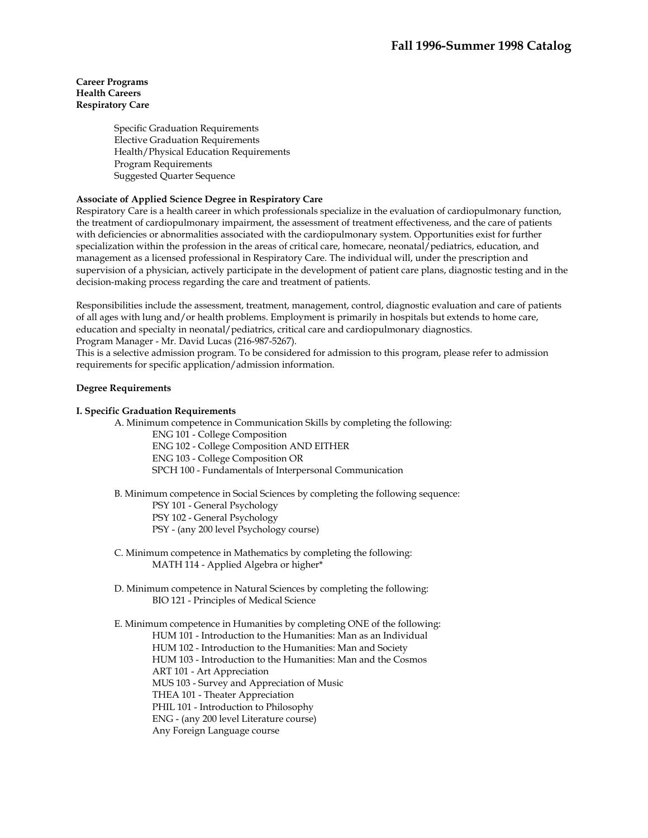## **Career Programs Health Careers Respiratory Care**

Specific Graduation Requirements Elective Graduation Requirements Health/Physical Education Requirements Program Requirements Suggested Quarter Sequence

## **Associate of Applied Science Degree in Respiratory Care**

Respiratory Care is a health career in which professionals specialize in the evaluation of cardiopulmonary function, the treatment of cardiopulmonary impairment, the assessment of treatment effectiveness, and the care of patients with deficiencies or abnormalities associated with the cardiopulmonary system. Opportunities exist for further specialization within the profession in the areas of critical care, homecare, neonatal/pediatrics, education, and management as a licensed professional in Respiratory Care. The individual will, under the prescription and supervision of a physician, actively participate in the development of patient care plans, diagnostic testing and in the decision-making process regarding the care and treatment of patients.

Responsibilities include the assessment, treatment, management, control, diagnostic evaluation and care of patients of all ages with lung and/or health problems. Employment is primarily in hospitals but extends to home care, education and specialty in neonatal/pediatrics, critical care and cardiopulmonary diagnostics. Program Manager - Mr. David Lucas (216-987-5267).

This is a selective admission program. To be considered for admission to this program, please refer to admission requirements for specific application/admission information.

### **Degree Requirements**

## **I. Specific Graduation Requirements**

A. Minimum competence in Communication Skills by completing the following:

ENG 101 - College Composition ENG 102 - College Composition AND EITHER ENG 103 - College Composition OR SPCH 100 - Fundamentals of Interpersonal Communication

B. Minimum competence in Social Sciences by completing the following sequence:

PSY 101 - General Psychology

PSY 102 - General Psychology

PSY - (any 200 level Psychology course)

- C. Minimum competence in Mathematics by completing the following: MATH 114 - Applied Algebra or higher\*
- D. Minimum competence in Natural Sciences by completing the following: BIO 121 - Principles of Medical Science

 E. Minimum competence in Humanities by completing ONE of the following: HUM 101 - Introduction to the Humanities: Man as an Individual HUM 102 - Introduction to the Humanities: Man and Society HUM 103 - Introduction to the Humanities: Man and the Cosmos ART 101 - Art Appreciation MUS 103 - Survey and Appreciation of Music THEA 101 - Theater Appreciation PHIL 101 - Introduction to Philosophy ENG - (any 200 level Literature course) Any Foreign Language course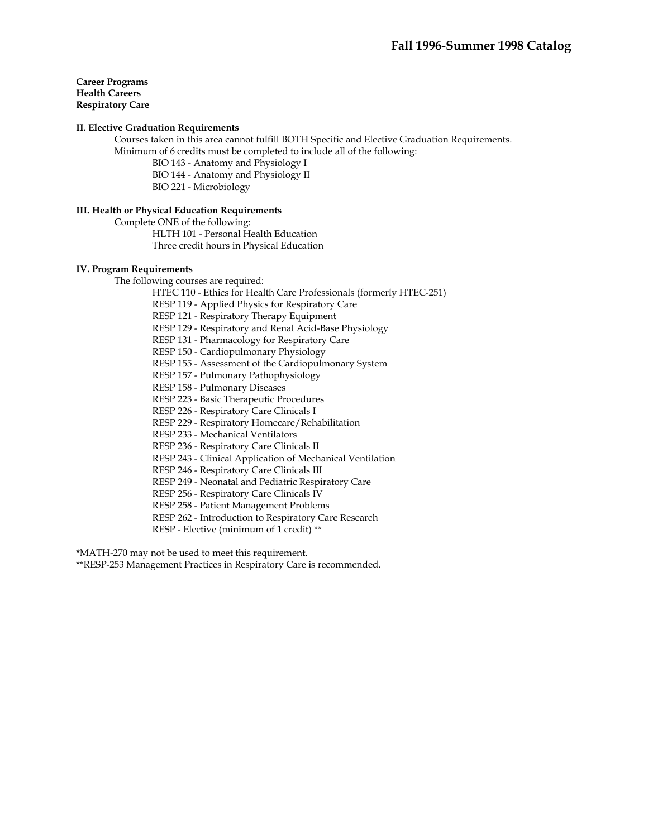### **Career Programs Health Careers Respiratory Care**

### **II. Elective Graduation Requirements**

 Courses taken in this area cannot fulfill BOTH Specific and Elective Graduation Requirements. Minimum of 6 credits must be completed to include all of the following:

BIO 143 - Anatomy and Physiology I

BIO 144 - Anatomy and Physiology II

BIO 221 - Microbiology

## **III. Health or Physical Education Requirements**

Complete ONE of the following:

 HLTH 101 - Personal Health Education Three credit hours in Physical Education

### **IV. Program Requirements**

The following courses are required:

HTEC 110 - Ethics for Health Care Professionals (formerly HTEC-251)

RESP 119 - Applied Physics for Respiratory Care

RESP 121 - Respiratory Therapy Equipment

RESP 129 - Respiratory and Renal Acid-Base Physiology

RESP 131 - Pharmacology for Respiratory Care

RESP 150 - Cardiopulmonary Physiology

RESP 155 - Assessment of the Cardiopulmonary System

RESP 157 - Pulmonary Pathophysiology

RESP 158 - Pulmonary Diseases

RESP 223 - Basic Therapeutic Procedures

RESP 226 - Respiratory Care Clinicals I

RESP 229 - Respiratory Homecare/Rehabilitation

RESP 233 - Mechanical Ventilators

RESP 236 - Respiratory Care Clinicals II

RESP 243 - Clinical Application of Mechanical Ventilation

RESP 246 - Respiratory Care Clinicals III

RESP 249 - Neonatal and Pediatric Respiratory Care

RESP 256 - Respiratory Care Clinicals IV

RESP 258 - Patient Management Problems

RESP 262 - Introduction to Respiratory Care Research

RESP - Elective (minimum of 1 credit) \*\*

\*MATH-270 may not be used to meet this requirement.

\*\*RESP-253 Management Practices in Respiratory Care is recommended.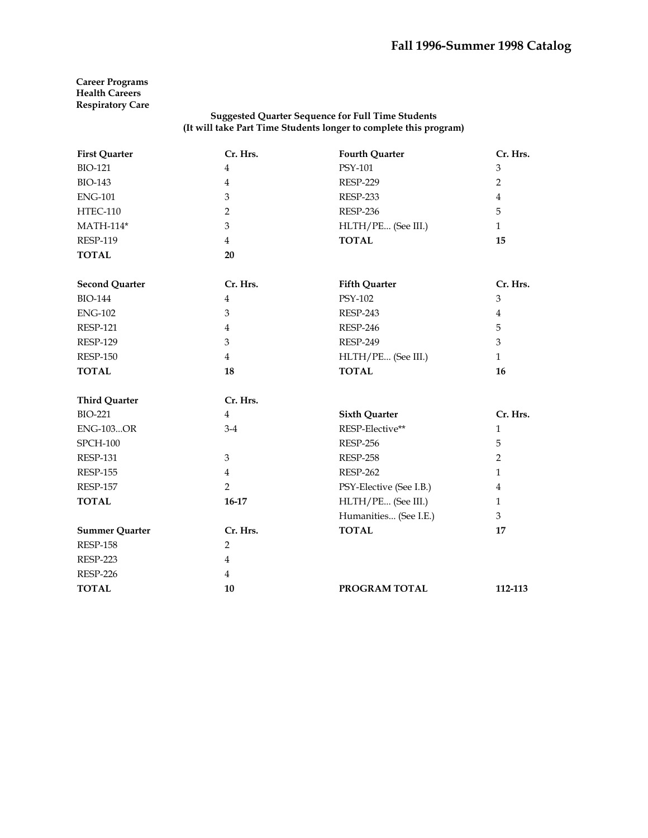## **Career Programs Health Careers Respiratory Care**

| <b>First Quarter</b>  | Cr. Hrs.       | <b>Fourth Quarter</b>   | Cr. Hrs.       |
|-----------------------|----------------|-------------------------|----------------|
| <b>BIO-121</b>        | $\overline{4}$ | PSY-101                 | 3              |
| <b>BIO-143</b>        | $\overline{4}$ | <b>RESP-229</b>         | $\overline{2}$ |
| <b>ENG-101</b>        | $\mathfrak{B}$ | <b>RESP-233</b>         | $\overline{4}$ |
| HTEC-110              | 2              | <b>RESP-236</b>         | 5              |
| <b>MATH-114*</b>      | 3              | HLTH/PE (See III.)      | $\mathbf{1}$   |
| <b>RESP-119</b>       | $\overline{4}$ | <b>TOTAL</b>            | 15             |
| <b>TOTAL</b>          | 20             |                         |                |
| <b>Second Quarter</b> | Cr. Hrs.       | <b>Fifth Quarter</b>    | Cr. Hrs.       |
| <b>BIO-144</b>        | $\overline{4}$ | PSY-102                 | 3              |
| <b>ENG-102</b>        | 3              | RESP-243                | $\overline{4}$ |
| <b>RESP-121</b>       | $\overline{4}$ | <b>RESP-246</b>         | 5              |
| <b>RESP-129</b>       | 3              | <b>RESP-249</b>         | 3              |
| <b>RESP-150</b>       | $\overline{4}$ | HLTH/PE (See III.)      | $\mathbf{1}$   |
| <b>TOTAL</b>          | 18             | <b>TOTAL</b>            | 16             |
| <b>Third Quarter</b>  | Cr. Hrs.       |                         |                |
| <b>BIO-221</b>        | $\overline{4}$ | <b>Sixth Quarter</b>    | Cr. Hrs.       |
| <b>ENG-103OR</b>      | $3-4$          | RESP-Elective**         | $\mathbf{1}$   |
| <b>SPCH-100</b>       |                | <b>RESP-256</b>         | 5              |
| <b>RESP-131</b>       | 3              | <b>RESP-258</b>         | $\overline{2}$ |
| <b>RESP-155</b>       | $\overline{4}$ | <b>RESP-262</b>         | $\mathbf{1}$   |
| <b>RESP-157</b>       | $\overline{2}$ | PSY-Elective (See I.B.) | 4              |
| <b>TOTAL</b>          | $16-17$        | HLTH/PE (See III.)      | $\mathbf{1}$   |
|                       |                | Humanities (See I.E.)   | 3              |
| <b>Summer Quarter</b> | Cr. Hrs.       | <b>TOTAL</b>            | 17             |
| <b>RESP-158</b>       | $\overline{2}$ |                         |                |
| <b>RESP-223</b>       | $\overline{4}$ |                         |                |
| <b>RESP-226</b>       | $\overline{4}$ |                         |                |
| <b>TOTAL</b>          | 10             | PROGRAM TOTAL           | 112-113        |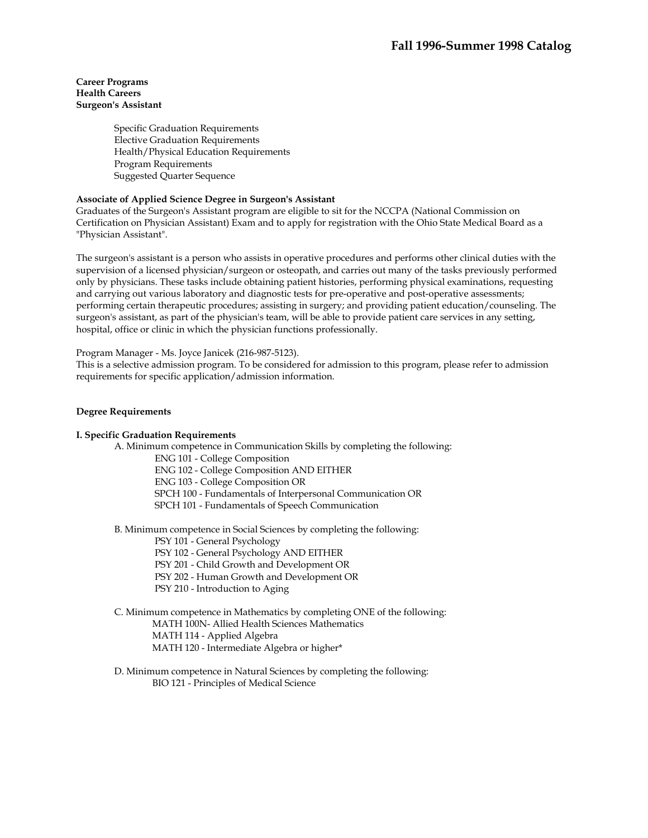### **Career Programs Health Careers Surgeon's Assistant**

Specific Graduation Requirements Elective Graduation Requirements Health/Physical Education Requirements Program Requirements Suggested Quarter Sequence

## **Associate of Applied Science Degree in Surgeon's Assistant**

Graduates of the Surgeon's Assistant program are eligible to sit for the NCCPA (National Commission on Certification on Physician Assistant) Exam and to apply for registration with the Ohio State Medical Board as a "Physician Assistant".

The surgeon's assistant is a person who assists in operative procedures and performs other clinical duties with the supervision of a licensed physician/surgeon or osteopath, and carries out many of the tasks previously performed only by physicians. These tasks include obtaining patient histories, performing physical examinations, requesting and carrying out various laboratory and diagnostic tests for pre-operative and post-operative assessments; performing certain therapeutic procedures; assisting in surgery; and providing patient education/counseling. The surgeon's assistant, as part of the physician's team, will be able to provide patient care services in any setting, hospital, office or clinic in which the physician functions professionally.

Program Manager - Ms. Joyce Janicek (216-987-5123).

This is a selective admission program. To be considered for admission to this program, please refer to admission requirements for specific application/admission information.

### **Degree Requirements**

### **I. Specific Graduation Requirements**

 A. Minimum competence in Communication Skills by completing the following: ENG 101 - College Composition

ENG 102 - College Composition AND EITHER

ENG 103 - College Composition OR

SPCH 100 - Fundamentals of Interpersonal Communication OR

SPCH 101 - Fundamentals of Speech Communication

B. Minimum competence in Social Sciences by completing the following:

PSY 101 - General Psychology

PSY 102 - General Psychology AND EITHER

PSY 201 - Child Growth and Development OR

- PSY 202 Human Growth and Development OR
- PSY 210 Introduction to Aging

## C. Minimum competence in Mathematics by completing ONE of the following: MATH 100N- Allied Health Sciences Mathematics MATH 114 - Applied Algebra MATH 120 - Intermediate Algebra or higher\*

 D. Minimum competence in Natural Sciences by completing the following: BIO 121 - Principles of Medical Science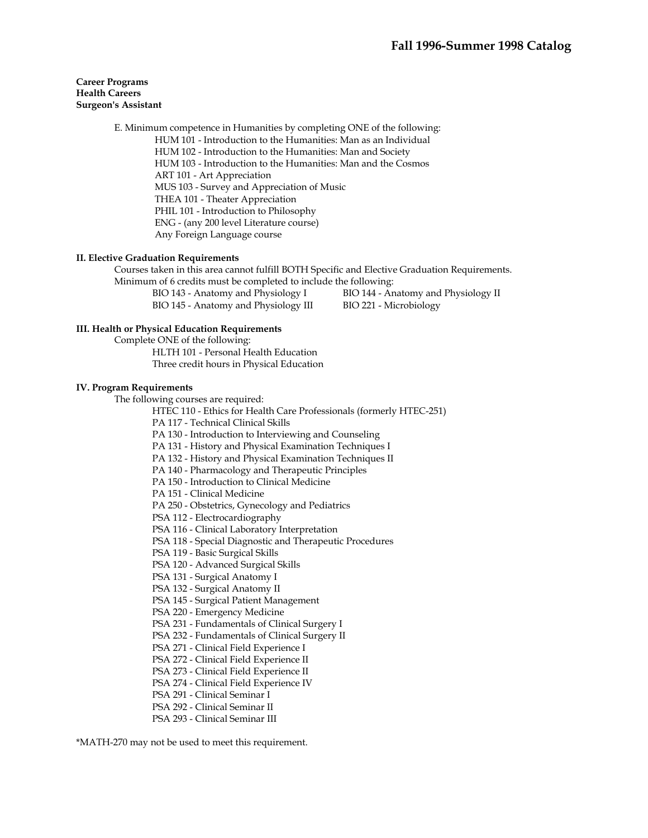## **Career Programs Health Careers Surgeon's Assistant**

 E. Minimum competence in Humanities by completing ONE of the following: HUM 101 - Introduction to the Humanities: Man as an Individual HUM 102 - Introduction to the Humanities: Man and Society HUM 103 - Introduction to the Humanities: Man and the Cosmos ART 101 - Art Appreciation MUS 103 - Survey and Appreciation of Music THEA 101 - Theater Appreciation PHIL 101 - Introduction to Philosophy ENG - (any 200 level Literature course) Any Foreign Language course

### **II. Elective Graduation Requirements**

 Courses taken in this area cannot fulfill BOTH Specific and Elective Graduation Requirements. Minimum of 6 credits must be completed to include the following:

| BIO 143 - Anatomy and Physiology I   | BIO 144 - Anatomy and Physiology II |
|--------------------------------------|-------------------------------------|
| BIO 145 - Anatomy and Physiology III | BIO 221 - Microbiology              |

### **III. Health or Physical Education Requirements**

 Complete ONE of the following: HLTH 101 - Personal Health Education Three credit hours in Physical Education

### **IV. Program Requirements**

The following courses are required:

HTEC 110 - Ethics for Health Care Professionals (formerly HTEC-251)

PA 117 - Technical Clinical Skills

PA 130 - Introduction to Interviewing and Counseling

PA 131 - History and Physical Examination Techniques I

PA 132 - History and Physical Examination Techniques II

PA 140 - Pharmacology and Therapeutic Principles

PA 150 - Introduction to Clinical Medicine

PA 151 - Clinical Medicine

PA 250 - Obstetrics, Gynecology and Pediatrics

PSA 112 - Electrocardiography

PSA 116 - Clinical Laboratory Interpretation

PSA 118 - Special Diagnostic and Therapeutic Procedures

PSA 119 - Basic Surgical Skills

PSA 120 - Advanced Surgical Skills

PSA 131 - Surgical Anatomy I

PSA 132 - Surgical Anatomy II

PSA 145 - Surgical Patient Management

PSA 220 - Emergency Medicine

PSA 231 - Fundamentals of Clinical Surgery I

PSA 232 - Fundamentals of Clinical Surgery II

PSA 271 - Clinical Field Experience I

PSA 272 - Clinical Field Experience II

PSA 273 - Clinical Field Experience II

PSA 274 - Clinical Field Experience IV

PSA 291 - Clinical Seminar I

PSA 292 - Clinical Seminar II

PSA 293 - Clinical Seminar III

\*MATH-270 may not be used to meet this requirement.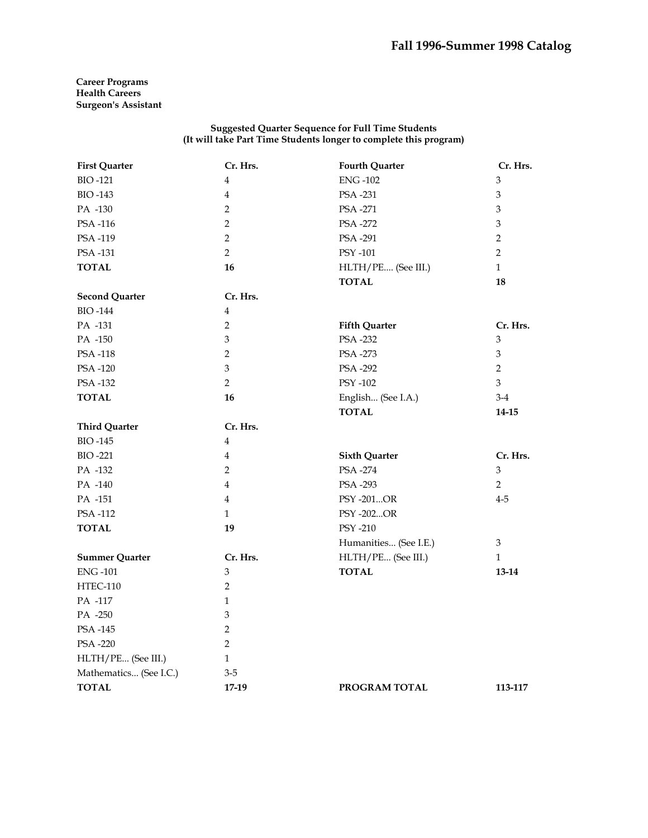**Career Programs Health Careers Surgeon's Assistant** 

| <b>First Quarter</b>   | Cr. Hrs.                  | <b>Fourth Quarter</b> | Cr. Hrs.       |
|------------------------|---------------------------|-----------------------|----------------|
| <b>BIO-121</b>         | $\overline{4}$            | <b>ENG-102</b>        | 3              |
| <b>BIO-143</b>         | $\overline{4}$            | PSA -231              | 3              |
| PA -130                | $\overline{2}$            | PSA -271              | $\mathfrak{Z}$ |
| PSA-116                | $\overline{2}$            | PSA -272              | $\mathfrak{Z}$ |
| PSA-119                | $\overline{2}$            | PSA -291              | $\overline{2}$ |
| PSA -131               | $\overline{2}$            | <b>PSY -101</b>       | $\overline{2}$ |
| <b>TOTAL</b>           | 16                        | HLTH/PE (See III.)    | $\mathbf{1}$   |
|                        |                           | <b>TOTAL</b>          | 18             |
| <b>Second Quarter</b>  | Cr. Hrs.                  |                       |                |
| <b>BIO-144</b>         | $\overline{4}$            |                       |                |
| PA -131                | $\overline{2}$            | <b>Fifth Quarter</b>  | Cr. Hrs.       |
| PA -150                | $\mathfrak{Z}$            | PSA -232              | 3              |
| <b>PSA-118</b>         | $\overline{2}$            | PSA -273              | $\mathfrak{Z}$ |
| PSA-120                | 3                         | PSA -292              | $\overline{2}$ |
| PSA -132               | $\overline{2}$            | PSY -102              | $\mathfrak{Z}$ |
| <b>TOTAL</b>           | 16                        | English (See I.A.)    | $3-4$          |
|                        |                           | <b>TOTAL</b>          | $14 - 15$      |
| <b>Third Quarter</b>   | Cr. Hrs.                  |                       |                |
| <b>BIO-145</b>         | $\overline{4}$            |                       |                |
| <b>BIO-221</b>         | $\overline{4}$            | <b>Sixth Quarter</b>  | Cr. Hrs.       |
| PA -132                | 2                         | PSA -274              | 3              |
| PA -140                | $\overline{4}$            | PSA -293              | $\overline{2}$ |
| PA -151                | $\overline{4}$            | PSY -201OR            | $4 - 5$        |
| PSA-112                | $\mathbf{1}$              | PSY -202OR            |                |
| <b>TOTAL</b>           | 19                        | PSY -210              |                |
|                        |                           | Humanities (See I.E.) | 3              |
| <b>Summer Quarter</b>  | Cr. Hrs.                  | HLTH/PE (See III.)    | $\mathbf{1}$   |
| <b>ENG-101</b>         | 3                         | <b>TOTAL</b>          | 13-14          |
| HTEC-110               | 2                         |                       |                |
| PA -117                | $\mathbf{1}$              |                       |                |
| PA -250                | $\ensuremath{\mathbf{3}}$ |                       |                |
| PSA -145               | $\overline{2}$            |                       |                |
| PSA -220               | $\overline{2}$            |                       |                |
| HLTH/PE (See III.)     | $\mathbf{1}$              |                       |                |
| Mathematics (See I.C.) | $3 - 5$                   |                       |                |
| <b>TOTAL</b>           | 17-19                     | PROGRAM TOTAL         | 113-117        |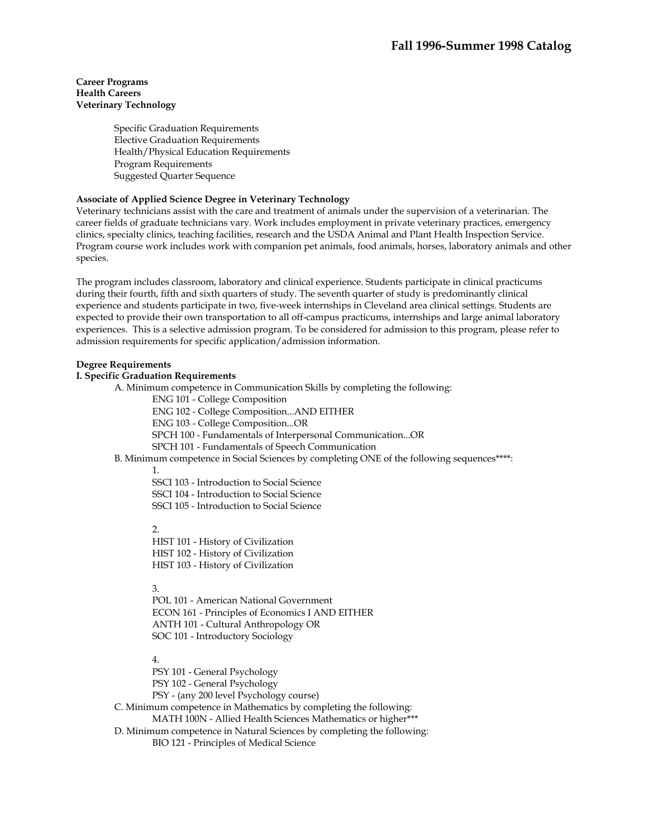### **Career Programs Health Careers Veterinary Technology**

Specific Graduation Requirements Elective Graduation Requirements Health/Physical Education Requirements Program Requirements Suggested Quarter Sequence

## **Associate of Applied Science Degree in Veterinary Technology**

Veterinary technicians assist with the care and treatment of animals under the supervision of a veterinarian. The career fields of graduate technicians vary. Work includes employment in private veterinary practices, emergency clinics, specialty clinics, teaching facilities, research and the USDA Animal and Plant Health Inspection Service. Program course work includes work with companion pet animals, food animals, horses, laboratory animals and other species.

The program includes classroom, laboratory and clinical experience. Students participate in clinical practicums during their fourth, fifth and sixth quarters of study. The seventh quarter of study is predominantly clinical experience and students participate in two, five-week internships in Cleveland area clinical settings. Students are expected to provide their own transportation to all off-campus practicums, internships and large animal laboratory experiences. This is a selective admission program. To be considered for admission to this program, please refer to admission requirements for specific application/admission information.

### **Degree Requirements**

### **I. Specific Graduation Requirements**

A. Minimum competence in Communication Skills by completing the following:

ENG 101 - College Composition

ENG 102 - College Composition...AND EITHER

ENG 103 - College Composition...OR

SPCH 100 - Fundamentals of Interpersonal Communication...OR

SPCH 101 - Fundamentals of Speech Communication

B. Minimum competence in Social Sciences by completing ONE of the following sequences\*\*\*\*:

1.

SSCI 103 - Introduction to Social Science SSCI 104 - Introduction to Social Science

SSCI 105 - Introduction to Social Science

2.

HIST 101 - History of Civilization HIST 102 - History of Civilization HIST 103 - History of Civilization

3.

POL 101 - American National Government ECON 161 - Principles of Economics I AND EITHER ANTH 101 - Cultural Anthropology OR SOC 101 - Introductory Sociology

4.

PSY 101 - General Psychology PSY 102 - General Psychology PSY - (any 200 level Psychology course) C. Minimum competence in Mathematics by completing the following: MATH 100N - Allied Health Sciences Mathematics or higher\*\*\* D. Minimum competence in Natural Sciences by completing the following: BIO 121 - Principles of Medical Science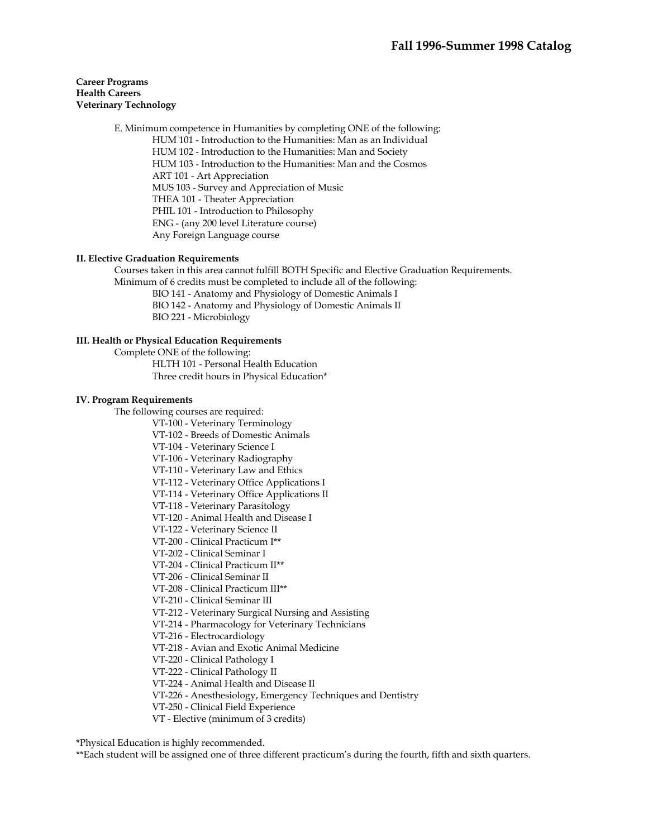### **Career Programs Health Careers Veterinary Technology**

 E. Minimum competence in Humanities by completing ONE of the following: HUM 101 - Introduction to the Humanities: Man as an Individual HUM 102 - Introduction to the Humanities: Man and Society HUM 103 - Introduction to the Humanities: Man and the Cosmos ART 101 - Art Appreciation MUS 103 - Survey and Appreciation of Music THEA 101 - Theater Appreciation PHIL 101 - Introduction to Philosophy ENG - (any 200 level Literature course) Any Foreign Language course

### **II. Elective Graduation Requirements**

 Courses taken in this area cannot fulfill BOTH Specific and Elective Graduation Requirements. Minimum of 6 credits must be completed to include all of the following:

BIO 141 - Anatomy and Physiology of Domestic Animals I

BIO 142 - Anatomy and Physiology of Domestic Animals II

BIO 221 - Microbiology

### **III. Health or Physical Education Requirements**

Complete ONE of the following:

 HLTH 101 - Personal Health Education Three credit hours in Physical Education\*

### **IV. Program Requirements**

The following courses are required:

- VT-100 Veterinary Terminology
- VT-102 Breeds of Domestic Animals

VT-104 - Veterinary Science I

VT-106 - Veterinary Radiography

VT-110 - Veterinary Law and Ethics

- VT-112 Veterinary Office Applications I
- VT-114 Veterinary Office Applications II
- VT-118 Veterinary Parasitology
- VT-120 Animal Health and Disease I
- VT-122 Veterinary Science II
- VT-200 Clinical Practicum I\*\*
- VT-202 Clinical Seminar I
- VT-204 Clinical Practicum II\*\*

VT-206 - Clinical Seminar II

VT-208 - Clinical Practicum III\*\*

VT-210 - Clinical Seminar III

VT-212 - Veterinary Surgical Nursing and Assisting

VT-214 - Pharmacology for Veterinary Technicians

VT-216 - Electrocardiology

VT-218 - Avian and Exotic Animal Medicine

VT-220 - Clinical Pathology I

VT-222 - Clinical Pathology II

VT-224 - Animal Health and Disease II

VT-226 - Anesthesiology, Emergency Techniques and Dentistry

VT-250 - Clinical Field Experience

VT - Elective (minimum of 3 credits)

#### \*Physical Education is highly recommended.

\*\*Each student will be assigned one of three different practicum's during the fourth, fifth and sixth quarters.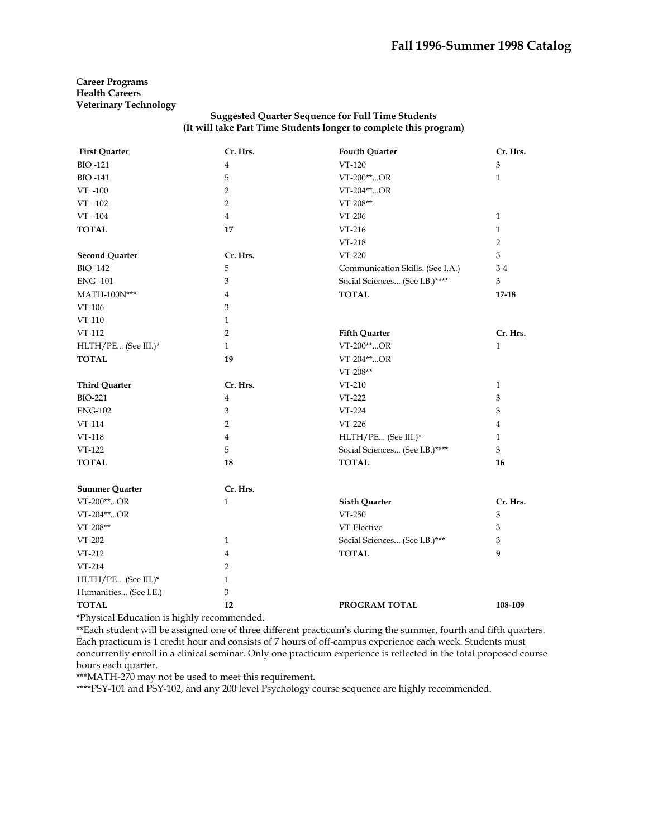**Career Programs Health Careers Veterinary Technology** 

## **Suggested Quarter Sequence for Full Time Students (It will take Part Time Students longer to complete this program)**

| <b>First Quarter</b>  | Cr. Hrs.       | <b>Fourth Quarter</b>            | Cr. Hrs.       |
|-----------------------|----------------|----------------------------------|----------------|
| <b>BIO-121</b>        | 4              | VT-120                           | 3              |
| <b>BIO-141</b>        | 5              | VT-200**OR                       | $\mathbf{1}$   |
| $VT -100$             | $\overline{2}$ | VT-204**OR                       |                |
| VT -102               | 2              | $VT-208**$                       |                |
| VT -104               | $\overline{4}$ | VT-206                           | $\mathbf{1}$   |
| <b>TOTAL</b>          | 17             | VT-216                           | $\mathbf{1}$   |
|                       |                | VT-218                           | $\overline{2}$ |
| <b>Second Quarter</b> | Cr. Hrs.       | VT-220                           | 3              |
| <b>BIO-142</b>        | 5              | Communication Skills. (See I.A.) | $3-4$          |
| <b>ENG-101</b>        | 3              | Social Sciences (See I.B.)****   | 3              |
| MATH-100N***          | $\overline{4}$ | <b>TOTAL</b>                     | $17 - 18$      |
| VT-106                | 3              |                                  |                |
| VT-110                | $\mathbf{1}$   |                                  |                |
| VT-112                | $\overline{2}$ | <b>Fifth Quarter</b>             | Cr. Hrs.       |
| HLTH/PE (See III.)*   | 1              | VT-200**OR                       | $\mathbf{1}$   |
| <b>TOTAL</b>          | 19             | VT-204**OR                       |                |
|                       |                | $VT-208**$                       |                |
| <b>Third Quarter</b>  | Cr. Hrs.       | VT-210                           | $\mathbf{1}$   |
| <b>BIO-221</b>        | 4              | VT-222                           | 3              |
| <b>ENG-102</b>        | 3              | VT-224                           | 3              |
| VT-114                | $\overline{2}$ | VT-226                           | 4              |
| VT-118                | $\overline{4}$ | HLTH/PE (See III.)*              | 1              |
| VT-122                | 5              | Social Sciences (See I.B.)****   | 3              |
| <b>TOTAL</b>          | 18             | <b>TOTAL</b>                     | 16             |
| <b>Summer Quarter</b> | Cr. Hrs.       |                                  |                |
| VT-200**OR            | $\mathbf{1}$   | <b>Sixth Quarter</b>             | Cr. Hrs.       |
| VT-204**OR            |                | VT-250                           | 3              |
| $VT-208**$            |                | VT-Elective                      | 3              |
| VT-202                | 1              | Social Sciences (See I.B.)***    | 3              |
| $VT-212$              | 4              | <b>TOTAL</b>                     | 9              |
| VT-214                | 2              |                                  |                |
| HLTH/PE (See III.)*   | 1              |                                  |                |
| Humanities (See I.E.) | 3              |                                  |                |
| <b>TOTAL</b>          | 12             | PROGRAM TOTAL                    | 108-109        |

\*Physical Education is highly recommended.

\*\*Each student will be assigned one of three different practicum's during the summer, fourth and fifth quarters. Each practicum is 1 credit hour and consists of 7 hours of off-campus experience each week. Students must concurrently enroll in a clinical seminar. Only one practicum experience is reflected in the total proposed course hours each quarter.

\*\*\*MATH-270 may not be used to meet this requirement.

\*\*\*\*PSY-101 and PSY-102, and any 200 level Psychology course sequence are highly recommended.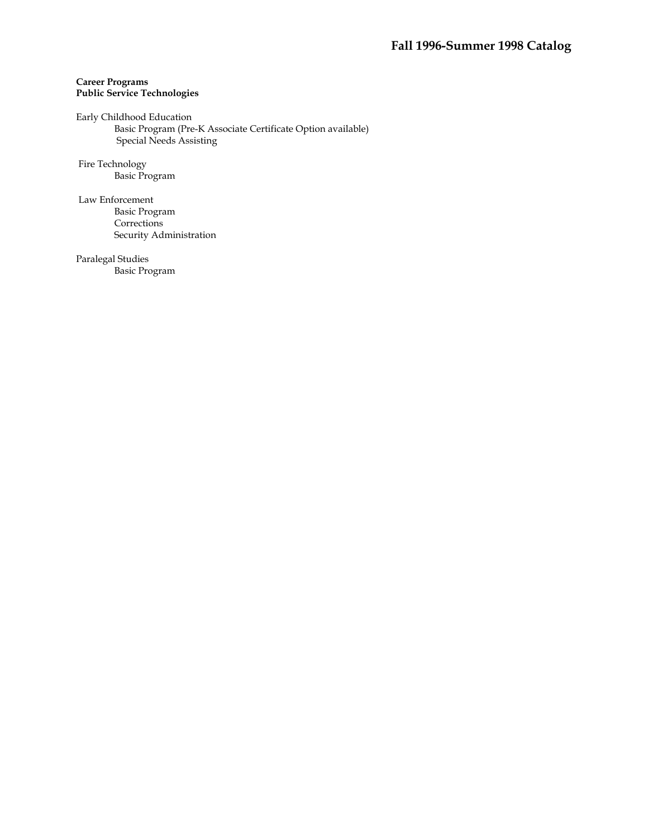## **Career Programs Public Service Technologies**

Early Childhood Education Basic Program (Pre-K Associate Certificate Option available) Special Needs Assisting

 Fire Technology Basic Program

 Law Enforcement Basic Program Corrections Security Administration

Paralegal Studies Basic Program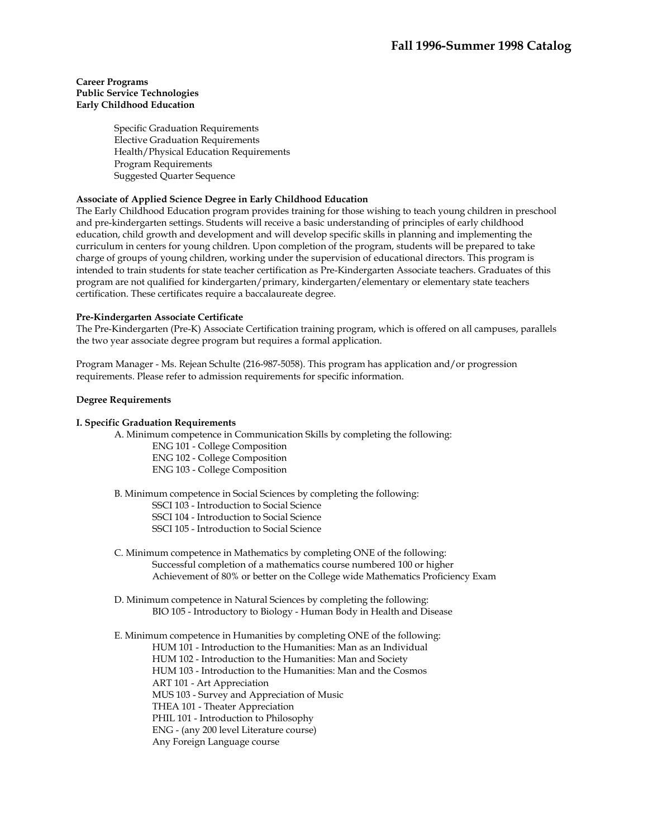### **Career Programs Public Service Technologies Early Childhood Education**

Specific Graduation Requirements Elective Graduation Requirements Health/Physical Education Requirements Program Requirements Suggested Quarter Sequence

## **Associate of Applied Science Degree in Early Childhood Education**

The Early Childhood Education program provides training for those wishing to teach young children in preschool and pre-kindergarten settings. Students will receive a basic understanding of principles of early childhood education, child growth and development and will develop specific skills in planning and implementing the curriculum in centers for young children. Upon completion of the program, students will be prepared to take charge of groups of young children, working under the supervision of educational directors. This program is intended to train students for state teacher certification as Pre-Kindergarten Associate teachers. Graduates of this program are not qualified for kindergarten/primary, kindergarten/elementary or elementary state teachers certification. These certificates require a baccalaureate degree.

### **Pre-Kindergarten Associate Certificate**

The Pre-Kindergarten (Pre-K) Associate Certification training program, which is offered on all campuses, parallels the two year associate degree program but requires a formal application.

Program Manager - Ms. Rejean Schulte (216-987-5058). This program has application and/or progression requirements. Please refer to admission requirements for specific information.

### **Degree Requirements**

#### **I. Specific Graduation Requirements**

A. Minimum competence in Communication Skills by completing the following:

- ENG 101 College Composition ENG 102 - College Composition ENG 103 - College Composition
- B. Minimum competence in Social Sciences by completing the following:
	- SSCI 103 Introduction to Social Science
	- SSCI 104 Introduction to Social Science
	- SSCI 105 Introduction to Social Science
- C. Minimum competence in Mathematics by completing ONE of the following: Successful completion of a mathematics course numbered 100 or higher Achievement of 80% or better on the College wide Mathematics Proficiency Exam
- D. Minimum competence in Natural Sciences by completing the following: BIO 105 - Introductory to Biology - Human Body in Health and Disease

E. Minimum competence in Humanities by completing ONE of the following:

HUM 101 - Introduction to the Humanities: Man as an Individual

HUM 102 - Introduction to the Humanities: Man and Society

HUM 103 - Introduction to the Humanities: Man and the Cosmos

ART 101 - Art Appreciation

MUS 103 - Survey and Appreciation of Music

THEA 101 - Theater Appreciation

PHIL 101 - Introduction to Philosophy

ENG - (any 200 level Literature course)

Any Foreign Language course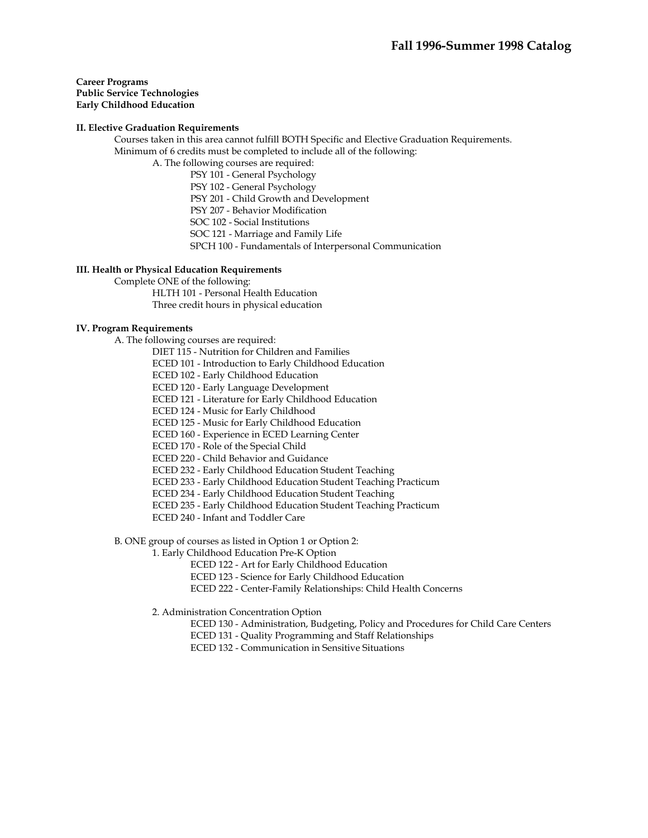**Career Programs Public Service Technologies Early Childhood Education** 

### **II. Elective Graduation Requirements**

 Courses taken in this area cannot fulfill BOTH Specific and Elective Graduation Requirements. Minimum of 6 credits must be completed to include all of the following:

A. The following courses are required:

PSY 101 - General Psychology

PSY 102 - General Psychology

PSY 201 - Child Growth and Development

PSY 207 - Behavior Modification

SOC 102 - Social Institutions

SOC 121 - Marriage and Family Life

SPCH 100 - Fundamentals of Interpersonal Communication

### **III. Health or Physical Education Requirements**

Complete ONE of the following:

HLTH 101 - Personal Health Education

Three credit hours in physical education

## **IV. Program Requirements**

A. The following courses are required:

DIET 115 - Nutrition for Children and Families

ECED 101 - Introduction to Early Childhood Education

ECED 102 - Early Childhood Education

ECED 120 - Early Language Development

ECED 121 - Literature for Early Childhood Education

ECED 124 - Music for Early Childhood

ECED 125 - Music for Early Childhood Education

ECED 160 - Experience in ECED Learning Center

ECED 170 - Role of the Special Child

ECED 220 - Child Behavior and Guidance

ECED 232 - Early Childhood Education Student Teaching

ECED 233 - Early Childhood Education Student Teaching Practicum

ECED 234 - Early Childhood Education Student Teaching

ECED 235 - Early Childhood Education Student Teaching Practicum

ECED 240 - Infant and Toddler Care

B. ONE group of courses as listed in Option 1 or Option 2:

1. Early Childhood Education Pre-K Option

ECED 122 - Art for Early Childhood Education

ECED 123 - Science for Early Childhood Education

ECED 222 - Center-Family Relationships: Child Health Concerns

2. Administration Concentration Option

ECED 130 - Administration, Budgeting, Policy and Procedures for Child Care Centers

ECED 131 - Quality Programming and Staff Relationships

ECED 132 - Communication in Sensitive Situations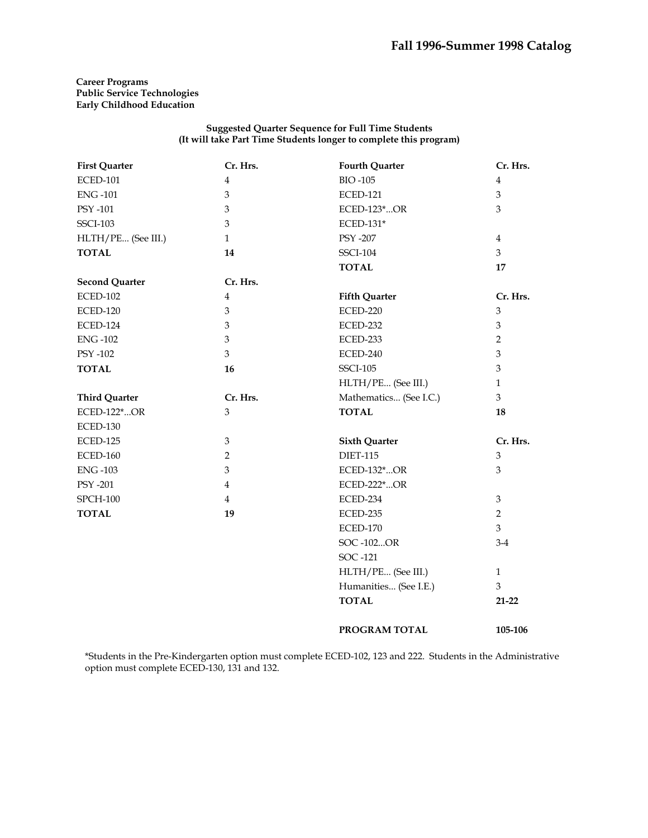## **Career Programs Public Service Technologies Early Childhood Education**

### **Suggested Quarter Sequence for Full Time Students (It will take Part Time Students longer to complete this program)**

| <b>First Quarter</b>  | Cr. Hrs.       | <b>Fourth Quarter</b>  | Cr. Hrs.       |
|-----------------------|----------------|------------------------|----------------|
| <b>ECED-101</b>       | $\overline{4}$ | <b>BIO-105</b>         | $\overline{4}$ |
| <b>ENG-101</b>        | 3              | <b>ECED-121</b>        | $\mathfrak{Z}$ |
| PSY -101              | 3              | ECED-123*OR            | 3              |
| <b>SSCI-103</b>       | 3              | ECED-131*              |                |
| HLTH/PE (See III.)    | $\mathbf{1}$   | <b>PSY -207</b>        | $\overline{4}$ |
| <b>TOTAL</b>          | 14             | <b>SSCI-104</b>        | 3              |
|                       |                | <b>TOTAL</b>           | 17             |
| <b>Second Quarter</b> | Cr. Hrs.       |                        |                |
| <b>ECED-102</b>       | $\overline{4}$ | <b>Fifth Quarter</b>   | Cr. Hrs.       |
| <b>ECED-120</b>       | 3              | <b>ECED-220</b>        | $\mathfrak{Z}$ |
| <b>ECED-124</b>       | 3              | ECED-232               | $\mathfrak{Z}$ |
| <b>ENG-102</b>        | 3              | ECED-233               | $\overline{2}$ |
| PSY -102              | 3              | ECED-240               | 3              |
| <b>TOTAL</b>          | 16             | <b>SSCI-105</b>        | $\mathfrak{Z}$ |
|                       |                | HLTH/PE (See III.)     | $\mathbf{1}$   |
| <b>Third Quarter</b>  | Cr. Hrs.       | Mathematics (See I.C.) | 3              |
| ECED-122*OR           | 3              | <b>TOTAL</b>           | 18             |
| <b>ECED-130</b>       |                |                        |                |
| <b>ECED-125</b>       | $\mathfrak{Z}$ | <b>Sixth Quarter</b>   | Cr. Hrs.       |
| <b>ECED-160</b>       | $\overline{2}$ | <b>DIET-115</b>        | $\mathfrak{Z}$ |
| <b>ENG-103</b>        | 3              | ECED-132*OR            | 3              |
| <b>PSY -201</b>       | $\overline{4}$ | ECED-222*OR            |                |
| <b>SPCH-100</b>       | $\overline{4}$ | ECED-234               | $\mathfrak{Z}$ |
| <b>TOTAL</b>          | 19             | ECED-235               | $\overline{2}$ |
|                       |                | <b>ECED-170</b>        | $\overline{3}$ |
|                       |                | SOC-102OR              | $3-4$          |
|                       |                | SOC -121               |                |
|                       |                | HLTH/PE (See III.)     | $\mathbf{1}$   |
|                       |                | Humanities (See I.E.)  | 3              |
|                       |                | <b>TOTAL</b>           | $21 - 22$      |
|                       |                | PROGRAM TOTAL          | 105-106        |

\*Students in the Pre-Kindergarten option must complete ECED-102, 123 and 222. Students in the Administrative option must complete ECED-130, 131 and 132.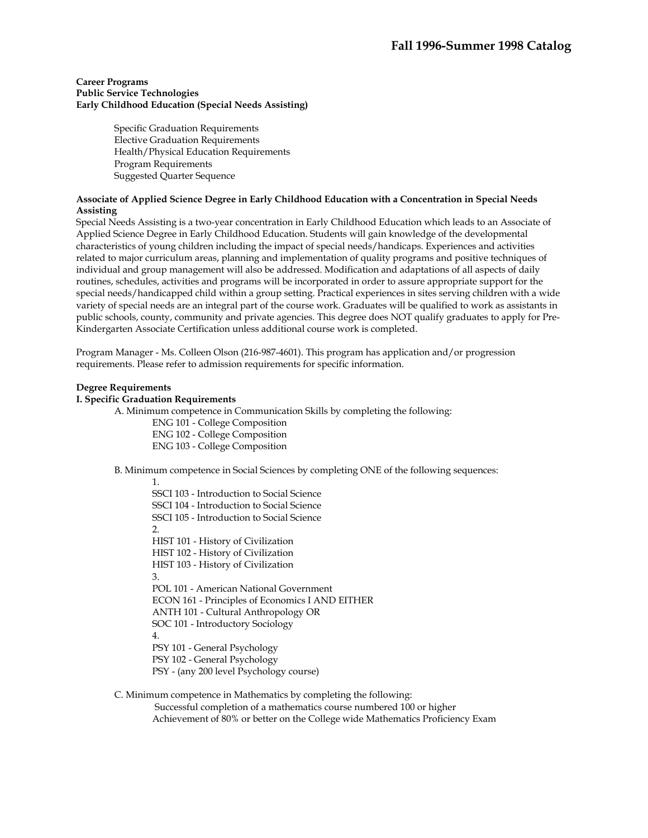### **Career Programs Public Service Technologies Early Childhood Education (Special Needs Assisting)**

Specific Graduation Requirements Elective Graduation Requirements Health/Physical Education Requirements Program Requirements Suggested Quarter Sequence

## **Associate of Applied Science Degree in Early Childhood Education with a Concentration in Special Needs Assisting**

Special Needs Assisting is a two-year concentration in Early Childhood Education which leads to an Associate of Applied Science Degree in Early Childhood Education. Students will gain knowledge of the developmental characteristics of young children including the impact of special needs/handicaps. Experiences and activities related to major curriculum areas, planning and implementation of quality programs and positive techniques of individual and group management will also be addressed. Modification and adaptations of all aspects of daily routines, schedules, activities and programs will be incorporated in order to assure appropriate support for the special needs/handicapped child within a group setting. Practical experiences in sites serving children with a wide variety of special needs are an integral part of the course work. Graduates will be qualified to work as assistants in public schools, county, community and private agencies. This degree does NOT qualify graduates to apply for Pre-Kindergarten Associate Certification unless additional course work is completed.

Program Manager - Ms. Colleen Olson (216-987-4601). This program has application and/or progression requirements. Please refer to admission requirements for specific information.

## **Degree Requirements**

### **I. Specific Graduation Requirements**

A. Minimum competence in Communication Skills by completing the following:

- ENG 101 College Composition
- ENG 102 College Composition

ENG 103 - College Composition

B. Minimum competence in Social Sciences by completing ONE of the following sequences:

1. SSCI 103 - Introduction to Social Science SSCI 104 - Introduction to Social Science SSCI 105 - Introduction to Social Science  $\mathcal{L}$ HIST 101 - History of Civilization HIST 102 - History of Civilization HIST 103 - History of Civilization 3. POL 101 - American National Government ECON 161 - Principles of Economics I AND EITHER ANTH 101 - Cultural Anthropology OR SOC 101 - Introductory Sociology 4. PSY 101 - General Psychology PSY 102 - General Psychology PSY - (any 200 level Psychology course)

 C. Minimum competence in Mathematics by completing the following: Successful completion of a mathematics course numbered 100 or higher Achievement of 80% or better on the College wide Mathematics Proficiency Exam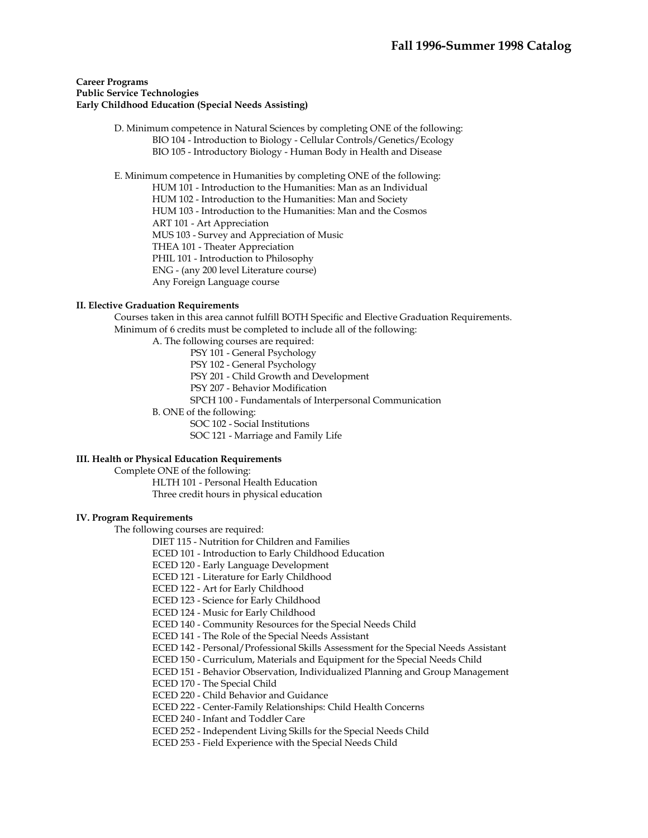### **Career Programs Public Service Technologies Early Childhood Education (Special Needs Assisting)**

 D. Minimum competence in Natural Sciences by completing ONE of the following: BIO 104 - Introduction to Biology - Cellular Controls/Genetics/Ecology BIO 105 - Introductory Biology - Human Body in Health and Disease

 E. Minimum competence in Humanities by completing ONE of the following: HUM 101 - Introduction to the Humanities: Man as an Individual HUM 102 - Introduction to the Humanities: Man and Society HUM 103 - Introduction to the Humanities: Man and the Cosmos ART 101 - Art Appreciation MUS 103 - Survey and Appreciation of Music THEA 101 - Theater Appreciation PHIL 101 - Introduction to Philosophy ENG - (any 200 level Literature course) Any Foreign Language course

#### **II. Elective Graduation Requirements**

 Courses taken in this area cannot fulfill BOTH Specific and Elective Graduation Requirements. Minimum of 6 credits must be completed to include all of the following:

A. The following courses are required:

PSY 101 - General Psychology

PSY 102 - General Psychology

PSY 201 - Child Growth and Development

PSY 207 - Behavior Modification

SPCH 100 - Fundamentals of Interpersonal Communication

B. ONE of the following:

SOC 102 - Social Institutions

SOC 121 - Marriage and Family Life

# **III. Health or Physical Education Requirements**

Complete ONE of the following:

HLTH 101 - Personal Health Education Three credit hours in physical education

#### **IV. Program Requirements**

The following courses are required:

DIET 115 - Nutrition for Children and Families

ECED 101 - Introduction to Early Childhood Education

- ECED 120 Early Language Development
- ECED 121 Literature for Early Childhood

ECED 122 - Art for Early Childhood

ECED 123 - Science for Early Childhood

ECED 124 - Music for Early Childhood

ECED 140 - Community Resources for the Special Needs Child

ECED 141 - The Role of the Special Needs Assistant

ECED 142 - Personal/Professional Skills Assessment for the Special Needs Assistant

ECED 150 - Curriculum, Materials and Equipment for the Special Needs Child

ECED 151 - Behavior Observation, Individualized Planning and Group Management

ECED 170 - The Special Child

ECED 220 - Child Behavior and Guidance

ECED 222 - Center-Family Relationships: Child Health Concerns

ECED 240 - Infant and Toddler Care

ECED 252 - Independent Living Skills for the Special Needs Child

ECED 253 - Field Experience with the Special Needs Child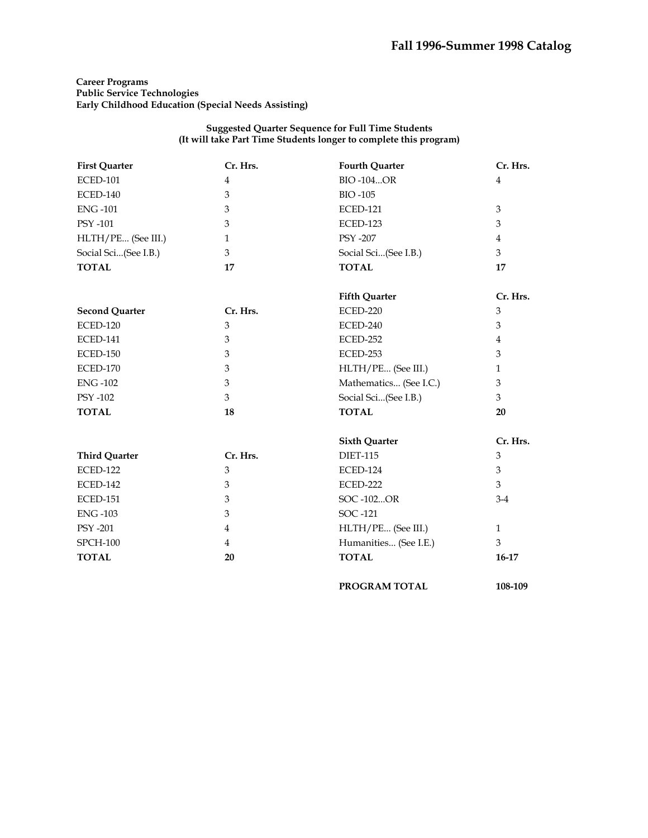## **Career Programs Public Service Technologies Early Childhood Education (Special Needs Assisting)**

| <b>First Quarter</b>  | Cr. Hrs.       | <b>Fourth Quarter</b>  | Cr. Hrs.       |
|-----------------------|----------------|------------------------|----------------|
| <b>ECED-101</b>       | $\overline{4}$ | <b>BIO-104OR</b>       | $\overline{4}$ |
| <b>ECED-140</b>       | $\mathfrak{Z}$ | <b>BIO-105</b>         |                |
| <b>ENG-101</b>        | 3              | <b>ECED-121</b>        | 3              |
| PSY -101              | 3              | <b>ECED-123</b>        | 3              |
| HLTH/PE (See III.)    | $\mathbf{1}$   | <b>PSY -207</b>        | $\bf 4$        |
| Social Sci(See I.B.)  | 3              | Social Sci(See I.B.)   | 3              |
| <b>TOTAL</b>          | 17             | <b>TOTAL</b>           | 17             |
|                       |                | <b>Fifth Quarter</b>   | Cr. Hrs.       |
| <b>Second Quarter</b> | Cr. Hrs.       | <b>ECED-220</b>        | 3              |
| <b>ECED-120</b>       | 3              | ECED-240               | 3              |
| <b>ECED-141</b>       | 3              | ECED-252               | $\overline{4}$ |
| <b>ECED-150</b>       | $\mathfrak{B}$ | ECED-253               | 3              |
| <b>ECED-170</b>       | $\mathfrak{B}$ | HLTH/PE (See III.)     | $\mathbf{1}$   |
| <b>ENG-102</b>        | 3              | Mathematics (See I.C.) | 3              |
| PSY -102              | 3              | Social Sci(See I.B.)   | 3              |
| <b>TOTAL</b>          | 18             | <b>TOTAL</b>           | 20             |
|                       |                | <b>Sixth Quarter</b>   | Cr. Hrs.       |
| <b>Third Quarter</b>  | Cr. Hrs.       | <b>DIET-115</b>        | 3              |
| <b>ECED-122</b>       | $\mathfrak{Z}$ | ECED-124               | $\mathfrak{Z}$ |
| <b>ECED-142</b>       | 3              | <b>ECED-222</b>        | 3              |
| <b>ECED-151</b>       | $\mathfrak{B}$ | SOC-102OR              | $3-4$          |
| <b>ENG-103</b>        | 3              | SOC -121               |                |
| PSY -201              | $\overline{4}$ | HLTH/PE (See III.)     | $\mathbf{1}$   |
| <b>SPCH-100</b>       | $\overline{4}$ | Humanities (See I.E.)  | 3              |
| <b>TOTAL</b>          | 20             | <b>TOTAL</b>           | $16-17$        |
|                       |                | PROGRAM TOTAL          | 108-109        |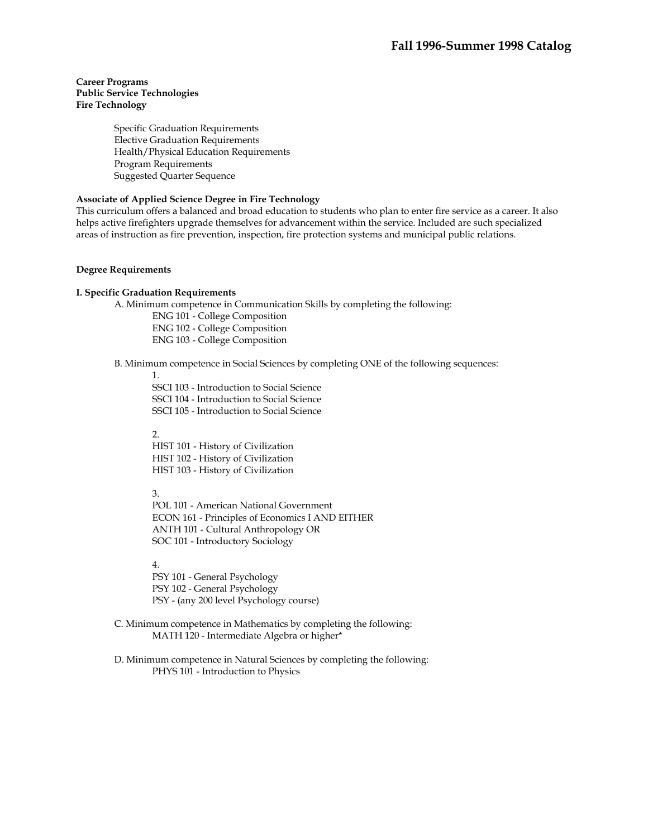# **Career Programs Public Service Technologies Fire Technology**

Specific Graduation Requirements Elective Graduation Requirements Health/Physical Education Requirements Program Requirements Suggested Quarter Sequence

# **Associate of Applied Science Degree in Fire Technology**

This curriculum offers a balanced and broad education to students who plan to enter fire service as a career. It also helps active firefighters upgrade themselves for advancement within the service. Included are such specialized areas of instruction as fire prevention, inspection, fire protection systems and municipal public relations.

### **Degree Requirements**

### **I. Specific Graduation Requirements**

A. Minimum competence in Communication Skills by completing the following:

 ENG 101 - College Composition ENG 102 - College Composition ENG 103 - College Composition

B. Minimum competence in Social Sciences by completing ONE of the following sequences:

1.

SSCI 103 - Introduction to Social Science SSCI 104 - Introduction to Social Science SSCI 105 - Introduction to Social Science

 $\mathcal{L}$ 

HIST 101 - History of Civilization HIST 102 - History of Civilization HIST 103 - History of Civilization

3.

POL 101 - American National Government ECON 161 - Principles of Economics I AND EITHER ANTH 101 - Cultural Anthropology OR SOC 101 - Introductory Sociology

4.

PSY 101 - General Psychology PSY 102 - General Psychology PSY - (any 200 level Psychology course)

 C. Minimum competence in Mathematics by completing the following: MATH 120 - Intermediate Algebra or higher\*

 D. Minimum competence in Natural Sciences by completing the following: PHYS 101 - Introduction to Physics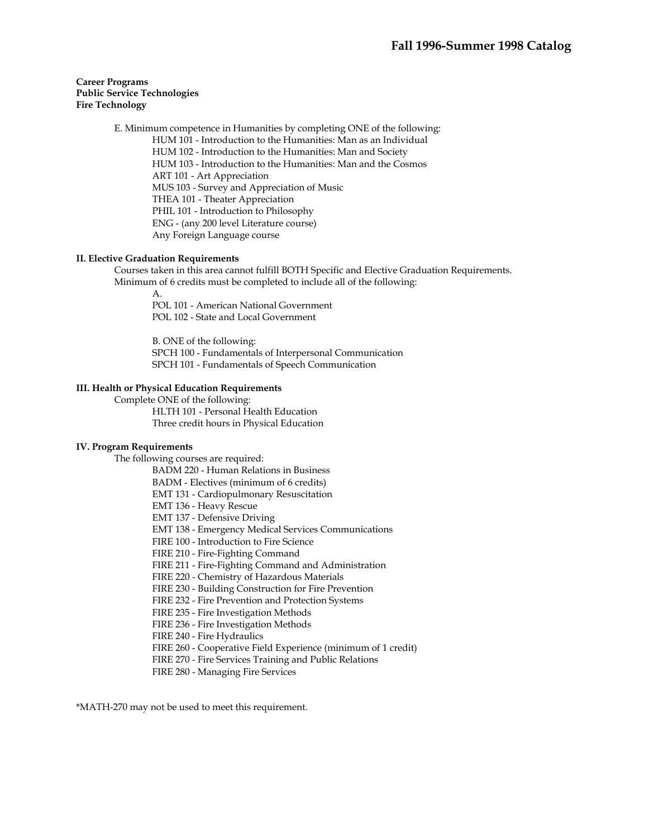# **Career Programs Public Service Technologies Fire Technology**

 E. Minimum competence in Humanities by completing ONE of the following: HUM 101 - Introduction to the Humanities: Man as an Individual HUM 102 - Introduction to the Humanities: Man and Society HUM 103 - Introduction to the Humanities: Man and the Cosmos ART 101 - Art Appreciation MUS 103 - Survey and Appreciation of Music THEA 101 - Theater Appreciation PHIL 101 - Introduction to Philosophy ENG - (any 200 level Literature course) Any Foreign Language course

# **II. Elective Graduation Requirements**

 Courses taken in this area cannot fulfill BOTH Specific and Elective Graduation Requirements. Minimum of 6 credits must be completed to include all of the following:

 A. POL 101 - American National Government POL 102 - State and Local Government

> B. ONE of the following: SPCH 100 - Fundamentals of Interpersonal Communication SPCH 101 - Fundamentals of Speech Communication

# **III. Health or Physical Education Requirements**

Complete ONE of the following:

 HLTH 101 - Personal Health Education Three credit hours in Physical Education

#### **IV. Program Requirements**

The following courses are required:

BADM 220 - Human Relations in Business

BADM - Electives (minimum of 6 credits)

EMT 131 - Cardiopulmonary Resuscitation

EMT 136 - Heavy Rescue

EMT 137 - Defensive Driving

EMT 138 - Emergency Medical Services Communications

FIRE 100 - Introduction to Fire Science

FIRE 210 - Fire-Fighting Command

FIRE 211 - Fire-Fighting Command and Administration

FIRE 220 - Chemistry of Hazardous Materials

FIRE 230 - Building Construction for Fire Prevention

FIRE 232 - Fire Prevention and Protection Systems

FIRE 235 - Fire Investigation Methods

FIRE 236 - Fire Investigation Methods

FIRE 240 - Fire Hydraulics

FIRE 260 - Cooperative Field Experience (minimum of 1 credit)

FIRE 270 - Fire Services Training and Public Relations

FIRE 280 - Managing Fire Services

\*MATH-270 may not be used to meet this requirement.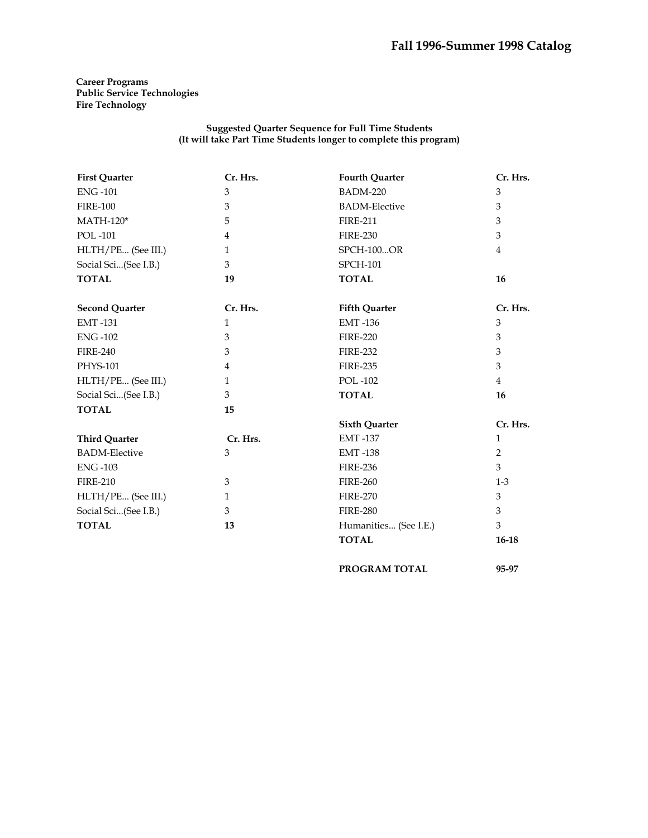**Career Programs Public Service Technologies Fire Technology** 

#### **Suggested Quarter Sequence for Full Time Students (It will take Part Time Students longer to complete this program)**

| <b>First Quarter</b>  | Cr. Hrs.       | <b>Fourth Quarter</b> | Cr. Hrs.       |
|-----------------------|----------------|-----------------------|----------------|
| <b>ENG-101</b>        | 3              | <b>BADM-220</b>       | 3              |
| <b>FIRE-100</b>       | 3              | <b>BADM-Elective</b>  | 3              |
| $MATH-120*$           | 5              | <b>FIRE-211</b>       | 3              |
| <b>POL-101</b>        | $\overline{4}$ | <b>FIRE-230</b>       | 3              |
| HLTH/PE (See III.)    | $\mathbf{1}$   | <b>SPCH-100OR</b>     | $\overline{4}$ |
| Social Sci(See I.B.)  | 3              | <b>SPCH-101</b>       |                |
| <b>TOTAL</b>          | 19             | <b>TOTAL</b>          | 16             |
| <b>Second Quarter</b> | Cr. Hrs.       | <b>Fifth Quarter</b>  | Cr. Hrs.       |
| <b>EMT-131</b>        | $\mathbf{1}$   | <b>EMT-136</b>        | 3              |
| <b>ENG-102</b>        | 3              | <b>FIRE-220</b>       | 3              |
| <b>FIRE-240</b>       | 3              | <b>FIRE-232</b>       | 3              |
| PHYS-101              | $\overline{4}$ | <b>FIRE-235</b>       | 3              |
| HLTH/PE (See III.)    | $\mathbf{1}$   | <b>POL-102</b>        | $\overline{4}$ |
| Social Sci(See I.B.)  | 3              | <b>TOTAL</b>          | 16             |
| <b>TOTAL</b>          | 15             |                       |                |
|                       |                | <b>Sixth Quarter</b>  | Cr. Hrs.       |
| <b>Third Quarter</b>  | Cr. Hrs.       | <b>EMT-137</b>        | $\mathbf{1}$   |
| <b>BADM-Elective</b>  | 3              | <b>EMT-138</b>        | $\overline{2}$ |
| <b>ENG-103</b>        |                | <b>FIRE-236</b>       | 3              |
| <b>FIRE-210</b>       | 3              | <b>FIRE-260</b>       | $1-3$          |
| HLTH/PE (See III.)    | $\mathbf{1}$   | <b>FIRE-270</b>       | 3              |
| Social Sci(See I.B.)  | 3              | <b>FIRE-280</b>       | 3              |
| <b>TOTAL</b>          | 13             | Humanities (See I.E.) | 3              |
|                       |                | <b>TOTAL</b>          | $16-18$        |

**PROGRAM TOTAL 95-97**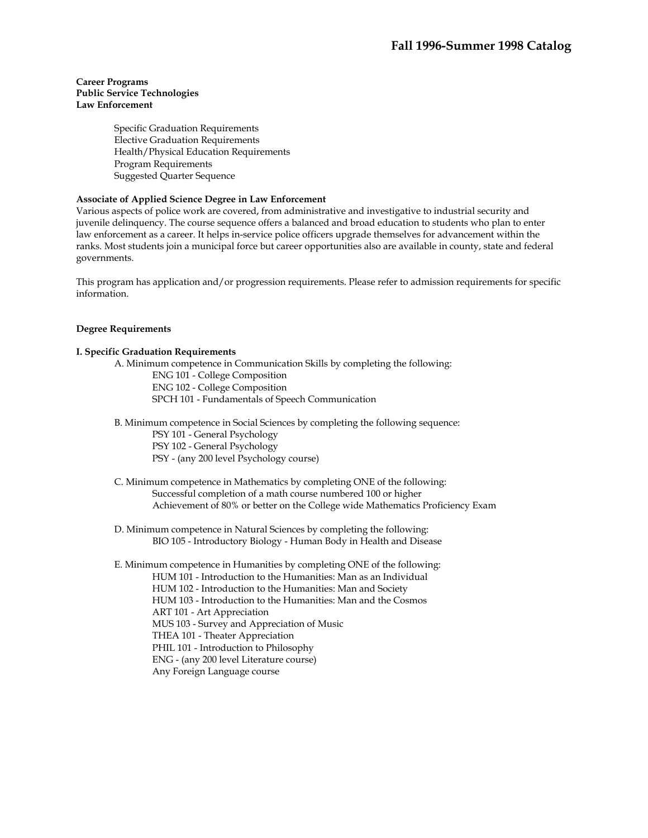# **Career Programs Public Service Technologies Law Enforcement**

Specific Graduation Requirements Elective Graduation Requirements Health/Physical Education Requirements Program Requirements Suggested Quarter Sequence

# **Associate of Applied Science Degree in Law Enforcement**

Various aspects of police work are covered, from administrative and investigative to industrial security and juvenile delinquency. The course sequence offers a balanced and broad education to students who plan to enter law enforcement as a career. It helps in-service police officers upgrade themselves for advancement within the ranks. Most students join a municipal force but career opportunities also are available in county, state and federal governments.

This program has application and/or progression requirements. Please refer to admission requirements for specific information.

# **Degree Requirements**

# **I. Specific Graduation Requirements**

A. Minimum competence in Communication Skills by completing the following:

ENG 101 - College Composition ENG 102 - College Composition SPCH 101 - Fundamentals of Speech Communication

B. Minimum competence in Social Sciences by completing the following sequence:

PSY 101 - General Psychology

PSY 102 - General Psychology

PSY - (any 200 level Psychology course)

 C. Minimum competence in Mathematics by completing ONE of the following: Successful completion of a math course numbered 100 or higher Achievement of 80% or better on the College wide Mathematics Proficiency Exam

 D. Minimum competence in Natural Sciences by completing the following: BIO 105 - Introductory Biology - Human Body in Health and Disease

 E. Minimum competence in Humanities by completing ONE of the following: HUM 101 - Introduction to the Humanities: Man as an Individual HUM 102 - Introduction to the Humanities: Man and Society HUM 103 - Introduction to the Humanities: Man and the Cosmos ART 101 - Art Appreciation MUS 103 - Survey and Appreciation of Music THEA 101 - Theater Appreciation PHIL 101 - Introduction to Philosophy ENG - (any 200 level Literature course) Any Foreign Language course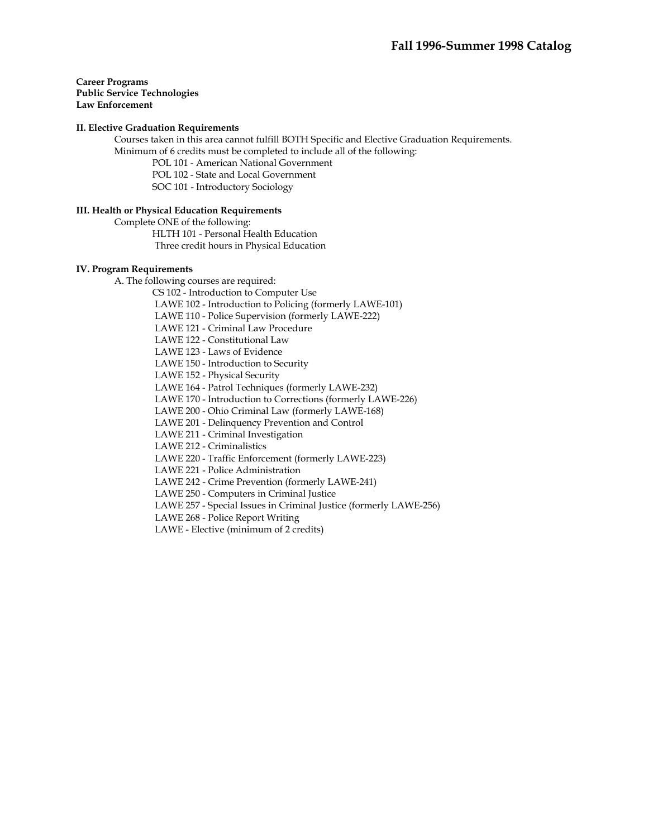### **Career Programs Public Service Technologies Law Enforcement**

### **II. Elective Graduation Requirements**

 Courses taken in this area cannot fulfill BOTH Specific and Elective Graduation Requirements. Minimum of 6 credits must be completed to include all of the following:

POL 101 - American National Government

POL 102 - State and Local Government

SOC 101 - Introductory Sociology

# **III. Health or Physical Education Requirements**

Complete ONE of the following:

HLTH 101 - Personal Health Education

Three credit hours in Physical Education

# **IV. Program Requirements**

A. The following courses are required:

CS 102 - Introduction to Computer Use

LAWE 102 - Introduction to Policing (formerly LAWE-101)

LAWE 110 - Police Supervision (formerly LAWE-222)

LAWE 121 - Criminal Law Procedure

LAWE 122 - Constitutional Law

LAWE 123 - Laws of Evidence

LAWE 150 - Introduction to Security

LAWE 152 - Physical Security

LAWE 164 - Patrol Techniques (formerly LAWE-232)

LAWE 170 - Introduction to Corrections (formerly LAWE-226)

LAWE 200 - Ohio Criminal Law (formerly LAWE-168)

LAWE 201 - Delinquency Prevention and Control

LAWE 211 - Criminal Investigation

LAWE 212 - Criminalistics

LAWE 220 - Traffic Enforcement (formerly LAWE-223)

LAWE 221 - Police Administration

LAWE 242 - Crime Prevention (formerly LAWE-241)

LAWE 250 - Computers in Criminal Justice

LAWE 257 - Special Issues in Criminal Justice (formerly LAWE-256)

LAWE 268 - Police Report Writing

LAWE - Elective (minimum of 2 credits)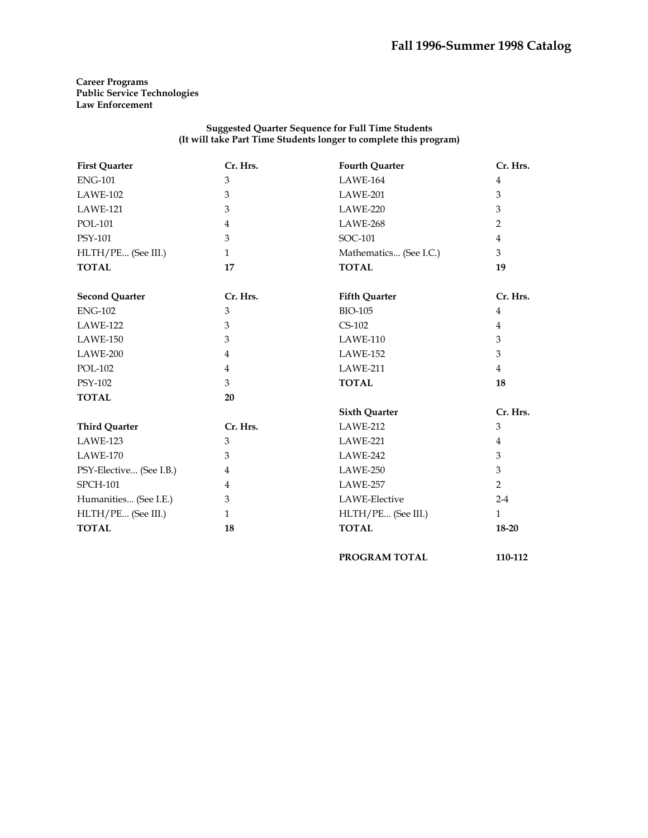# **Career Programs Public Service Technologies Law Enforcement**

### **Suggested Quarter Sequence for Full Time Students (It will take Part Time Students longer to complete this program)**

| <b>First Quarter</b>    | Cr. Hrs.       | <b>Fourth Quarter</b>  | Cr. Hrs.       |
|-------------------------|----------------|------------------------|----------------|
| <b>ENG-101</b>          | $\mathfrak{B}$ | <b>LAWE-164</b>        | $\overline{4}$ |
| LAWE-102                | 3              | LAWE-201               | 3              |
| LAWE-121                | 3              | LAWE-220               | 3              |
| <b>POL-101</b>          | $\overline{4}$ | LAWE-268               | 2              |
| PSY-101                 | 3              | SOC-101                | 4              |
| HLTH/PE (See III.)      | $\mathbf{1}$   | Mathematics (See I.C.) | 3              |
| <b>TOTAL</b>            | 17             | <b>TOTAL</b>           | 19             |
| <b>Second Quarter</b>   | Cr. Hrs.       | <b>Fifth Quarter</b>   | Cr. Hrs.       |
| <b>ENG-102</b>          | 3              | <b>BIO-105</b>         | $\overline{4}$ |
| LAWE-122                | 3              | $CS-102$               | $\overline{4}$ |
| LAWE-150                | 3              | LAWE-110               | 3              |
| LAWE-200                | $\overline{4}$ | <b>LAWE-152</b>        | 3              |
| <b>POL-102</b>          | $\overline{4}$ | LAWE-211               | $\overline{4}$ |
| PSY-102                 | 3              | <b>TOTAL</b>           | 18             |
| <b>TOTAL</b>            | 20             |                        |                |
|                         |                | <b>Sixth Quarter</b>   | Cr. Hrs.       |
| <b>Third Quarter</b>    | Cr. Hrs.       | LAWE-212               | $\mathfrak{Z}$ |
| LAWE-123                | 3              | LAWE-221               | $\overline{4}$ |
| <b>LAWE-170</b>         | 3              | LAWE-242               | 3              |
| PSY-Elective (See I.B.) | $\overline{4}$ | LAWE-250               | 3              |
| <b>SPCH-101</b>         | $\overline{4}$ | LAWE-257               | $\overline{2}$ |
| Humanities (See I.E.)   | 3              | LAWE-Elective          | $2 - 4$        |
| HLTH/PE (See III.)      | $\mathbf{1}$   | HLTH/PE (See III.)     | $\mathbf{1}$   |
| <b>TOTAL</b>            | 18             | <b>TOTAL</b>           | 18-20          |
|                         |                | PROGRAM TOTAL          | 110-112        |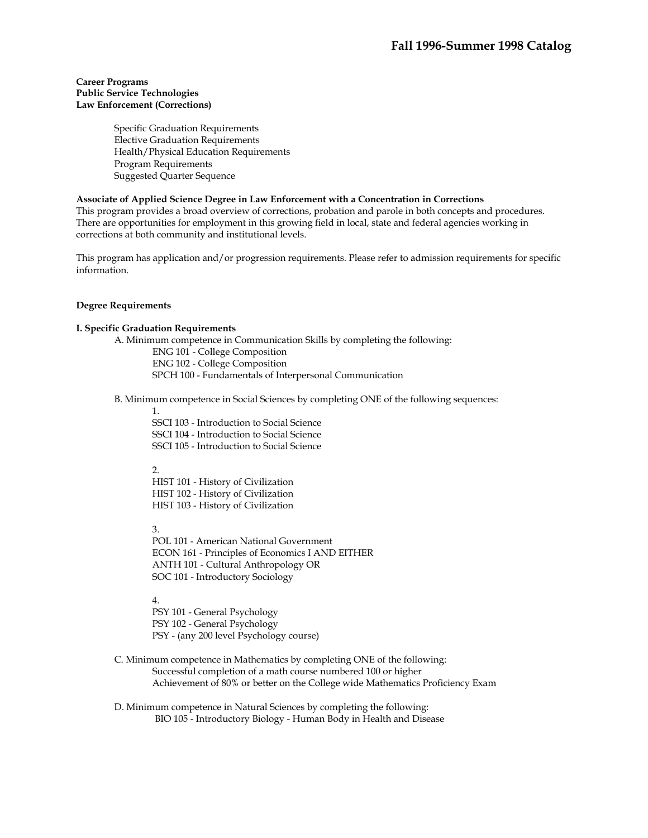# **Career Programs Public Service Technologies Law Enforcement (Corrections)**

Specific Graduation Requirements Elective Graduation Requirements Health/Physical Education Requirements Program Requirements Suggested Quarter Sequence

### **Associate of Applied Science Degree in Law Enforcement with a Concentration in Corrections**

This program provides a broad overview of corrections, probation and parole in both concepts and procedures. There are opportunities for employment in this growing field in local, state and federal agencies working in corrections at both community and institutional levels.

This program has application and/or progression requirements. Please refer to admission requirements for specific information.

### **Degree Requirements**

# **I. Specific Graduation Requirements**

 A. Minimum competence in Communication Skills by completing the following: ENG 101 - College Composition ENG 102 - College Composition SPCH 100 - Fundamentals of Interpersonal Communication

B. Minimum competence in Social Sciences by completing ONE of the following sequences:

1.

SSCI 103 - Introduction to Social Science SSCI 104 - Introduction to Social Science SSCI 105 - Introduction to Social Science

#### 2.

HIST 101 - History of Civilization HIST 102 - History of Civilization HIST 103 - History of Civilization

3.

POL 101 - American National Government ECON 161 - Principles of Economics I AND EITHER ANTH 101 - Cultural Anthropology OR SOC 101 - Introductory Sociology

4.

PSY 101 - General Psychology PSY 102 - General Psychology PSY - (any 200 level Psychology course)

 C. Minimum competence in Mathematics by completing ONE of the following: Successful completion of a math course numbered 100 or higher Achievement of 80% or better on the College wide Mathematics Proficiency Exam

 D. Minimum competence in Natural Sciences by completing the following: BIO 105 - Introductory Biology - Human Body in Health and Disease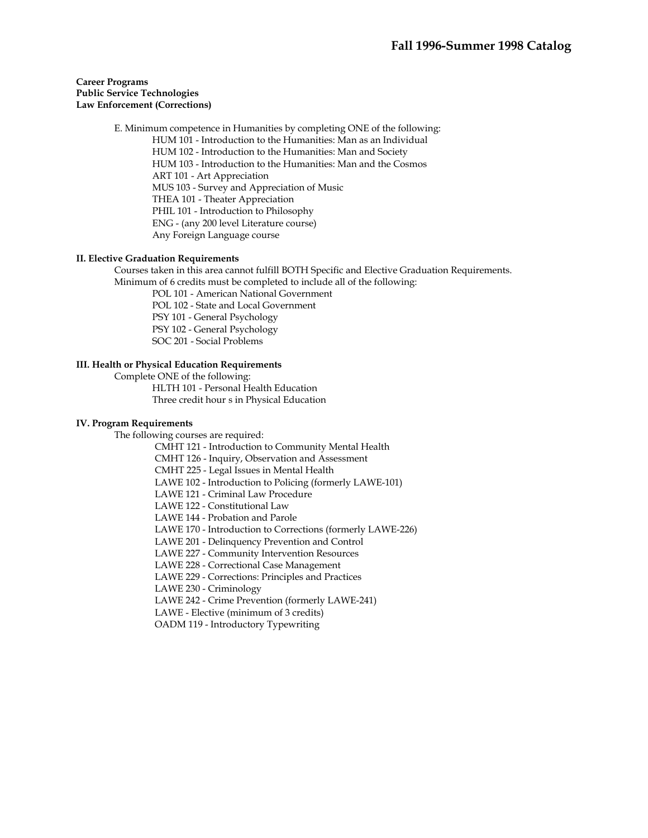# **Career Programs Public Service Technologies Law Enforcement (Corrections)**

 E. Minimum competence in Humanities by completing ONE of the following: HUM 101 - Introduction to the Humanities: Man as an Individual HUM 102 - Introduction to the Humanities: Man and Society HUM 103 - Introduction to the Humanities: Man and the Cosmos ART 101 - Art Appreciation MUS 103 - Survey and Appreciation of Music THEA 101 - Theater Appreciation PHIL 101 - Introduction to Philosophy ENG - (any 200 level Literature course) Any Foreign Language course

# **II. Elective Graduation Requirements**

 Courses taken in this area cannot fulfill BOTH Specific and Elective Graduation Requirements. Minimum of 6 credits must be completed to include all of the following:

POL 101 - American National Government

POL 102 - State and Local Government

PSY 101 - General Psychology

PSY 102 - General Psychology

SOC 201 - Social Problems

# **III. Health or Physical Education Requirements**

Complete ONE of the following:

 HLTH 101 - Personal Health Education Three credit hour s in Physical Education

# **IV. Program Requirements**

The following courses are required:

 CMHT 121 - Introduction to Community Mental Health CMHT 126 - Inquiry, Observation and Assessment

CMHT 225 - Legal Issues in Mental Health

LAWE 102 - Introduction to Policing (formerly LAWE-101)

LAWE 121 - Criminal Law Procedure

LAWE 122 - Constitutional Law

LAWE 144 - Probation and Parole

LAWE 170 - Introduction to Corrections (formerly LAWE-226)

LAWE 201 - Delinquency Prevention and Control

LAWE 227 - Community Intervention Resources

LAWE 228 - Correctional Case Management

LAWE 229 - Corrections: Principles and Practices

LAWE 230 - Criminology

LAWE 242 - Crime Prevention (formerly LAWE-241)

LAWE - Elective (minimum of 3 credits)

OADM 119 - Introductory Typewriting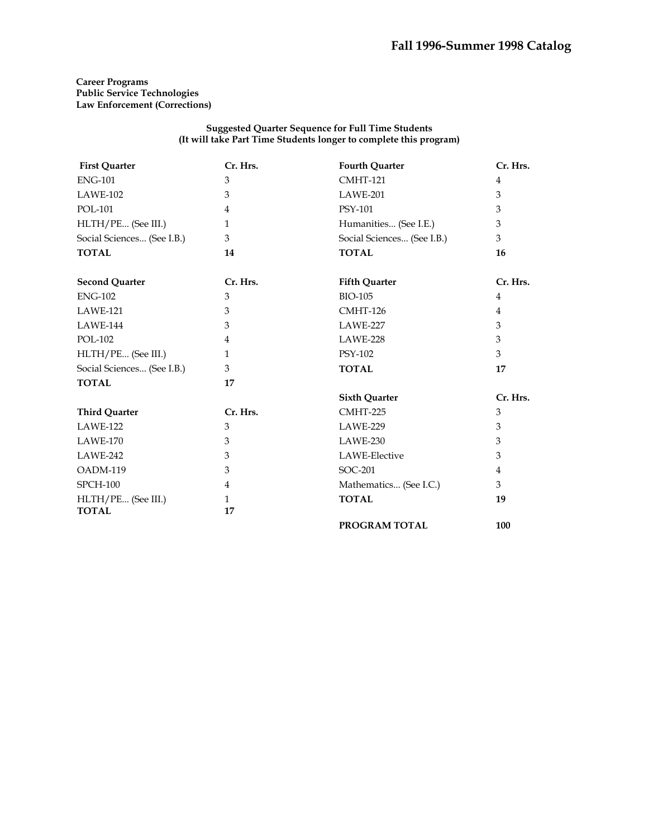# **Career Programs Public Service Technologies Law Enforcement (Corrections)**

#### **Suggested Quarter Sequence for Full Time Students (It will take Part Time Students longer to complete this program)**

| <b>First Quarter</b>       | Cr. Hrs.     | <b>Fourth Quarter</b>      | Cr. Hrs.       |
|----------------------------|--------------|----------------------------|----------------|
| <b>ENG-101</b>             | 3            | <b>CMHT-121</b>            | 4              |
| LAWE-102                   | 3            | LAWE-201                   | 3              |
| <b>POL-101</b>             | 4            | PSY-101                    | 3              |
| HLTH/PE (See III.)         | $\mathbf{1}$ | Humanities (See I.E.)      | 3              |
| Social Sciences (See I.B.) | 3            | Social Sciences (See I.B.) | 3              |
| <b>TOTAL</b>               | 14           | <b>TOTAL</b>               | 16             |
| <b>Second Quarter</b>      | Cr. Hrs.     | <b>Fifth Quarter</b>       | Cr. Hrs.       |
| <b>ENG-102</b>             | 3            | <b>BIO-105</b>             | $\overline{4}$ |
| LAWE-121                   | 3            | <b>CMHT-126</b>            | $\overline{4}$ |
| LAWE-144                   | 3            | LAWE-227                   | 3              |
| <b>POL-102</b>             | 4            | LAWE-228                   | 3              |
| HLTH/PE (See III.)         | $\mathbf{1}$ | <b>PSY-102</b>             | 3              |
| Social Sciences (See I.B.) | 3            | <b>TOTAL</b>               | 17             |
| <b>TOTAL</b>               | 17           |                            |                |
|                            |              | <b>Sixth Quarter</b>       | Cr. Hrs.       |
| <b>Third Quarter</b>       | Cr. Hrs.     | CMHT-225                   | 3              |
| LAWE-122                   | 3            | LAWE-229                   | 3              |
| LAWE-170                   | 3            | LAWE-230                   | 3              |
| LAWE-242                   | 3            | LAWE-Elective              | 3              |
| OADM-119                   | 3            | SOC-201                    | 4              |
| <b>SPCH-100</b>            | 4            | Mathematics (See I.C.)     | 3              |
| HLTH/PE (See III.)         | $\mathbf{1}$ | <b>TOTAL</b>               | 19             |
| <b>TOTAL</b>               | 17           |                            |                |
|                            |              | PROGRAM TOTAL              | 100            |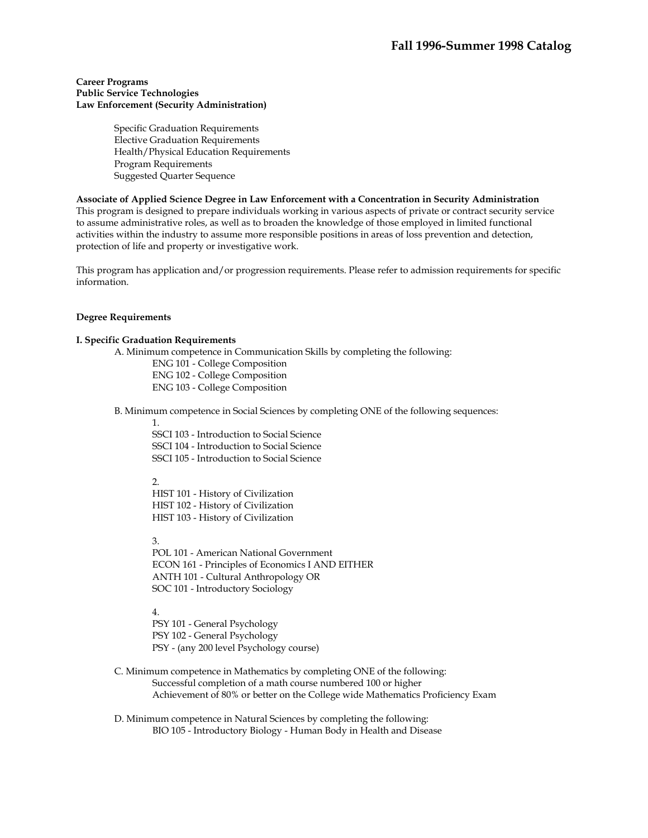# **Career Programs Public Service Technologies Law Enforcement (Security Administration)**

Specific Graduation Requirements Elective Graduation Requirements Health/Physical Education Requirements Program Requirements Suggested Quarter Sequence

### **Associate of Applied Science Degree in Law Enforcement with a Concentration in Security Administration**

This program is designed to prepare individuals working in various aspects of private or contract security service to assume administrative roles, as well as to broaden the knowledge of those employed in limited functional activities within the industry to assume more responsible positions in areas of loss prevention and detection, protection of life and property or investigative work.

This program has application and/or progression requirements. Please refer to admission requirements for specific information.

### **Degree Requirements**

## **I. Specific Graduation Requirements**

A. Minimum competence in Communication Skills by completing the following:

ENG 101 - College Composition ENG 102 - College Composition ENG 103 - College Composition

B. Minimum competence in Social Sciences by completing ONE of the following sequences:

1.

SSCI 103 - Introduction to Social Science SSCI 104 - Introduction to Social Science SSCI 105 - Introduction to Social Science

 $\mathcal{L}$ 

HIST 101 - History of Civilization HIST 102 - History of Civilization HIST 103 - History of Civilization

3.

POL 101 - American National Government ECON 161 - Principles of Economics I AND EITHER ANTH 101 - Cultural Anthropology OR SOC 101 - Introductory Sociology

4.

PSY 101 - General Psychology PSY 102 - General Psychology PSY - (any 200 level Psychology course)

- C. Minimum competence in Mathematics by completing ONE of the following: Successful completion of a math course numbered 100 or higher Achievement of 80% or better on the College wide Mathematics Proficiency Exam
- D. Minimum competence in Natural Sciences by completing the following: BIO 105 - Introductory Biology - Human Body in Health and Disease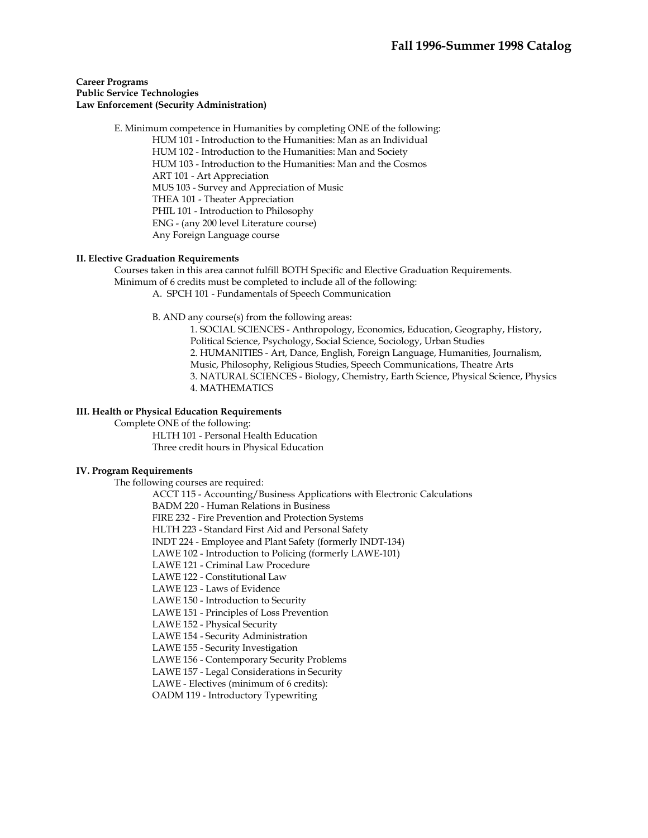# **Career Programs Public Service Technologies Law Enforcement (Security Administration)**

 E. Minimum competence in Humanities by completing ONE of the following: HUM 101 - Introduction to the Humanities: Man as an Individual HUM 102 - Introduction to the Humanities: Man and Society HUM 103 - Introduction to the Humanities: Man and the Cosmos ART 101 - Art Appreciation MUS 103 - Survey and Appreciation of Music THEA 101 - Theater Appreciation PHIL 101 - Introduction to Philosophy ENG - (any 200 level Literature course) Any Foreign Language course

# **II. Elective Graduation Requirements**

 Courses taken in this area cannot fulfill BOTH Specific and Elective Graduation Requirements. Minimum of 6 credits must be completed to include all of the following: A. SPCH 101 - Fundamentals of Speech Communication

B. AND any course(s) from the following areas:

1. SOCIAL SCIENCES - Anthropology, Economics, Education, Geography, History, Political Science, Psychology, Social Science, Sociology, Urban Studies 2. HUMANITIES - Art, Dance, English, Foreign Language, Humanities, Journalism, Music, Philosophy, Religious Studies, Speech Communications, Theatre Arts 3. NATURAL SCIENCES - Biology, Chemistry, Earth Science, Physical Science, Physics 4. MATHEMATICS

## **III. Health or Physical Education Requirements**

 Complete ONE of the following: HLTH 101 - Personal Health Education Three credit hours in Physical Education

# **IV. Program Requirements**

The following courses are required:

ACCT 115 - Accounting/Business Applications with Electronic Calculations

BADM 220 - Human Relations in Business

FIRE 232 - Fire Prevention and Protection Systems

HLTH 223 - Standard First Aid and Personal Safety

INDT 224 - Employee and Plant Safety (formerly INDT-134)

LAWE 102 - Introduction to Policing (formerly LAWE-101)

LAWE 121 - Criminal Law Procedure

LAWE 122 - Constitutional Law

LAWE 123 - Laws of Evidence

LAWE 150 - Introduction to Security

LAWE 151 - Principles of Loss Prevention

LAWE 152 - Physical Security

LAWE 154 - Security Administration

LAWE 155 - Security Investigation

LAWE 156 - Contemporary Security Problems

LAWE 157 - Legal Considerations in Security

LAWE - Electives (minimum of 6 credits):

OADM 119 - Introductory Typewriting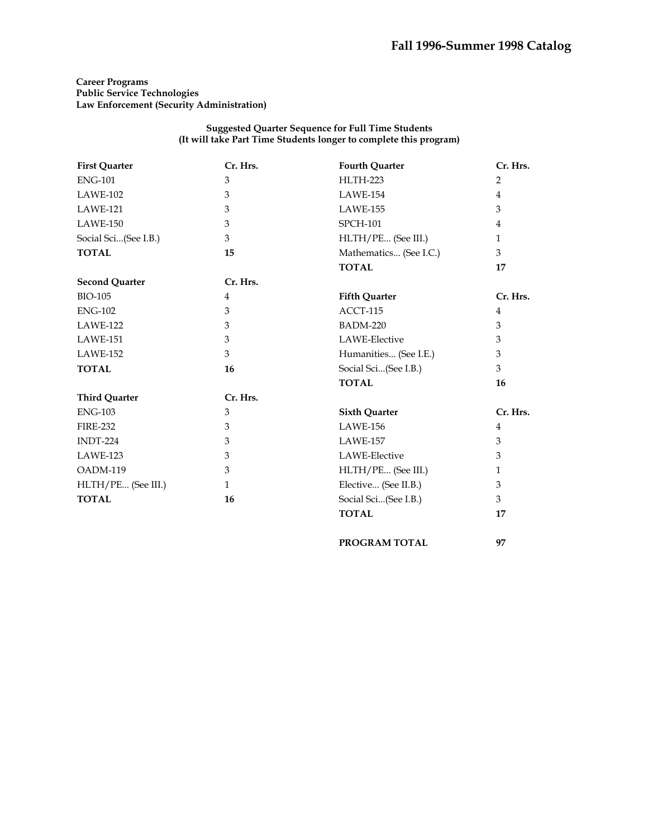# **Career Programs Public Service Technologies Law Enforcement (Security Administration)**

#### **Suggested Quarter Sequence for Full Time Students (It will take Part Time Students longer to complete this program)**

| <b>First Quarter</b>  | Cr. Hrs.       | <b>Fourth Quarter</b>  | Cr. Hrs.       |
|-----------------------|----------------|------------------------|----------------|
| <b>ENG-101</b>        | 3              | <b>HLTH-223</b>        | $\overline{2}$ |
| LAWE-102              | 3              | LAWE-154               | $\overline{4}$ |
| <b>LAWE-121</b>       | 3              | LAWE-155               | 3              |
| LAWE-150              | 3              | <b>SPCH-101</b>        | 4              |
| Social Sci(See I.B.)  | 3              | HLTH/PE (See III.)     | $\mathbf{1}$   |
| <b>TOTAL</b>          | 15             | Mathematics (See I.C.) | 3              |
|                       |                | <b>TOTAL</b>           | 17             |
| <b>Second Quarter</b> | Cr. Hrs.       |                        |                |
| <b>BIO-105</b>        | $\overline{4}$ | <b>Fifth Quarter</b>   | Cr. Hrs.       |
| <b>ENG-102</b>        | 3              | ACCT-115               | $\overline{4}$ |
| LAWE-122              | 3              | <b>BADM-220</b>        | 3              |
| LAWE-151              | 3              | LAWE-Elective          | 3              |
| <b>LAWE-152</b>       | 3              | Humanities (See I.E.)  | 3              |
| <b>TOTAL</b>          | 16             | Social Sci(See I.B.)   | 3              |
|                       |                | <b>TOTAL</b>           | 16             |
| <b>Third Quarter</b>  | Cr. Hrs.       |                        |                |
| <b>ENG-103</b>        | 3              | <b>Sixth Quarter</b>   | Cr. Hrs.       |
| <b>FIRE-232</b>       | 3              | <b>LAWE-156</b>        | $\overline{4}$ |
| INDT-224              | 3              | LAWE-157               | 3              |
| LAWE-123              | 3              | LAWE-Elective          | 3              |
| OADM-119              | 3              | HLTH/PE (See III.)     | $\mathbf{1}$   |
| HLTH/PE (See III.)    | $\mathbf{1}$   | Elective (See II.B.)   | 3              |
| <b>TOTAL</b>          | 16             | Social Sci(See I.B.)   | 3              |
|                       |                | <b>TOTAL</b>           | 17             |

**PROGRAM TOTAL 97**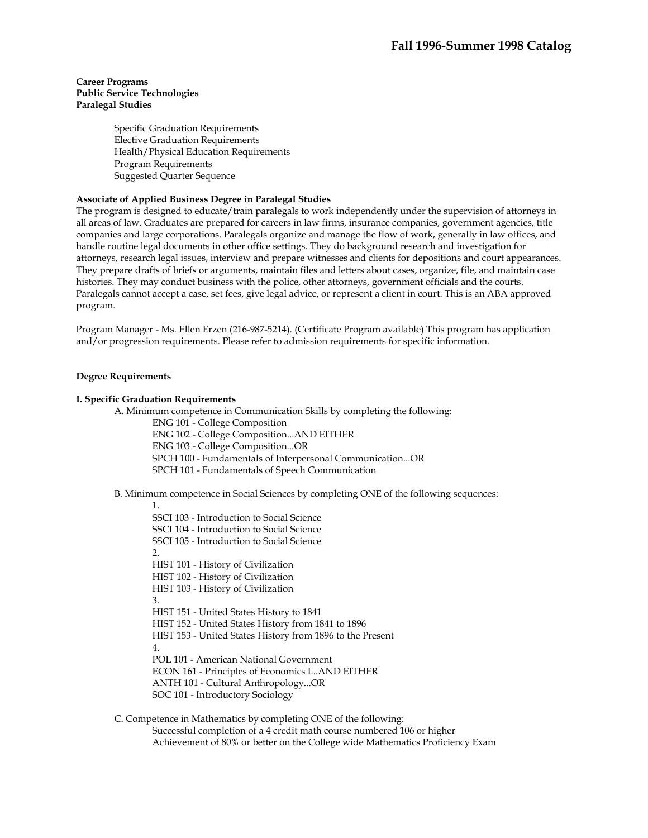# **Career Programs Public Service Technologies Paralegal Studies**

Specific Graduation Requirements Elective Graduation Requirements Health/Physical Education Requirements Program Requirements Suggested Quarter Sequence

# **Associate of Applied Business Degree in Paralegal Studies**

The program is designed to educate/train paralegals to work independently under the supervision of attorneys in all areas of law. Graduates are prepared for careers in law firms, insurance companies, government agencies, title companies and large corporations. Paralegals organize and manage the flow of work, generally in law offices, and handle routine legal documents in other office settings. They do background research and investigation for attorneys, research legal issues, interview and prepare witnesses and clients for depositions and court appearances. They prepare drafts of briefs or arguments, maintain files and letters about cases, organize, file, and maintain case histories. They may conduct business with the police, other attorneys, government officials and the courts. Paralegals cannot accept a case, set fees, give legal advice, or represent a client in court. This is an ABA approved program.

Program Manager - Ms. Ellen Erzen (216-987-5214). (Certificate Program available) This program has application and/or progression requirements. Please refer to admission requirements for specific information.

# **Degree Requirements**

# **I. Specific Graduation Requirements**

A. Minimum competence in Communication Skills by completing the following:

- ENG 101 College Composition
- ENG 102 College Composition...AND EITHER
- ENG 103 College Composition...OR
- SPCH 100 Fundamentals of Interpersonal Communication...OR

SPCH 101 - Fundamentals of Speech Communication

B. Minimum competence in Social Sciences by completing ONE of the following sequences:

# 1. SSCI 103 - Introduction to Social Science SSCI 104 - Introduction to Social Science SSCI 105 - Introduction to Social Science 2. HIST 101 - History of Civilization HIST 102 - History of Civilization HIST 103 - History of Civilization 3. HIST 151 - United States History to 1841 HIST 152 - United States History from 1841 to 1896 HIST 153 - United States History from 1896 to the Present 4. POL 101 - American National Government ECON 161 - Principles of Economics I...AND EITHER ANTH 101 - Cultural Anthropology...OR SOC 101 - Introductory Sociology

 C. Competence in Mathematics by completing ONE of the following: Successful completion of a 4 credit math course numbered 106 or higher Achievement of 80% or better on the College wide Mathematics Proficiency Exam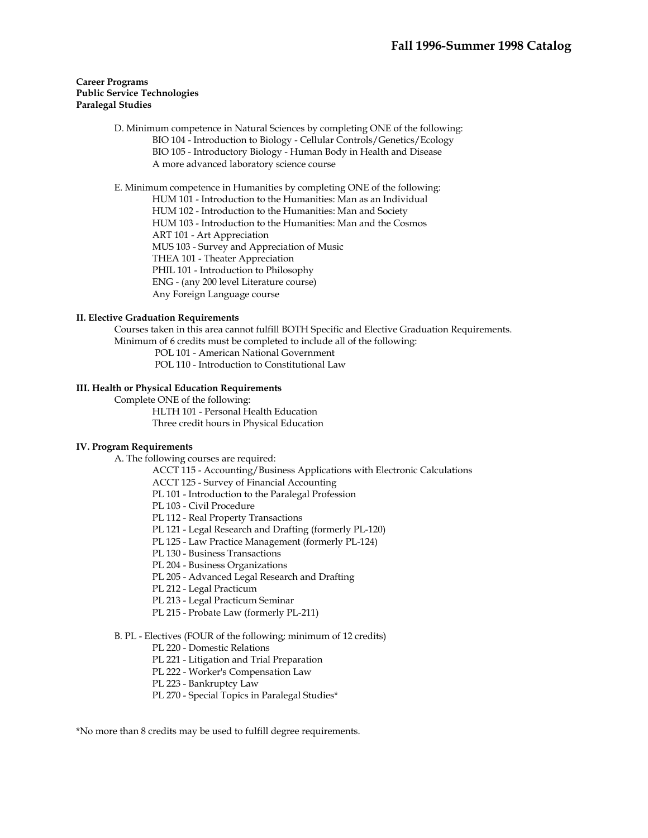# **Career Programs Public Service Technologies Paralegal Studies**

 D. Minimum competence in Natural Sciences by completing ONE of the following: BIO 104 - Introduction to Biology - Cellular Controls/Genetics/Ecology BIO 105 - Introductory Biology - Human Body in Health and Disease A more advanced laboratory science course

E. Minimum competence in Humanities by completing ONE of the following:

HUM 101 - Introduction to the Humanities: Man as an Individual

HUM 102 - Introduction to the Humanities: Man and Society

HUM 103 - Introduction to the Humanities: Man and the Cosmos

ART 101 - Art Appreciation

MUS 103 - Survey and Appreciation of Music

THEA 101 - Theater Appreciation

PHIL 101 - Introduction to Philosophy

ENG - (any 200 level Literature course)

Any Foreign Language course

# **II. Elective Graduation Requirements**

 Courses taken in this area cannot fulfill BOTH Specific and Elective Graduation Requirements. Minimum of 6 credits must be completed to include all of the following:

POL 101 - American National Government

POL 110 - Introduction to Constitutional Law

# **III. Health or Physical Education Requirements**

Complete ONE of the following:

 HLTH 101 - Personal Health Education Three credit hours in Physical Education

# **IV. Program Requirements**

A. The following courses are required:

ACCT 115 - Accounting/Business Applications with Electronic Calculations

ACCT 125 - Survey of Financial Accounting

PL 101 - Introduction to the Paralegal Profession

PL 103 - Civil Procedure

PL 112 - Real Property Transactions

PL 121 - Legal Research and Drafting (formerly PL-120)

PL 125 - Law Practice Management (formerly PL-124)

PL 130 - Business Transactions

PL 204 - Business Organizations

PL 205 - Advanced Legal Research and Drafting

PL 212 - Legal Practicum

PL 213 - Legal Practicum Seminar

PL 215 - Probate Law (formerly PL-211)

# B. PL - Electives (FOUR of the following; minimum of 12 credits)

PL 220 - Domestic Relations

PL 221 - Litigation and Trial Preparation

PL 222 - Worker's Compensation Law

PL 223 - Bankruptcy Law

PL 270 - Special Topics in Paralegal Studies\*

\*No more than 8 credits may be used to fulfill degree requirements.